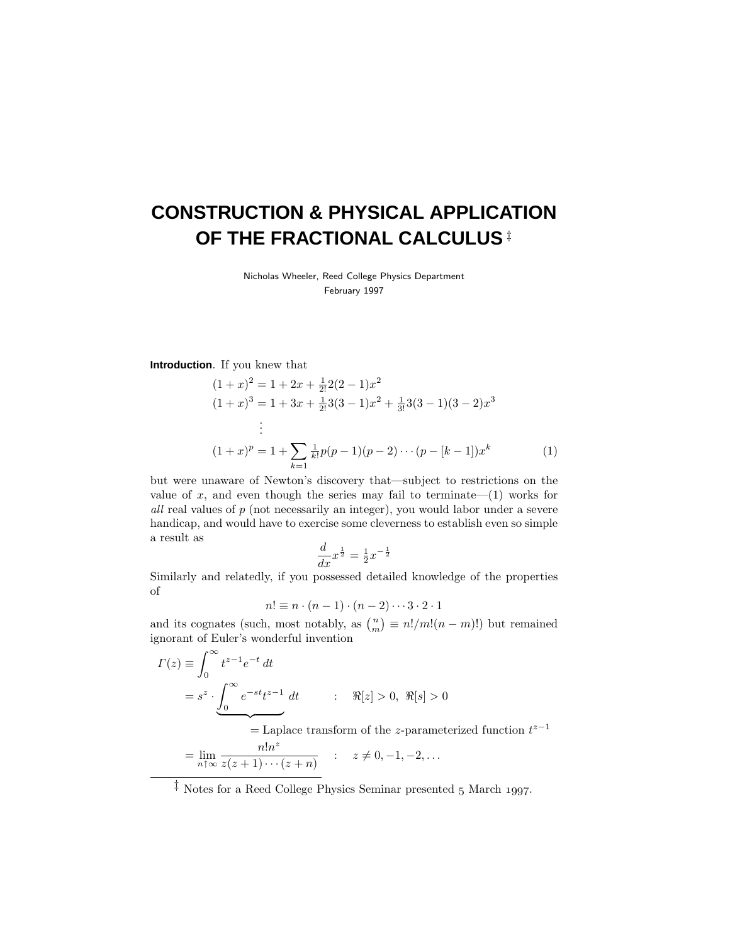# **CONSTRUCTION & PHYSICAL APPLICATION OF THE FRACTIONAL CALCULUS** ‡

Nicholas Wheeler, Reed College Physics Department February 1997

**Introduction**. If you knew that

$$
(1+x)^2 = 1 + 2x + \frac{1}{2!}2(2-1)x^2
$$
  
\n
$$
(1+x)^3 = 1 + 3x + \frac{1}{2!}3(3-1)x^2 + \frac{1}{3!}3(3-1)(3-2)x^3
$$
  
\n
$$
\vdots
$$
  
\n
$$
(1+x)^p = 1 + \sum_{k=1}^{\infty} \frac{1}{k!}p(p-1)(p-2)\cdots(p-[k-1])x^k
$$
  
\n(1)

but were unaware of Newton's discovery that—subject to restrictions on the value of  $x$ , and even though the series may fail to terminate— $(1)$  works for all real values of *p* (not necessarily an integer), you would labor under a severe handicap, and would have to exercise some cleverness to establish even so simple a result as

$$
\frac{d}{dx}x^{\frac{1}{2}} = \frac{1}{2}x^{-\frac{1}{2}}
$$

Similarly and relatedly, if you possessed detailed knowledge of the properties of

$$
n! \equiv n \cdot (n-1) \cdot (n-2) \cdots 3 \cdot 2 \cdot 1
$$

and its cognates (such, most notably, as  $\binom{n}{m} \equiv n! / m! (n - m)!$ ) but remained ignorant of Euler's wonderful invention

$$
\Gamma(z) \equiv \int_0^\infty t^{z-1} e^{-t} dt
$$
  
=  $s^z \cdot \underbrace{\int_0^\infty e^{-st} t^{z-1}}_{\equiv \text{Laplace transform of the z-parameterized}}$ 

= Laplace transform of the *z*-parameterized function *t z*−1

$$
= \lim_{n \uparrow \infty} \frac{n! n^z}{z(z+1) \cdots (z+n)} \qquad : \quad z \neq 0, -1, -2, \ldots
$$

 $\ddagger$  Notes for a Reed College Physics Seminar presented 5 March 1997.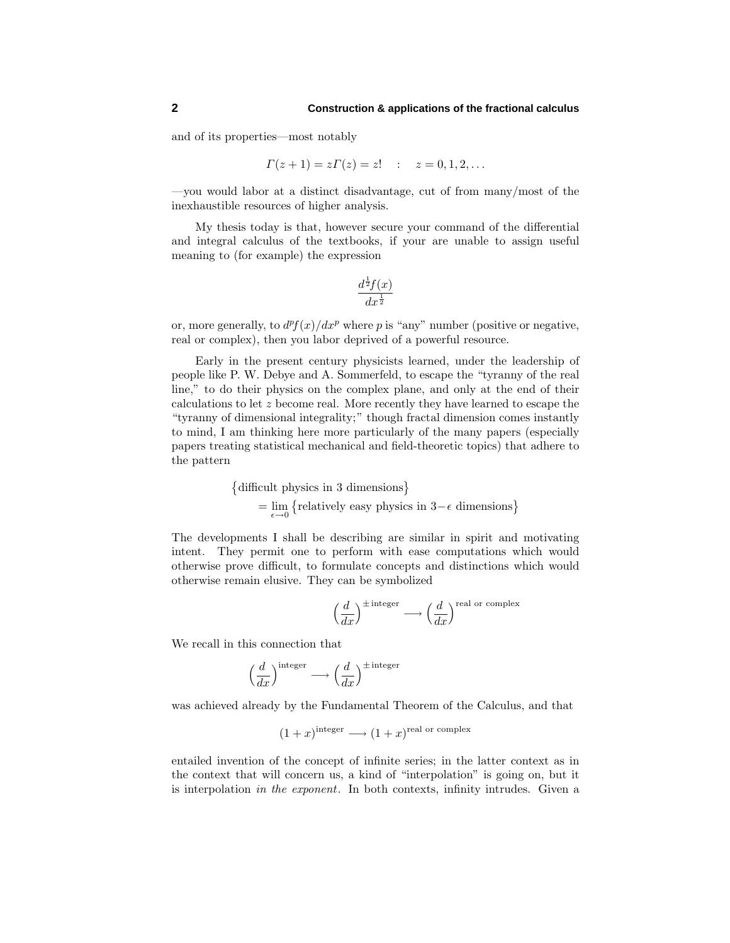and of its properties—most notably

$$
\Gamma(z+1) = z\Gamma(z) = z! \quad : \quad z = 0, 1, 2, \dots
$$

—you would labor at a distinct disadvantage, cut of from many/most of the inexhaustible resources of higher analysis.

My thesis today is that, however secure your command of the differential and integral calculus of the textbooks, if your are unable to assign useful meaning to (for example) the expression

$$
\frac{d^{\frac{1}{2}}f(x)}{dx^{\frac{1}{2}}}
$$

or, more generally, to  $d^{p}f(x)/dx^{p}$  where p is "any" number (positive or negative, real or complex), then you labor deprived of a powerful resource.

Early in the present century physicists learned, under the leadership of people like P. W. Debye and A. Sommerfeld, to escape the "tyranny of the real line," to do their physics on the complex plane, and only at the end of their calculations to let *z* become real. More recently they have learned to escape the "tyranny of dimensional integrality;" though fractal dimension comes instantly to mind, I am thinking here more particularly of the many papers (especially papers treating statistical mechanical and field-theoretic topics) that adhere to the pattern

> difficult physics in 3 dimensions  $=$   $\lim_{\epsilon \to 0}$  {relatively easy physics in 3– $\epsilon$  dimensions}

The developments I shall be describing are similar in spirit and motivating intent. They permit one to perform with ease computations which would otherwise prove difficult, to formulate concepts and distinctions which would otherwise remain elusive. They can be symbolized

$$
\left(\frac{d}{dx}\right)^{\pm \text{integer}} \longrightarrow \left(\frac{d}{dx}\right)^{\text{real or complex}}
$$

We recall in this connection that

$$
\left(\frac{d}{dx}\right)^{\text{integer}} \longrightarrow \left(\frac{d}{dx}\right)^{\pm \text{integer}}
$$

was achieved already by the Fundamental Theorem of the Calculus, and that

$$
(1+x)
$$
<sup>integer</sup>  $\longrightarrow$   $(1+x)$ <sup>real or complex</sup>

entailed invention of the concept of infinite series; in the latter context as in the context that will concern us, a kind of "interpolation" is going on, but it is interpolation in the exponent. In both contexts, infinity intrudes. Given a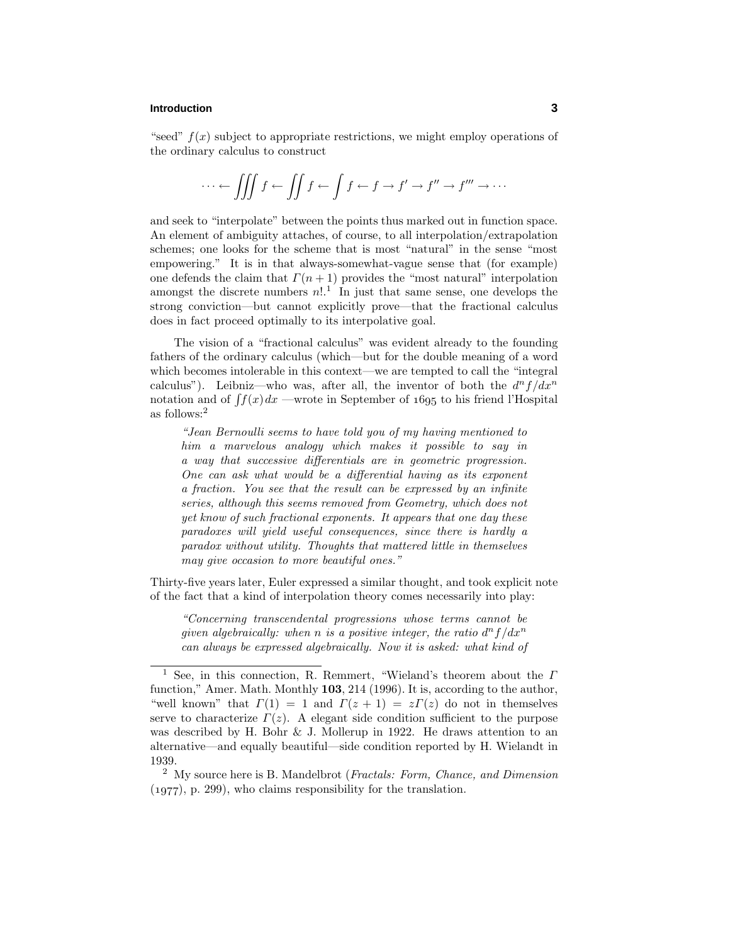#### **Introduction 3**

"seed"  $f(x)$  subject to appropriate restrictions, we might employ operations of the ordinary calculus to construct

$$
\cdots \leftarrow \iiint f \leftarrow \iint f \leftarrow \int f \leftarrow f \rightarrow f' \rightarrow f'' \rightarrow f''' \rightarrow \cdots
$$

and seek to "interpolate" between the points thus marked out in function space. An element of ambiguity attaches, of course, to all interpolation/extrapolation schemes; one looks for the scheme that is most "natural" in the sense "most empowering." It is in that always-somewhat-vague sense that (for example) one defends the claim that  $\Gamma(n+1)$  provides the "most natural" interpolation amongst the discrete numbers  $n!$ <sup>1</sup>. In just that same sense, one develops the strong conviction—but cannot explicitly prove—that the fractional calculus does in fact proceed optimally to its interpolative goal.

The vision of a "fractional calculus" was evident already to the founding fathers of the ordinary calculus (which—but for the double meaning of a word which becomes intolerable in this context—we are tempted to call the "integral calculus"). Leibniz—who was, after all, the inventor of both the  $d^n f/dx^n$ notation and of  $\int f(x) dx$  —wrote in September of 1695 to his friend l'Hospital as follows:<sup>2</sup>

"Jean Bernoulli seems to have told you of my having mentioned to him a marvelous analogy which makes it possible to say in a way that successive differentials are in geometric progression. One can ask what would be a differential having as its exponent a fraction. You see that the result can be expressed by an infinite series, although this seems removed from Geometry, which does not yet know of such fractional exponents. It appears that one day these paradoxes will yield useful consequences, since there is hardly a paradox without utility. Thoughts that mattered little in themselves may give occasion to more beautiful ones."

Thirty-five years later, Euler expressed a similar thought, and took explicit note of the fact that a kind of interpolation theory comes necessarily into play:

"Concerning transcendental progressions whose terms cannot be given algebraically: when *n* is a positive integer, the ratio  $d^n f/dx^n$ can always be expressed algebraically. Now it is asked: what kind of

<sup>1</sup> See, in this connection, R. Remmert, "Wieland's theorem about the *Γ* function," Amer. Math. Monthly **103**, 214 (1996). It is, according to the author, "well known" that  $\Gamma(1) = 1$  and  $\Gamma(z+1) = z\Gamma(z)$  do not in themselves serve to characterize  $\Gamma(z)$ . A elegant side condition sufficient to the purpose was described by H. Bohr & J. Mollerup in 1922. He draws attention to an alternative—and equally beautiful—side condition reported by H. Wielandt in 1939.

<sup>&</sup>lt;sup>2</sup> My source here is B. Mandelbrot (*Fractals: Form, Chance, and Dimension*  $(1977)$ , p. 299), who claims responsibility for the translation.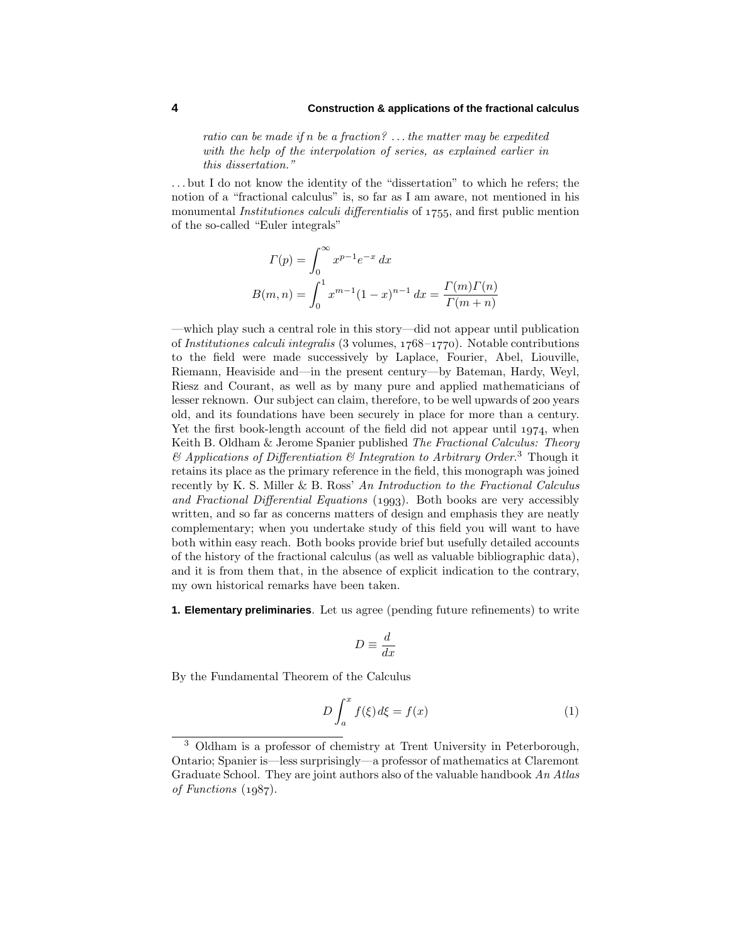ratio can be made if *n* be a fraction? *...* the matter may be expedited with the help of the interpolation of series, as explained earlier in this dissertation."

*...* but I do not know the identity of the "dissertation" to which he refers; the notion of a "fractional calculus" is, so far as I am aware, not mentioned in his monumental *Institutiones calculi differentialis* of  $1755$ , and first public mention of the so-called "Euler integrals"

$$
\Gamma(p) = \int_0^\infty x^{p-1} e^{-x} dx
$$
  
\n
$$
B(m, n) = \int_0^1 x^{m-1} (1-x)^{n-1} dx = \frac{\Gamma(m)\Gamma(n)}{\Gamma(m+n)}
$$

—which play such a central role in this story—did not appear until publication of Institutiones calculi integralis (3 volumes,  $1768-1770$ ). Notable contributions to the field were made successively by Laplace, Fourier, Abel, Liouville, Riemann, Heaviside and—in the present century—by Bateman, Hardy, Weyl, Riesz and Courant, as well as by many pure and applied mathematicians of lesser reknown. Our subject can claim, therefore, to be well upwards of 200 years old, and its foundations have been securely in place for more than a century. Yet the first book-length account of the field did not appear until  $1974$ , when Keith B. Oldham & Jerome Spanier published The Fractional Calculus: Theory  $\mathcal{B}$  Applications of Differentiation  $\mathcal B$  Integration to Arbitrary Order.<sup>3</sup> Though it retains its place as the primary reference in the field, this monograph was joined recently by K. S. Miller & B. Ross' An Introduction to the Fractional Calculus and Fractional Differential Equations  $(1993)$ . Both books are very accessibly written, and so far as concerns matters of design and emphasis they are neatly complementary; when you undertake study of this field you will want to have both within easy reach. Both books provide brief but usefully detailed accounts of the history of the fractional calculus (as well as valuable bibliographic data), and it is from them that, in the absence of explicit indication to the contrary, my own historical remarks have been taken.

**1. Elementary preliminaries**. Let us agree (pending future refinements) to write

$$
D \equiv \frac{d}{dx}
$$

By the Fundamental Theorem of the Calculus

$$
D\int_{a}^{x} f(\xi) d\xi = f(x) \tag{1}
$$

<sup>3</sup> Oldham is a professor of chemistry at Trent University in Peterborough, Ontario; Spanier is—less surprisingly—a professor of mathematics at Claremont Graduate School. They are joint authors also of the valuable handbook  $An\text{ }Atlas$ of Functions  $(1987)$ .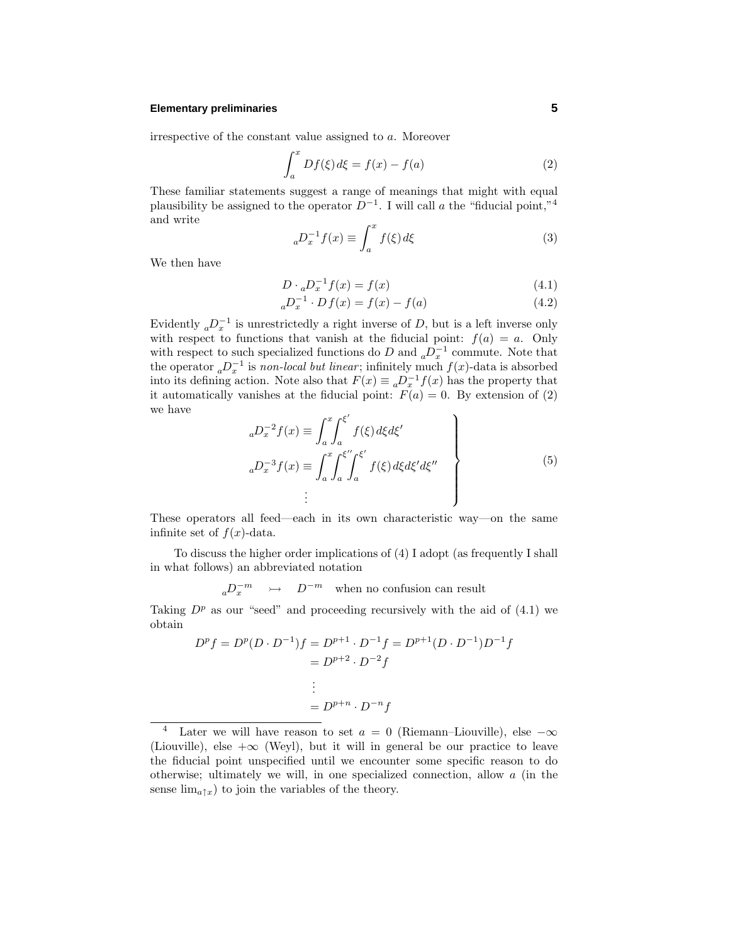## **Elementary preliminaries 5**

irrespective of the constant value assigned to *a*. Moreover

$$
\int_{a}^{x} Df(\xi) d\xi = f(x) - f(a)
$$
 (2)

These familiar statements suggest a range of meanings that might with equal plausibility be assigned to the operator  $D^{-1}$ . I will call *a* the "fiducial point,"<sup>4</sup> and write

$$
{}_{a}D_{x}^{-1}f(x) \equiv \int_{a}^{x} f(\xi) d\xi \tag{3}
$$

We then have

$$
D \cdot {}_aD_x^{-1}f(x) = f(x) \tag{4.1}
$$

$$
{}_{a}D_{x}^{-1} \cdot Df(x) = f(x) - f(a) \tag{4.2}
$$

Evidently  ${_a}D_x^{-1}$  is unrestrictedly a right inverse of *D*, but is a left inverse only with respect to functions that vanish at the fiducial point:  $f(a) = a$ . Only with respect to such specialized functions do *D* and  ${_aD_x^{-1}}$  commute. Note that the operator  ${_a}D_x^{-1}$  is non-local but linear; infinitely much  $f(x)$ -data is absorbed into its defining action. Note also that  $F(x) \equiv a D_x^{-1} f(x)$  has the property that it automatically vanishes at the fiducial point:  $F(a) = 0$ . By extension of (2) we have

$$
{}_{a}D_{x}^{-2}f(x) \equiv \int_{a}^{x} \int_{a}^{\xi'} f(\xi) d\xi d\xi'
$$
  
\n
$$
{}_{a}D_{x}^{-3}f(x) \equiv \int_{a}^{x} \int_{a}^{\xi''} \int_{a}^{\xi'} f(\xi) d\xi d\xi' d\xi''
$$
  
\n
$$
\vdots
$$
\n(5)

These operators all feed—each in its own characteristic way—on the same infinite set of  $f(x)$ -data.

To discuss the higher order implications of (4) I adopt (as frequently I shall in what follows) an abbreviated notation

 $aD_x^{-m}$   $\rightarrow$  *D*<sup>−*m*</sup> when no confusion can result

Taking  $D^p$  as our "seed" and proceeding recursively with the aid of  $(4.1)$  we obtain

$$
D^{p} f = D^{p}(D \cdot D^{-1})f = D^{p+1} \cdot D^{-1} f = D^{p+1}(D \cdot D^{-1})D^{-1} f
$$
  
=  $D^{p+2} \cdot D^{-2} f$   
:  
=  $D^{p+n} \cdot D^{-n} f$ 

<sup>&</sup>lt;sup>4</sup> Later we will have reason to set  $a = 0$  (Riemann–Liouville), else  $-\infty$ (Liouville), else  $+\infty$  (Weyl), but it will in general be our practice to leave the fiducial point unspecified until we encounter some specific reason to do otherwise; ultimately we will, in one specialized connection, allow *a* (in the sense  $\lim_{a \uparrow x}$  to join the variables of the theory.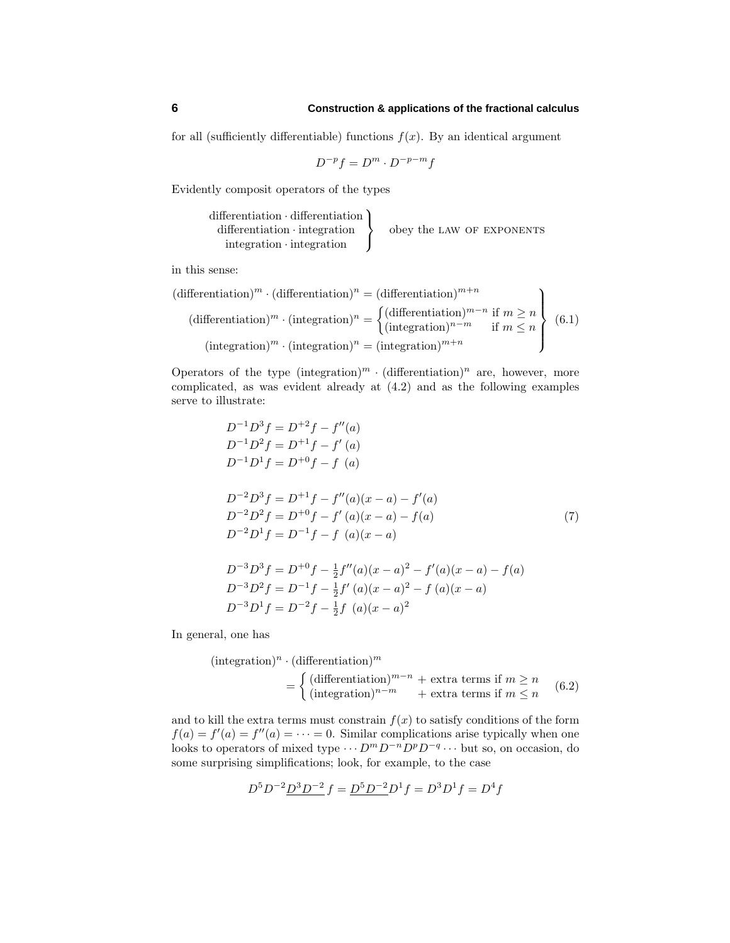for all (sufficiently differentiable) functions  $f(x)$ . By an identical argument

$$
D^{-p}f=D^m\cdot D^{-p-m}f
$$

Evidently composit operators of the types

differentiation · differentiation differentiation · integration integration · integration  $\mathcal{L}$  $\mathcal{L}$ J obey the LAW OF EXPONENTS

in this sense:

$$
(\text{differentiation})^m \cdot (\text{differentiation})^n = (\text{differentiation})^{m+n}
$$
  
\n
$$
(\text{differentiation})^m \cdot (\text{integration})^n = \begin{cases} (\text{differentiation})^{m-n} & \text{if } m \ge n \\ (\text{integration})^{n-m} & \text{if } m \le n \end{cases}
$$
  
\n
$$
(\text{integration})^m \cdot (\text{integration})^n = (\text{integration})^{m+n}
$$
  
\n(6.1)

Operators of the type  $(\text{integration})^m \cdot (\text{differentiation})^n$  are, however, more complicated, as was evident already at (4.2) and as the following examples serve to illustrate:

$$
D^{-1}D^{3}f = D^{+2}f - f''(a)
$$
  
\n
$$
D^{-1}D^{2}f = D^{+1}f - f'(a)
$$
  
\n
$$
D^{-1}D^{1}f = D^{+0}f - f(a)
$$
  
\n
$$
D^{-2}D^{3}f = D^{+1}f - f''(a)(x - a) - f'(a)
$$
  
\n
$$
D^{-2}D^{2}f = D^{+0}f - f'(a)(x - a) - f(a)
$$
  
\n
$$
D^{-2}D^{1}f = D^{-1}f - f(a)(x - a)
$$
  
\n
$$
D^{-3}D^{3}f = D^{+0}f - \frac{1}{2}f''(a)(x - a)^{2} - f'(a)(x - a) - f(a)
$$

$$
D^{-3}D^{2}f = D^{-1}f - \frac{1}{2}f'(a)(x-a)^{2} - f(a)(x-a)
$$
  

$$
D^{-3}D^{1}f = D^{-2}f - \frac{1}{2}f(a)(x-a)^{2}
$$

In general, one has

$$
(\text{integration})^n \cdot (\text{differentiation})^m
$$
  
= 
$$
\begin{cases} (\text{differentiation})^{m-n} + \text{extra terms if } m \ge n \\ (\text{integration})^{n-m} + \text{extra terms if } m \le n \end{cases}
$$
 (6.2)

and to kill the extra terms must constrain  $f(x)$  to satisfy conditions of the form  $f(a) = f'(a) = f''(a) = \cdots = 0$ . Similar complications arise typically when one looks to operators of mixed type  $\cdots$  *D<sup>m</sup>D*<sup>−*n*</sup>*D*<sup>*p*</sup>*D*<sup>−*q*</sup>  $\cdots$  but so, on occasion, do some surprising simplifications; look, for example, to the case

$$
D^5 D^{-2} D^3 D^{-2} f = D^5 D^{-2} D^1 f = D^3 D^1 f = D^4 f
$$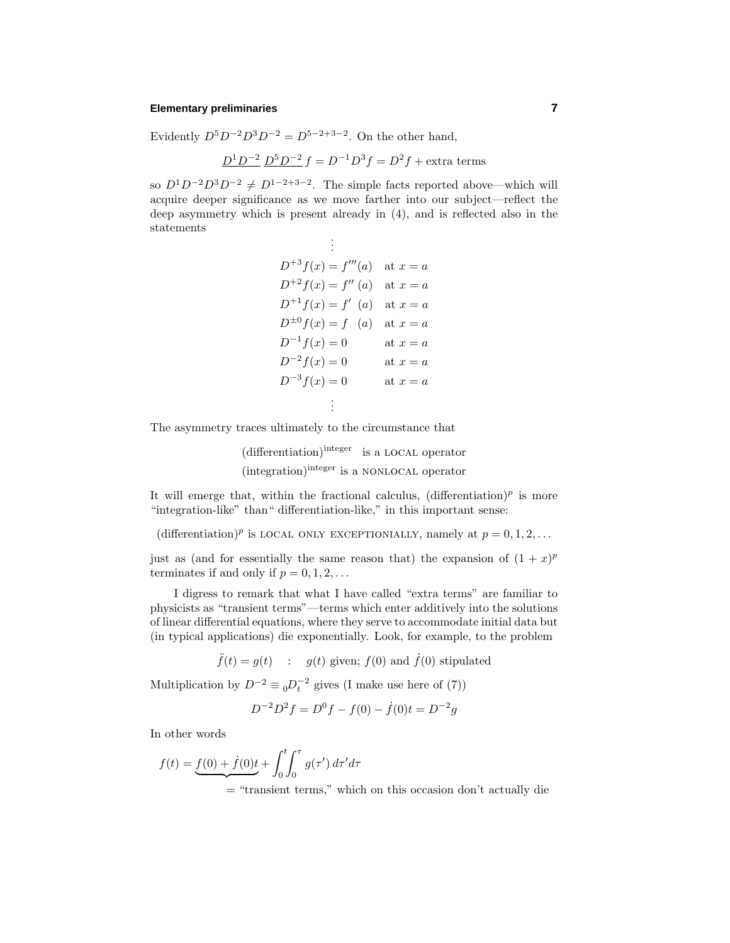#### **Elementary preliminaries 7**

Evidently  $D^5 D^{-2} D^3 D^{-2} = D^{5-2+3-2}$ . On the other hand,

$$
D^1 D^{-2} D^5 D^{-2} f = D^{-1} D^3 f = D^2 f + \text{extra terms}
$$

so  $D^1 D^{-2} D^3 D^{-2} \neq D^{1-2+3-2}$ . The simple facts reported above—which will acquire deeper significance as we move farther into our subject—reflect the deep asymmetry which is present already in (4), and is reflected also in the statements .

$$
\vdots
$$
  
\n
$$
D^{+3} f(x) = f'''(a) \text{ at } x = a
$$
  
\n
$$
D^{+2} f(x) = f''(a) \text{ at } x = a
$$
  
\n
$$
D^{+1} f(x) = f'(a) \text{ at } x = a
$$
  
\n
$$
D^{\pm 0} f(x) = f(a) \text{ at } x = a
$$
  
\n
$$
D^{-1} f(x) = 0 \text{ at } x = a
$$
  
\n
$$
D^{-2} f(x) = 0 \text{ at } x = a
$$
  
\n
$$
D^{-3} f(x) = 0 \text{ at } x = a
$$
  
\n
$$
\vdots
$$

The asymmetry traces ultimately to the circumstance that

(differentiation)integer is a local operator (integration)integer is a nonlocal operator

It will emerge that, within the fractional calculus,  $(\text{differentiation})^p$  is more "integration-like" than" differentiation-like," in this important sense:

(differentiation)<sup>*p*</sup> is LOCAL ONLY EXCEPTIONIALLY, namely at  $p = 0, 1, 2, \ldots$ 

just as (and for essentially the same reason that) the expansion of  $(1 + x)^p$ terminates if and only if  $p = 0, 1, 2, \ldots$ 

I digress to remark that what I have called "extra terms" are familiar to physicists as "transient terms"—terms which enter additively into the solutions of linear differential equations, where they serve to accommodate initial data but (in typical applications) die exponentially. Look, for example, to the problem

 $\ddot{f}(t) = g(t)$  :  $g(t)$  given;  $f(0)$  and  $\dot{f}(0)$  stipulated

Multiplication by  $D^{-2} \equiv {}_0D_t^{-2}$  gives (I make use here of (7))

$$
D^{-2}D^{2}f = D^{0}f - f(0) - \dot{f}(0)t = D^{-2}g
$$

In other words

$$
f(t) = \underbrace{f(0) + \dot{f}(0)t}_{= \text{``transient terms,'}} + \int_0^t \int_0^\tau g(\tau') d\tau' d\tau
$$
  
= \text{``transient terms,' which on this occasion don't actually die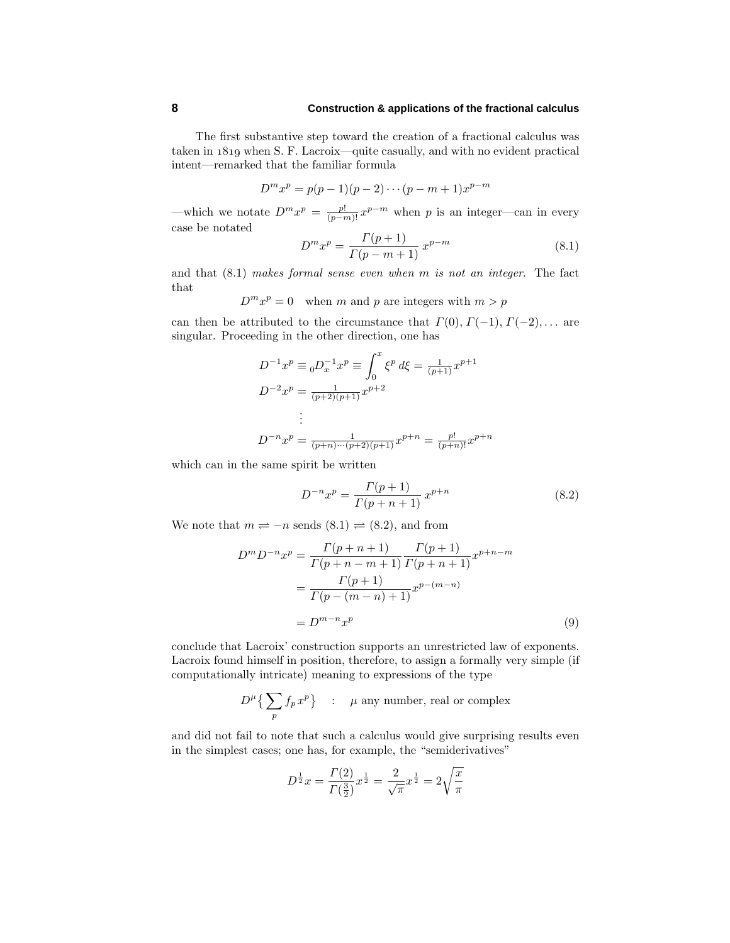The first substantive step toward the creation of a fractional calculus was taken in 1819 when S. F. Lacroix—quite casually, and with no evident practical intent—remarked that the familiar formula

$$
D^{m}x^{p} = p(p-1)(p-2)\cdots(p-m+1)x^{p-m}
$$

—which we notate  $D^m x^p = \frac{p!}{(p-m)!} x^{p-m}$  when *p* is an integer—can in every case be notated

$$
D^{m}x^{p} = \frac{\Gamma(p+1)}{\Gamma(p-m+1)} x^{p-m}
$$
\n(8.1)

and that (8.1) makes formal sense even when *m* is not an integer. The fact that

 $D^m x^p = 0$  when *m* and *p* are integers with  $m > p$ 

can then be attributed to the circumstance that  $\Gamma(0), \Gamma(-1), \Gamma(-2), \ldots$  are singular. Proceeding in the other direction, one has

$$
D^{-1}x^p \equiv_0 D_x^{-1}x^p \equiv \int_0^x \xi^p d\xi = \frac{1}{(p+1)} x^{p+1}
$$
  

$$
D^{-2}x^p = \frac{1}{(p+2)(p+1)} x^{p+2}
$$
  

$$
\vdots
$$
  

$$
D^{-n}x^p = \frac{1}{(p+n)\cdots(p+2)(p+1)} x^{p+n} = \frac{p!}{(p+n)!} x^{p+n}
$$

which can in the same spirit be written

$$
D^{-n}x^p = \frac{\Gamma(p+1)}{\Gamma(p+n+1)} x^{p+n}
$$
\n(8.2)

We note that  $m \rightleftharpoons -n$  sends  $(8.1) \rightleftharpoons (8.2)$ , and from

$$
D^{m} D^{-n} x^{p} = \frac{\Gamma(p+n+1)}{\Gamma(p+n-m+1)} \frac{\Gamma(p+1)}{\Gamma(p+n+1)} x^{p+n-m}
$$

$$
= \frac{\Gamma(p+1)}{\Gamma(p-(m-n)+1)} x^{p-(m-n)}
$$

$$
= D^{m-n} x^{p}
$$
(9)

conclude that Lacroix' construction supports an unrestricted law of exponents. Lacroix found himself in position, therefore, to assign a formally very simple (if computationally intricate) meaning to expressions of the type

$$
D^{\mu}\big\{\sum_p f_p x^p\big\} \quad : \quad \text{$\mu$ any number, real or complex}
$$

and did not fail to note that such a calculus would give surprising results even in the simplest cases; one has, for example, the "semiderivatives"

$$
D^{\frac{1}{2}}x = \frac{\Gamma(2)}{\Gamma(\frac{3}{2})}x^{\frac{1}{2}} = \frac{2}{\sqrt{\pi}}x^{\frac{1}{2}} = 2\sqrt{\frac{x}{\pi}}
$$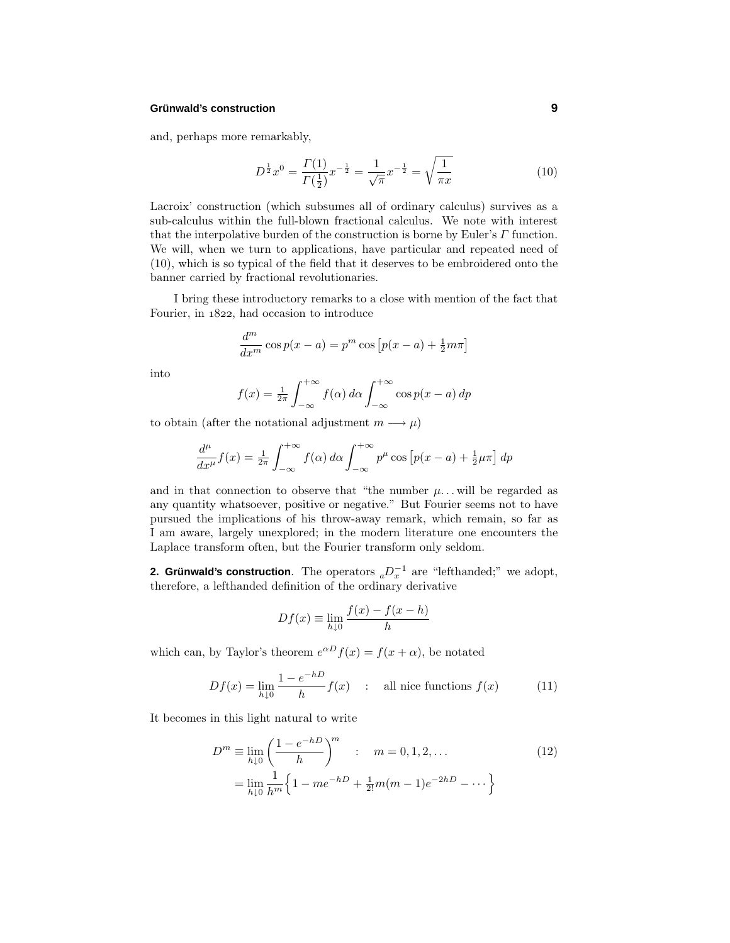## **Grünwald's construction 9**

and, perhaps more remarkably,

$$
D^{\frac{1}{2}}x^0 = \frac{\Gamma(1)}{\Gamma(\frac{1}{2})}x^{-\frac{1}{2}} = \frac{1}{\sqrt{\pi}}x^{-\frac{1}{2}} = \sqrt{\frac{1}{\pi x}}
$$
(10)

Lacroix' construction (which subsumes all of ordinary calculus) survives as a sub-calculus within the full-blown fractional calculus. We note with interest that the interpolative burden of the construction is borne by Euler's *Γ* function. We will, when we turn to applications, have particular and repeated need of (10), which is so typical of the field that it deserves to be embroidered onto the banner carried by fractional revolutionaries.

I bring these introductory remarks to a close with mention of the fact that Fourier, in  $1822$ , had occasion to introduce

$$
\frac{d^m}{dx^m}\cos p(x-a) = p^m\cos\left[p(x-a) + \frac{1}{2}m\pi\right]
$$

into

$$
f(x) = \frac{1}{2\pi} \int_{-\infty}^{+\infty} f(\alpha) d\alpha \int_{-\infty}^{+\infty} \cos p(x - a) dp
$$

to obtain (after the notational adjustment  $m \longrightarrow \mu$ )

$$
\frac{d^{\mu}}{dx^{\mu}}f(x) = \frac{1}{2\pi} \int_{-\infty}^{+\infty} f(\alpha) d\alpha \int_{-\infty}^{+\infty} p^{\mu} \cos [p(x-a) + \frac{1}{2}\mu\pi] dp
$$

and in that connection to observe that "the number  $\mu$ ... will be regarded as any quantity whatsoever, positive or negative." But Fourier seems not to have pursued the implications of his throw-away remark, which remain, so far as I am aware, largely unexplored; in the modern literature one encounters the Laplace transform often, but the Fourier transform only seldom.

**2. Grünwald's construction**. The operators  ${_aD_x^{-1}}$  are "lefthanded;" we adopt, therefore, a lefthanded definition of the ordinary derivative

$$
Df(x) \equiv \lim_{h \downarrow 0} \frac{f(x) - f(x - h)}{h}
$$

which can, by Taylor's theorem  $e^{\alpha D} f(x) = f(x + \alpha)$ , be notated

$$
Df(x) = \lim_{h \downarrow 0} \frac{1 - e^{-hD}}{h} f(x) \quad : \quad \text{all nice functions } f(x) \tag{11}
$$

It becomes in this light natural to write

$$
D^{m} \equiv \lim_{h \downarrow 0} \left( \frac{1 - e^{-hD}}{h} \right)^{m} : m = 0, 1, 2, ...
$$
  
= 
$$
\lim_{h \downarrow 0} \frac{1}{h^{m}} \left\{ 1 - me^{-hD} + \frac{1}{2!}m(m-1)e^{-2hD} - \dots \right\}
$$
 (12)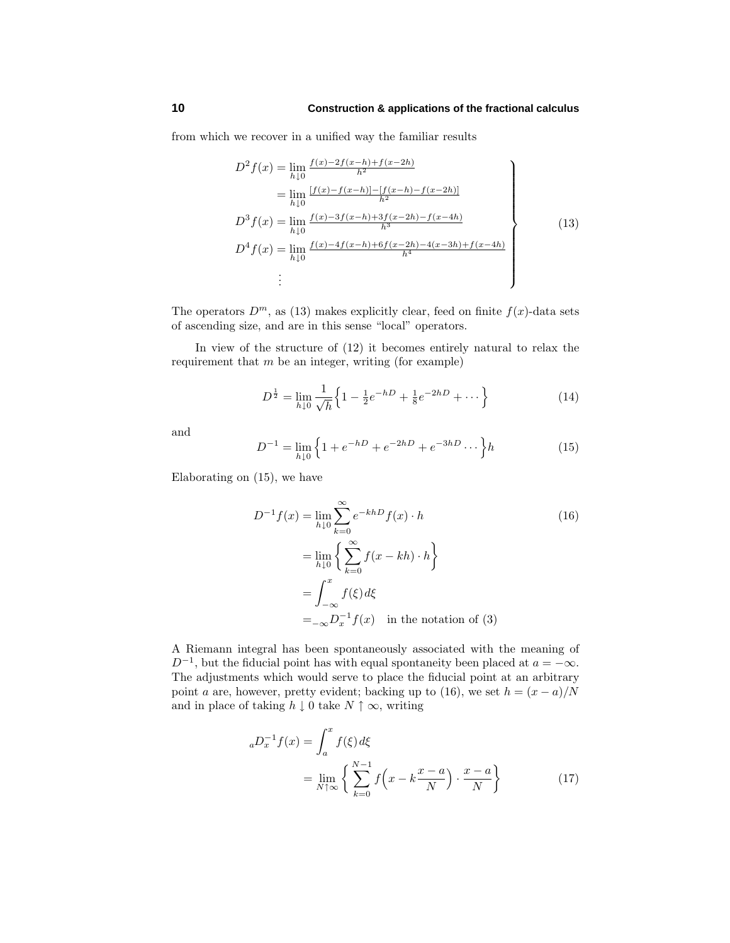from which we recover in a unified way the familiar results

$$
D^{2} f(x) = \lim_{h \downarrow 0} \frac{f(x) - 2f(x-h) + f(x-2h)}{h^{2}}
$$
  
\n
$$
= \lim_{h \downarrow 0} \frac{[f(x) - f(x-h)] - [f(x-h) - f(x-2h)]}{h^{2}}
$$
  
\n
$$
D^{3} f(x) = \lim_{h \downarrow 0} \frac{f(x) - 3f(x-h) + 3f(x-2h) - f(x-4h)}{h^{3}}
$$
  
\n
$$
D^{4} f(x) = \lim_{h \downarrow 0} \frac{f(x) - 4f(x-h) + 6f(x-2h) - 4(x-3h) + f(x-4h)}{h^{4}}
$$
  
\n
$$
\vdots
$$
\n(13)

The operators  $D^m$ , as (13) makes explicitly clear, feed on finite  $f(x)$ -data sets of ascending size, and are in this sense "local" operators.

In view of the structure of (12) it becomes entirely natural to relax the requirement that *m* be an integer, writing (for example)

$$
D^{\frac{1}{2}} = \lim_{h \downarrow 0} \frac{1}{\sqrt{h}} \left\{ 1 - \frac{1}{2} e^{-hD} + \frac{1}{8} e^{-2hD} + \dots \right\} \tag{14}
$$

and

$$
D^{-1} = \lim_{h \downarrow 0} \left\{ 1 + e^{-hD} + e^{-2hD} + e^{-3hD} \cdots \right\} h \tag{15}
$$

Elaborating on (15), we have

$$
D^{-1}f(x) = \lim_{h \downarrow 0} \sum_{k=0}^{\infty} e^{-kh} f(x) \cdot h
$$
\n
$$
= \lim_{h \downarrow 0} \left\{ \sum_{k=0}^{\infty} f(x - kh) \cdot h \right\}
$$
\n
$$
= \int_{-\infty}^{x} f(\xi) d\xi
$$
\n
$$
= -\infty D_x^{-1} f(x) \quad \text{in the notation of (3)}
$$
\n(16)

A Riemann integral has been spontaneously associated with the meaning of  $D^{-1}$ , but the fiducial point has with equal spontaneity been placed at  $a = -\infty$ . The adjustments which would serve to place the fiducial point at an arbitrary point *a* are, however, pretty evident; backing up to (16), we set  $h = (x - a)/N$ and in place of taking  $h \downarrow 0$  take  $N \uparrow \infty$ , writing

$$
{}_{a}D_{x}^{-1}f(x) = \int_{a}^{x} f(\xi) d\xi
$$
  
= 
$$
\lim_{N \uparrow \infty} \left\{ \sum_{k=0}^{N-1} f\left(x - k\frac{x - a}{N}\right) \cdot \frac{x - a}{N} \right\}
$$
(17)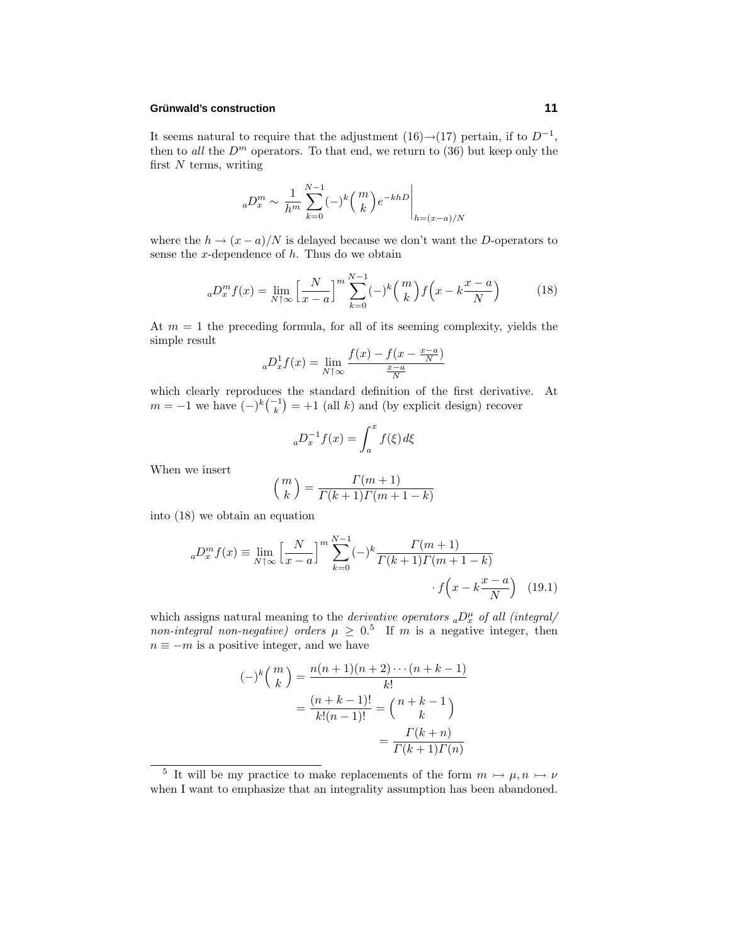#### **Grunwald ¨ 's construction 11**

It seems natural to require that the adjustment  $(16) \rightarrow (17)$  pertain, if to  $D^{-1}$ , then to *all* the  $D^m$  operators. To that end, we return to  $(36)$  but keep only the first *N* terms, writing

$$
_{a}D_{x}^{m} \sim \frac{1}{h^{m}} \sum_{k=0}^{N-1} (-)^{k} {m \choose k} e^{-khD} \Big|_{h=(x-a)/N}
$$

where the  $h \to (x - a)/N$  is delayed because we don't want the *D*-operators to sense the *x*-dependence of *h*. Thus do we obtain

$$
{}_{a}D_{x}^{m}f(x) = \lim_{N \uparrow \infty} \left[ \frac{N}{x-a} \right]^{m} \sum_{k=0}^{N-1} (-)^{k} {m \choose k} f\left(x - k \frac{x-a}{N}\right) \tag{18}
$$

At  $m = 1$  the preceding formula, for all of its seeming complexity, yields the simple result

$$
{}_{a}D_{x}^{1}f(x) = \lim_{N \uparrow \infty} \frac{f(x) - f(x - \frac{x-a}{N})}{\frac{x-a}{N}}
$$

which clearly reproduces the standard definition of the first derivative. At  $m = -1$  we have  $(-)^k \binom{-1}{k} = +1$  (all *k*) and (by explicit design) recover

$$
{}_{a}D_{x}^{-1}f(x) = \int_{a}^{x} f(\xi) d\xi
$$

When we insert

$$
\binom{m}{k} = \frac{\Gamma(m+1)}{\Gamma(k+1)\Gamma(m+1-k)}
$$

into (18) we obtain an equation

$$
{}_{a}D_{x}^{m}f(x) \equiv \lim_{N \uparrow \infty} \left[ \frac{N}{x-a} \right]^{m} \sum_{k=0}^{N-1} (-)^{k} \frac{\Gamma(m+1)}{\Gamma(k+1)\Gamma(m+1-k)} + f\left(x - k\frac{x-a}{N}\right) \tag{19.1}
$$

which assigns natural meaning to the *derivative operators*  $_{a}D_{x}^{\mu}$  of all (integral/ non-integral non-negative) orders  $\mu \geq 0.5$  If *m* is a negative integer, then  $n \equiv -m$  is a positive integer, and we have

$$
(-)^{k} \binom{m}{k} = \frac{n(n+1)(n+2)\cdots(n+k-1)}{k!}
$$

$$
= \frac{(n+k-1)!}{k!(n-1)!} = \binom{n+k-1}{k}
$$

$$
= \frac{\Gamma(k+n)}{\Gamma(k+1)\Gamma(n)}
$$

<sup>&</sup>lt;sup>5</sup> It will be my practice to make replacements of the form  $m \rightarrow \mu, n \rightarrow \nu$ when I want to emphasize that an integrality assumption has been abandoned.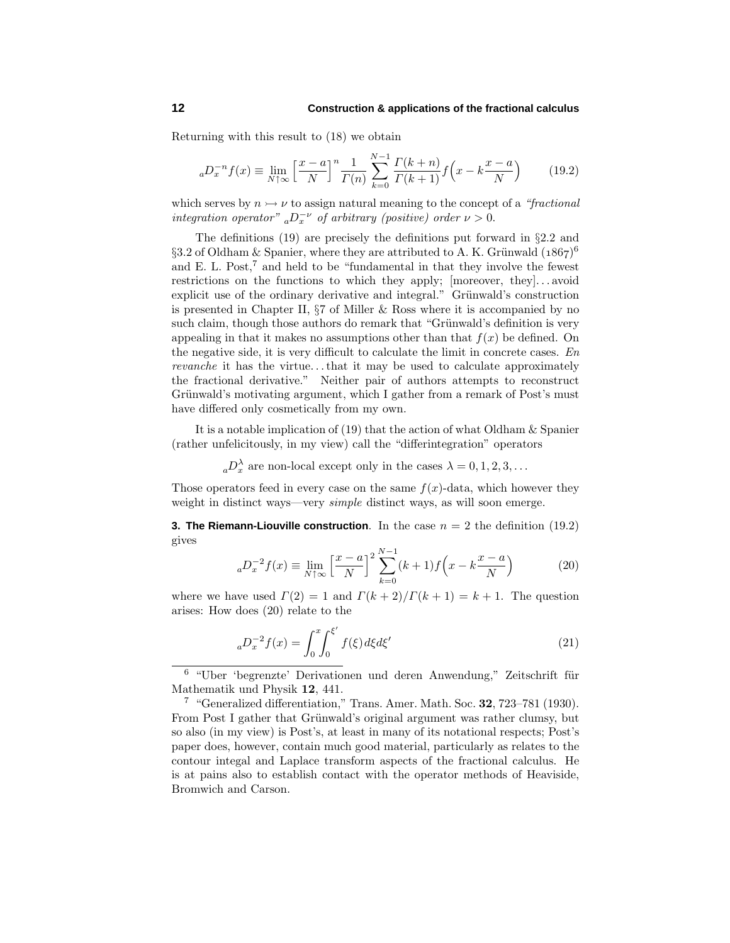Returning with this result to (18) we obtain

$$
{}_{a}D_{x}^{-n}f(x) \equiv \lim_{N \uparrow \infty} \left[ \frac{x-a}{N} \right]^{n} \frac{1}{\Gamma(n)} \sum_{k=0}^{N-1} \frac{\Gamma(k+n)}{\Gamma(k+1)} f\left(x - k\frac{x-a}{N}\right) \tag{19.2}
$$

which serves by  $n \rightarrow \nu$  to assign natural meaning to the concept of a "fractional" integration operator"  $_{a}D_{x}^{-\nu}$  of arbitrary (positive) order  $\nu > 0$ .

The definitions (19) are precisely the definitions put forward in §2.2 and §3.2 of Oldham & Spanier, where they are attributed to A. K. Grünwald  $(1867)^6$ and E. L. Post,<sup>7</sup> and held to be "fundamental in that they involve the fewest restrictions on the functions to which they apply; [moreover, they]*...* avoid explicit use of the ordinary derivative and integral." Grünwald's construction is presented in Chapter II,  $\S7$  of Miller & Ross where it is accompanied by no such claim, though those authors do remark that "Grünwald's definition is very appealing in that it makes no assumptions other than that  $f(x)$  be defined. On the negative side, it is very difficult to calculate the limit in concrete cases.  $En$ revanche it has the virtue*...*that it may be used to calculate approximately the fractional derivative." Neither pair of authors attempts to reconstruct Grünwald's motivating argument, which I gather from a remark of Post's must have differed only cosmetically from my own.

It is a notable implication of (19) that the action of what Oldham & Spanier (rather unfelicitously, in my view) call the "differintegration" operators

 $aD_x^{\lambda}$  are non-local except only in the cases  $\lambda = 0, 1, 2, 3, \ldots$ 

Those operators feed in every case on the same  $f(x)$ -data, which however they weight in distinct ways—very *simple* distinct ways, as will soon emerge.

**3. The Riemann-Liouville construction.** In the case  $n = 2$  the definition (19.2) gives

$$
{}_{a}D_{x}^{-2}f(x) \equiv \lim_{N \uparrow \infty} \left[ \frac{x-a}{N} \right]^2 \sum_{k=0}^{N-1} (k+1) f\left(x - k\frac{x-a}{N}\right) \tag{20}
$$

where we have used  $\Gamma(2) = 1$  and  $\Gamma(k+2)/\Gamma(k+1) = k+1$ . The question arises: How does (20) relate to the

$$
{}_{a}D_{x}^{-2}f(x) = \int_{0}^{x} \int_{0}^{\xi'} f(\xi) d\xi d\xi'
$$
 (21)

 $6$  "Uber 'begrenzte' Derivationen und deren Anwendung," Zeitschrift für Mathematik und Physik **12**, 441.

<sup>7</sup> "Generalized differentiation," Trans. Amer. Math. Soc. **32**, 723–781 (1930). From Post I gather that Grünwald's original argument was rather clumsy, but so also (in my view) is Post's, at least in many of its notational respects; Post's paper does, however, contain much good material, particularly as relates to the contour integal and Laplace transform aspects of the fractional calculus. He is at pains also to establish contact with the operator methods of Heaviside, Bromwich and Carson.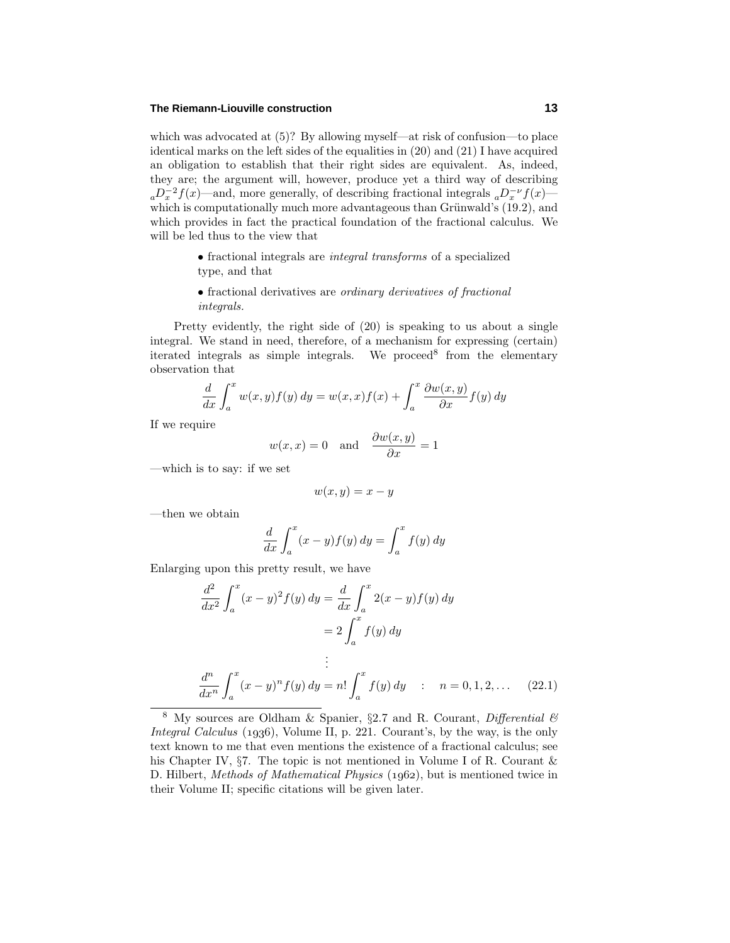## **The Riemann-Liouville construction 13**

which was advocated at (5)? By allowing myself—at risk of confusion—to place identical marks on the left sides of the equalities in (20) and (21) I have acquired an obligation to establish that their right sides are equivalent. As, indeed, they are; the argument will, however, produce yet a third way of describing  $a^2D_x^{-2}f(x)$ —and, more generally, of describing fractional integrals  $a^2D_x^{-\nu}f(x)$  which is computationally much more advantageous than Grünwald's  $(19.2)$ , and which provides in fact the practical foundation of the fractional calculus. We will be led thus to the view that

> • fractional integrals are integral transforms of a specialized type, and that

> • fractional derivatives are ordinary derivatives of fractional integrals.

Pretty evidently, the right side of (20) is speaking to us about a single integral. We stand in need, therefore, of a mechanism for expressing (certain) iterated integrals as simple integrals. We proceed<sup>8</sup> from the elementary observation that

$$
\frac{d}{dx} \int_a^x w(x, y) f(y) dy = w(x, x) f(x) + \int_a^x \frac{\partial w(x, y)}{\partial x} f(y) dy
$$

If we require

$$
w(x, x) = 0
$$
 and  $\frac{\partial w(x, y)}{\partial x} = 1$ 

—which is to say: if we set

$$
w(x,y) = x - y
$$

—then we obtain

$$
\frac{d}{dx}\int_a^x (x-y)f(y) \, dy = \int_a^x f(y) \, dy
$$

Enlarging upon this pretty result, we have

$$
\frac{d^2}{dx^2} \int_a^x (x - y)^2 f(y) \, dy = \frac{d}{dx} \int_a^x 2(x - y) f(y) \, dy
$$
\n
$$
= 2 \int_a^x f(y) \, dy
$$
\n
$$
\vdots
$$
\n
$$
\frac{d^n}{dx^n} \int_a^x (x - y)^n f(y) \, dy = n! \int_a^x f(y) \, dy \quad : \quad n = 0, 1, 2, \dots \quad (22.1)
$$

<sup>&</sup>lt;sup>8</sup> My sources are Oldham & Spanier, §2.7 and R. Courant, *Differential*  $\mathcal{B}$ Integral Calculus  $(1936)$ , Volume II, p. 221. Courant's, by the way, is the only text known to me that even mentions the existence of a fractional calculus; see his Chapter IV,  $\S7$ . The topic is not mentioned in Volume I of R. Courant & D. Hilbert, Methods of Mathematical Physics (1962), but is mentioned twice in their Volume II; specific citations will be given later.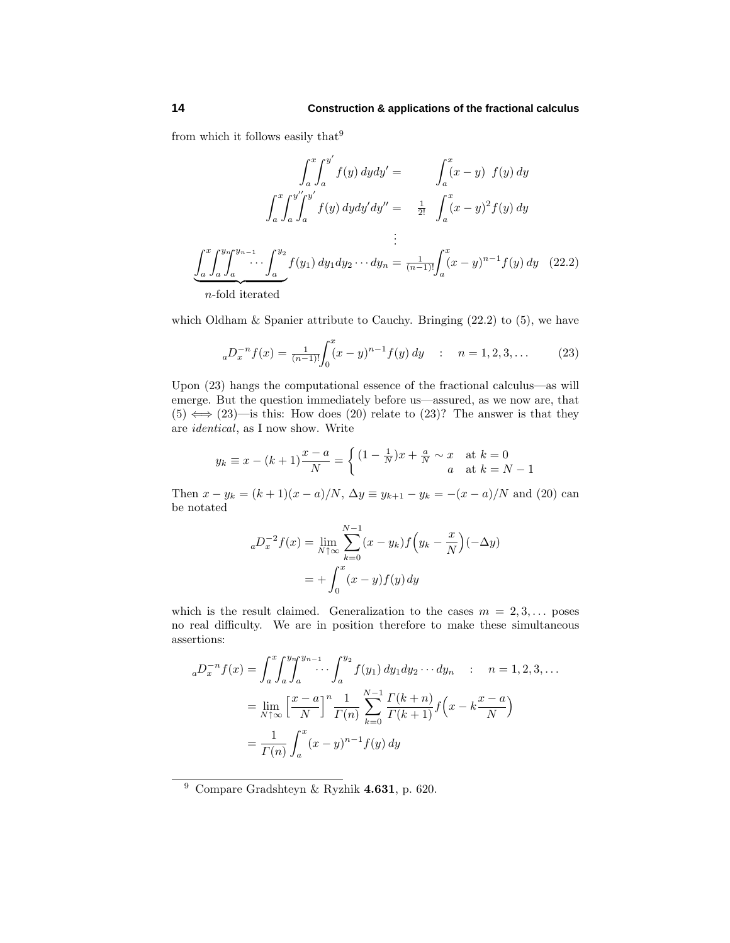from which it follows easily that  $9$ 

$$
\int_{a}^{x} \int_{a}^{y'} f(y) \, dy dy' = \int_{a}^{x} (x - y) f(y) \, dy
$$

$$
\int_{a}^{x} \int_{a}^{y''} \int_{a}^{y'} f(y) \, dy dy' dy'' = \frac{1}{2!} \int_{a}^{x} (x - y)^{2} f(y) \, dy
$$

$$
\vdots
$$

$$
\int_{a}^{x} \int_{a}^{y} \int_{a}^{y_{n-1}} \cdots \int_{a}^{y_{2}} f(y_{1}) \, dy_{1} dy_{2} \cdots dy_{n} = \frac{1}{(n-1)!} \int_{a}^{x} (x - y)^{n-1} f(y) \, dy \quad (22.2)
$$
  
n-fold iterated

which Oldham  $&$  Spanier attribute to Cauchy. Bringing  $(22.2)$  to  $(5)$ , we have

$$
{}_{a}D_{x}^{-n}f(x) = \frac{1}{(n-1)!} \int_{0}^{x} (x-y)^{n-1} f(y) \, dy \quad : \quad n = 1, 2, 3, \dots \tag{23}
$$

Upon (23) hangs the computational essence of the fractional calculus—as will emerge. But the question immediately before us—assured, as we now are, that  $(5) \iff (23)$ —is this: How does  $(20)$  relate to  $(23)$ ? The answer is that they are identical, as I now show. Write

$$
y_k \equiv x - (k+1)\frac{x-a}{N} = \begin{cases} (1 - \frac{1}{N})x + \frac{a}{N} \sim x & \text{at } k = 0\\ a & \text{at } k = N - 1 \end{cases}
$$

Then  $x - y_k = (k + 1)(x - a)/N$ ,  $\Delta y \equiv y_{k+1} - y_k = -(x - a)/N$  and (20) can be notated

$$
{}_{a}D_{x}^{-2}f(x) = \lim_{N \uparrow \infty} \sum_{k=0}^{N-1} (x - y_{k}) f\left(y_{k} - \frac{x}{N}\right) (-\Delta y)
$$
  
=  $+\int_{0}^{x} (x - y) f(y) dy$ 

which is the result claimed. Generalization to the cases  $m = 2, 3, \ldots$  poses no real difficulty. We are in position therefore to make these simultaneous assertions:

$$
{}_{a}D_{x}^{-n}f(x) = \int_{a}^{x} \int_{a}^{y} \int_{a}^{y_{n-1}} \cdots \int_{a}^{y_{2}} f(y_{1}) dy_{1} dy_{2} \cdots dy_{n} \quad : \quad n = 1, 2, 3, \dots
$$

$$
= \lim_{N \uparrow \infty} \left[ \frac{x-a}{N} \right]^{n} \frac{1}{\Gamma(n)} \sum_{k=0}^{N-1} \frac{\Gamma(k+n)}{\Gamma(k+1)} f\left(x - k \frac{x-a}{N}\right)
$$

$$
= \frac{1}{\Gamma(n)} \int_{a}^{x} (x-y)^{n-1} f(y) dy
$$

<sup>9</sup> Compare Gradshteyn & Ryzhik **4.631**, p. 620.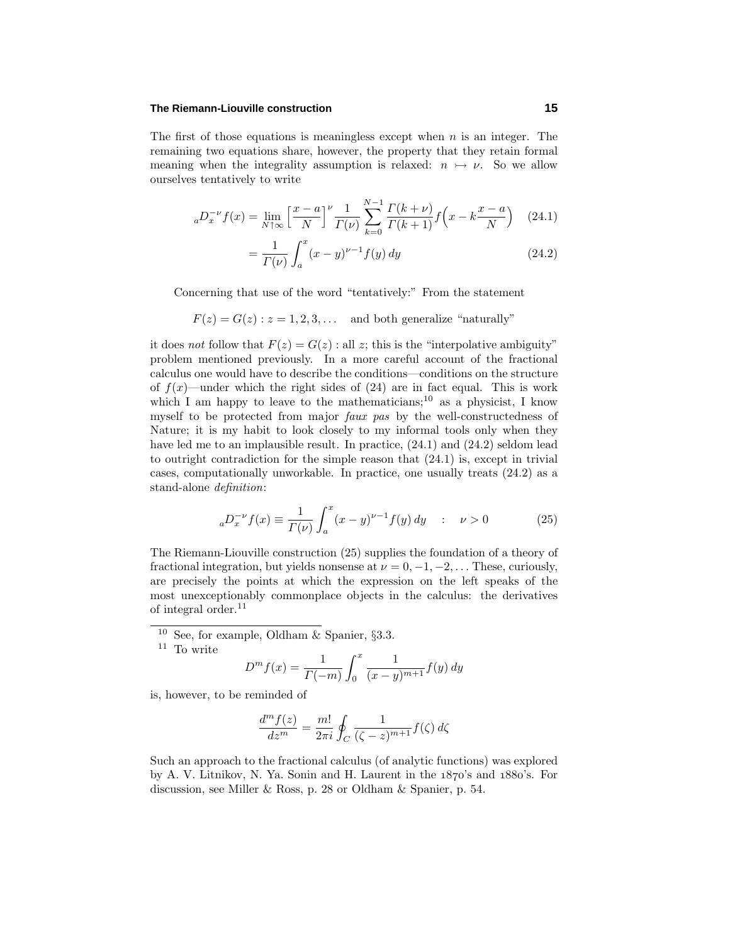## **The Riemann-Liouville construction 15**

The first of those equations is meaningless except when *n* is an integer. The remaining two equations share, however, the property that they retain formal meaning when the integrality assumption is relaxed:  $n \rightarrow \nu$ . So we allow ourselves tentatively to write

$$
{}_{a}D_{x}^{-\nu}f(x) = \lim_{N \uparrow \infty} \left[ \frac{x - a}{N} \right]^{\nu} \frac{1}{\Gamma(\nu)} \sum_{k=0}^{N-1} \frac{\Gamma(k+\nu)}{\Gamma(k+1)} f\left(x - k\frac{x - a}{N}\right) \tag{24.1}
$$

$$
=\frac{1}{\Gamma(\nu)}\int_{a}^{x}(x-y)^{\nu-1}f(y)\,dy\tag{24.2}
$$

Concerning that use of the word "tentatively:" From the statement

 $F(z) = G(z)$ :  $z = 1, 2, 3, \ldots$  and both generalize "naturally"

it does not follow that  $F(z) = G(z)$ : all *z*; this is the "interpolative ambiguity" problem mentioned previously. In a more careful account of the fractional calculus one would have to describe the conditions—conditions on the structure of  $f(x)$ —under which the right sides of  $(24)$  are in fact equal. This is work which I am happy to leave to the mathematicians;<sup>10</sup> as a physicist, I know myself to be protected from major faux pas by the well-constructedness of Nature; it is my habit to look closely to my informal tools only when they have led me to an implausible result. In practice,  $(24.1)$  and  $(24.2)$  seldom lead to outright contradiction for the simple reason that (24.1) is, except in trivial cases, computationally unworkable. In practice, one usually treats (24.2) as a stand-alone definition:

$$
{}_{a}D_{x}^{-\nu}f(x) \equiv \frac{1}{\Gamma(\nu)} \int_{a}^{x} (x - y)^{\nu - 1} f(y) \, dy \quad : \quad \nu > 0 \tag{25}
$$

The Riemann-Liouville construction (25) supplies the foundation of a theory of fractional integration, but yields nonsense at  $\nu = 0, -1, -2, \ldots$  These, curiously, are precisely the points at which the expression on the left speaks of the most unexceptionably commonplace objects in the calculus: the derivatives of integral order.<sup>11</sup>

<sup>10</sup> See, for example, Oldham & Spanier,  $\S 3.3$ .

 $^{\rm 11}$  To write

$$
D^{m} f(x) = \frac{1}{\Gamma(-m)} \int_0^x \frac{1}{(x-y)^{m+1}} f(y) \, dy
$$

is, however, to be reminded of

$$
\frac{d^m f(z)}{dz^m} = \frac{m!}{2\pi i} \oint_C \frac{1}{(\zeta - z)^{m+1}} f(\zeta) d\zeta
$$

Such an approach to the fractional calculus (of analytic functions) was explored by A. V. Litnikov, N. Ya. Sonin and H. Laurent in the  $1870's$  and  $1880's$ . For discussion, see Miller & Ross, p. 28 or Oldham & Spanier, p. 54.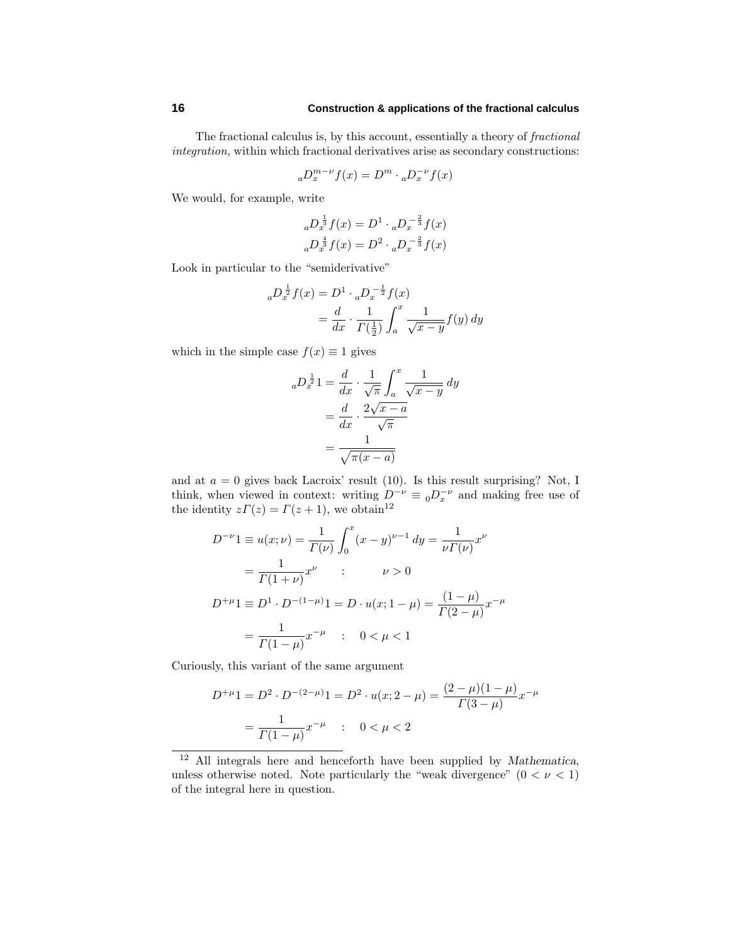The fractional calculus is, by this account, essentially a theory of fractional integration, within which fractional derivatives arise as secondary constructions:

$$
{_aD_x^{m-\nu}f(x)=D^m\cdot {_aD_x^{-\nu}f(x)}}
$$

We would, for example, write

$$
{}_{a}D_{x}^{\frac{1}{3}}f(x) = D^{1} \cdot {}_{a}D_{x}^{-\frac{2}{3}}f(x)
$$

$$
{}_{a}D_{x}^{\frac{4}{3}}f(x) = D^{2} \cdot {}_{a}D_{x}^{-\frac{2}{3}}f(x)
$$

Look in particular to the "semiderivative"

$$
{}_{a}D_{x}^{\frac{1}{2}}f(x) = D^{1} \cdot {}_{a}D_{x}^{-\frac{1}{2}}f(x)
$$
  
=  $\frac{d}{dx} \cdot \frac{1}{\Gamma(\frac{1}{2})} \int_{a}^{x} \frac{1}{\sqrt{x-y}} f(y) dy$ 

which in the simple case  $f(x) \equiv 1$  gives

$$
{}_{a}D_{x}^{\frac{1}{2}}1 = \frac{d}{dx} \cdot \frac{1}{\sqrt{\pi}} \int_{a}^{x} \frac{1}{\sqrt{x-y}} dy
$$

$$
= \frac{d}{dx} \cdot \frac{2\sqrt{x-a}}{\sqrt{\pi}}
$$

$$
= \frac{1}{\sqrt{\pi(x-a)}}
$$

and at  $a = 0$  gives back Lacroix' result (10). Is this result surprising? Not, I think, when viewed in context: writing  $D^{-\nu} \equiv {}_0D_x^{-\nu}$  and making free use of the identity  $z\Gamma(z) = \Gamma(z+1)$ , we obtain<sup>12</sup>

$$
D^{-\nu}1 \equiv u(x;\nu) = \frac{1}{\Gamma(\nu)} \int_0^x (x-y)^{\nu-1} dy = \frac{1}{\nu \Gamma(\nu)} x^{\nu}
$$
  
=  $\frac{1}{\Gamma(1+\nu)} x^{\nu}$  :  $\nu > 0$   

$$
D^{+\mu}1 \equiv D^1 \cdot D^{-(1-\mu)}1 = D \cdot u(x; 1-\mu) = \frac{(1-\mu)}{\Gamma(2-\mu)} x^{-\mu}
$$
  
=  $\frac{1}{\Gamma(1-\mu)} x^{-\mu}$  :  $0 < \mu < 1$ 

Curiously, this variant of the same argument

$$
D^{+\mu}1 = D^2 \cdot D^{-(2-\mu)}1 = D^2 \cdot u(x; 2-\mu) = \frac{(2-\mu)(1-\mu)}{\Gamma(3-\mu)}x^{-\mu}
$$

$$
= \frac{1}{\Gamma(1-\mu)}x^{-\mu} \quad : \quad 0 < \mu < 2
$$

<sup>12</sup> All integrals here and henceforth have been supplied by *Mathematica*, unless otherwise noted. Note particularly the "weak divergence"  $(0 < \nu < 1)$ of the integral here in question.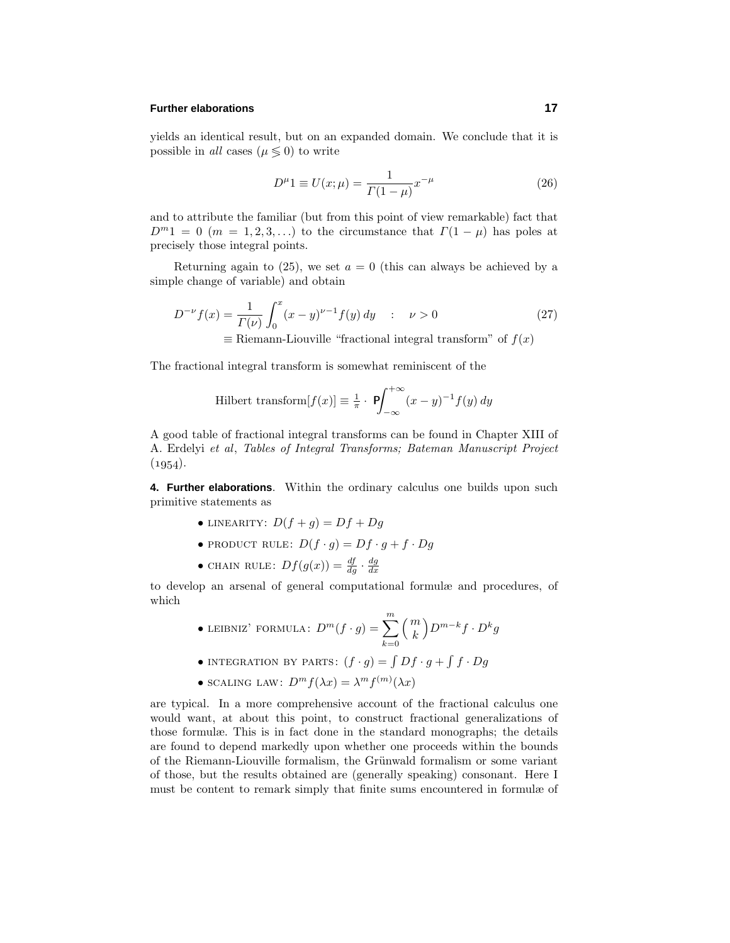## **Further elaborations 17**

yields an identical result, but on an expanded domain. We conclude that it is possible in *all* cases ( $\mu \leq 0$ ) to write

$$
D^{\mu}1 \equiv U(x;\mu) = \frac{1}{\Gamma(1-\mu)}x^{-\mu}
$$
 (26)

and to attribute the familiar (but from this point of view remarkable) fact that  $D^{m}1 = 0$  (*m* = 1*,* 2*,* 3*,...*) to the circumstance that  $\Gamma(1 - \mu)$  has poles at precisely those integral points.

Returning again to  $(25)$ , we set  $a = 0$  (this can always be achieved by a simple change of variable) and obtain

$$
D^{-\nu}f(x) = \frac{1}{\Gamma(\nu)} \int_0^x (x - y)^{\nu - 1} f(y) dy \quad : \quad \nu > 0
$$
 (27)  

$$
\equiv \text{Riemann-Liouville \text{ "fractional integral transform" of } f(x)
$$

The fractional integral transform is somewhat reminiscent of the

$$
\text{Hilbert transform}[f(x)] \equiv \frac{1}{\pi} \cdot \mathbf{P} \int_{-\infty}^{+\infty} (x - y)^{-1} f(y) \, dy
$$

A good table of fractional integral transforms can be found in Chapter XIII of A. Erdelyi et al, Tables of Integral Transforms; Bateman Manuscript Project  $(1954).$ 

**4. Further elaborations**. Within the ordinary calculus one builds upon such primitive statements as

- LINEARITY:  $D(f+g) = Df + Dg$
- PRODUCT RULE:  $D(f \cdot g) = Df \cdot g + f \cdot Dg$
- CHAIN RULE:  $Df(g(x)) = \frac{df}{dg} \cdot \frac{dg}{dx}$

to develop an arsenal of general computational formulæ and procedures, of which

- LEIBNIZ' FORMULA:  $D^m(f \cdot g) = \sum_{n=1}^{\infty}$ *k*=0 *m k*  $\left(D^{m-k}f \cdot D^{k}g\right)$
- INTEGRATION BY PARTS:  $(f \cdot g) = \int Df \cdot g + \int f \cdot Dg$
- SCALING LAW:  $D^m f(\lambda x) = \lambda^m f^{(m)}(\lambda x)$

are typical. In a more comprehensive account of the fractional calculus one would want, at about this point, to construct fractional generalizations of those formulæ. This is in fact done in the standard monographs; the details are found to depend markedly upon whether one proceeds within the bounds of the Riemann-Liouville formalism, the Grünwald formalism or some variant of those, but the results obtained are (generally speaking) consonant. Here I must be content to remark simply that finite sums encountered in formulæ of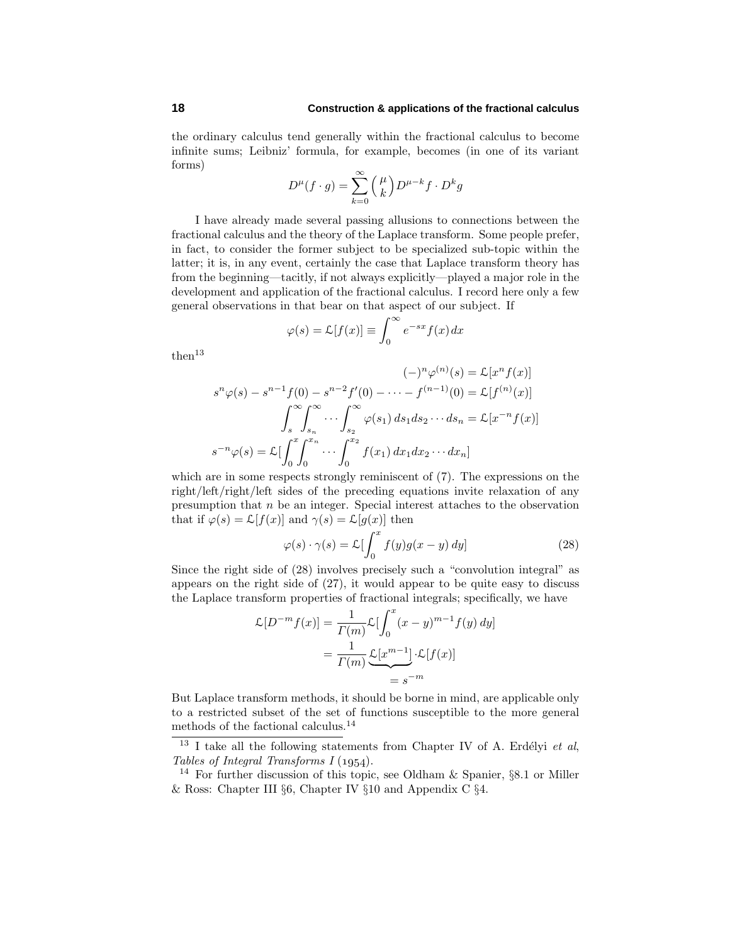the ordinary calculus tend generally within the fractional calculus to become infinite sums; Leibniz' formula, for example, becomes (in one of its variant forms)

$$
D^{\mu}(f \cdot g) = \sum_{k=0}^{\infty} {\mu \choose k} D^{\mu-k} f \cdot D^k g
$$

I have already made several passing allusions to connections between the fractional calculus and the theory of the Laplace transform. Some people prefer, in fact, to consider the former subject to be specialized sub-topic within the latter; it is, in any event, certainly the case that Laplace transform theory has from the beginning—tacitly, if not always explicitly—played a major role in the development and application of the fractional calculus. I record here only a few general observations in that bear on that aspect of our subject. If

$$
\varphi(s) = \mathcal{L}[f(x)] \equiv \int_0^\infty e^{-sx} f(x) \, dx
$$

 $then<sup>13</sup>$ 

$$
s^n \varphi(s) - s^{n-1} f(0) - s^{n-2} f'(0) - \dots - f^{(n-1)}(0) = \mathcal{L}[x^n f(x)]
$$

$$
\int_s^\infty \int_{s_n}^\infty \dots \int_{s_2}^\infty \varphi(s_1) ds_1 ds_2 \dots ds_n = \mathcal{L}[x^{-n} f(x)]
$$

$$
s^{-n} \varphi(s) = \mathcal{L}[\int_0^x \int_0^{x_n} \dots \int_0^{x_2} f(x_1) dx_1 dx_2 \dots dx_n]
$$

which are in some respects strongly reminiscent of (7). The expressions on the right/left/right/left sides of the preceding equations invite relaxation of any presumption that *n* be an integer. Special interest attaches to the observation that if  $\varphi(s) = \mathcal{L}[f(x)]$  and  $\gamma(s) = \mathcal{L}[g(x)]$  then

$$
\varphi(s) \cdot \gamma(s) = \mathcal{L} \left[ \int_0^x f(y) g(x - y) \, dy \right] \tag{28}
$$

Since the right side of (28) involves precisely such a "convolution integral" as appears on the right side of (27), it would appear to be quite easy to discuss the Laplace transform properties of fractional integrals; specifically, we have

$$
\mathcal{L}[D^{-m}f(x)] = \frac{1}{\Gamma(m)} \mathcal{L}[\int_0^x (x - y)^{m-1} f(y) dy]
$$

$$
= \frac{1}{\Gamma(m)} \underbrace{\mathcal{L}[x^{m-1}]\cdot \mathcal{L}[f(x)]}_{=s^{-m}}
$$

But Laplace transform methods, it should be borne in mind, are applicable only to a restricted subset of the set of functions susceptible to the more general methods of the factional calculus.<sup>14</sup>

 $13$  I take all the following statements from Chapter IV of A. Erdélyi et al, Tables of Integral Transforms  $I(1954)$ .

<sup>&</sup>lt;sup>14</sup> For further discussion of this topic, see Oldham & Spanier,  $\S 8.1$  or Miller & Ross: Chapter III §6, Chapter IV §10 and Appendix C §4.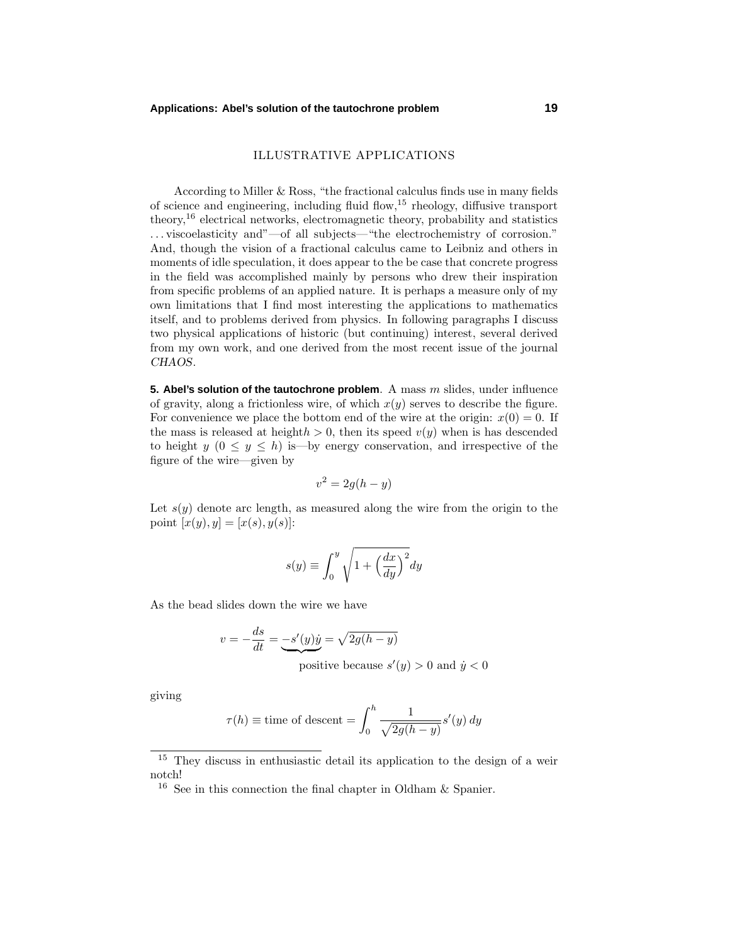## **Applications: Abel's solution of the tautochrone problem 19**

# ILLUSTRATIVE APPLICATIONS

According to Miller & Ross, "the fractional calculus finds use in many fields of science and engineering, including fluid flow, $15$  rheology, diffusive transport theory,<sup>16</sup> electrical networks, electromagnetic theory, probability and statistics *...* viscoelasticity and"—of all subjects—"the electrochemistry of corrosion." And, though the vision of a fractional calculus came to Leibniz and others in moments of idle speculation, it does appear to the be case that concrete progress in the field was accomplished mainly by persons who drew their inspiration from specific problems of an applied nature. It is perhaps a measure only of my own limitations that I find most interesting the applications to mathematics itself, and to problems derived from physics. In following paragraphs I discuss two physical applications of historic (but continuing) interest, several derived from my own work, and one derived from the most recent issue of the journal *CHAOS*.

**5. Abel's solution of the tautochrone problem**. A mass *m* slides, under influence of gravity, along a frictionless wire, of which  $x(y)$  serves to describe the figure. For convenience we place the bottom end of the wire at the origin:  $x(0) = 0$ . If the mass is released at height $h > 0$ , then its speed  $v(y)$  when is has descended to height  $y$  ( $0 \le y \le h$ ) is—by energy conservation, and irrespective of the figure of the wire—given by

$$
v^2 = 2g(h - y)
$$

Let  $s(y)$  denote arc length, as measured along the wire from the origin to the point  $[x(y), y] = [x(s), y(s)]$ :

$$
s(y) \equiv \int_0^y \sqrt{1 + \left(\frac{dx}{dy}\right)^2} dy
$$

As the bead slides down the wire we have

$$
v = -\frac{ds}{dt} = -s'(y)\dot{y} = \sqrt{2g(h-y)}
$$

positive because  $s'(y) > 0$  and  $\dot{y} < 0$ 

giving

$$
\tau(h) \equiv \text{time of descent} = \int_0^h \frac{1}{\sqrt{2g(h-y)}} s'(y) \, dy
$$

<sup>15</sup> They discuss in enthusiastic detail its application to the design of a weir notch!

 $^{16}\,$  See in this connection the final chapter in Oldham & Spanier.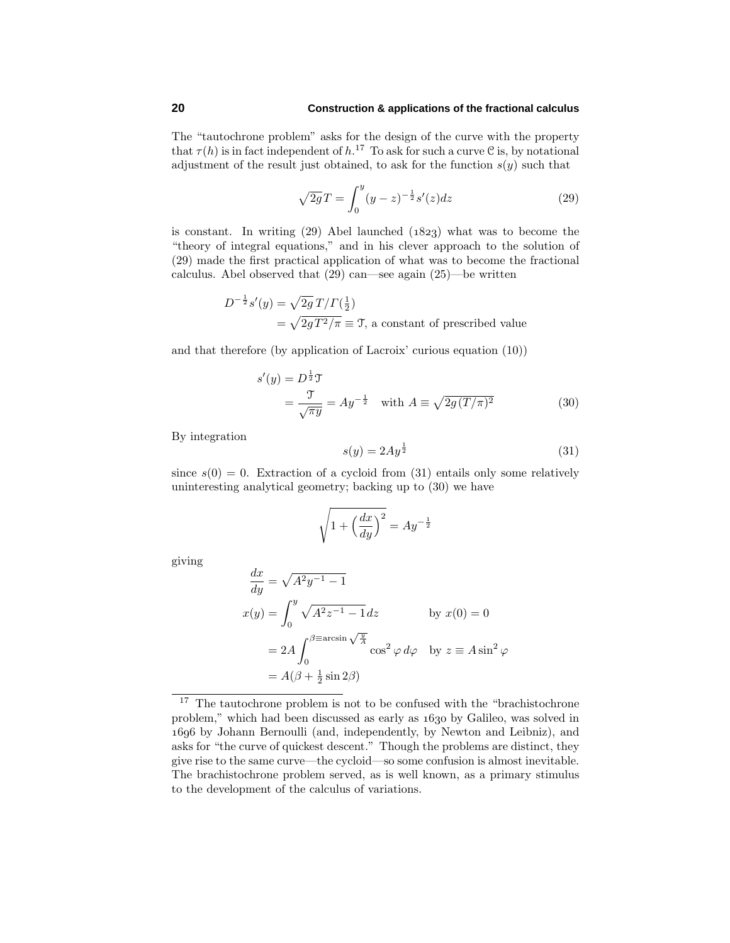The "tautochrone problem" asks for the design of the curve with the property that  $\tau(h)$  is in fact independent of  $h$ <sup>17</sup> To ask for such a curve C is, by notational adjustment of the result just obtained, to ask for the function  $s(y)$  such that

$$
\sqrt{2g}T = \int_0^y (y - z)^{-\frac{1}{2}} s'(z) dz
$$
\n(29)

is constant. In writing  $(29)$  Abel launched  $(1823)$  what was to become the "theory of integral equations," and in his clever approach to the solution of (29) made the first practical application of what was to become the fractional calculus. Abel observed that (29) can—see again (25)—be written

$$
D^{-\frac{1}{2}}s'(y) = \sqrt{2g} T/\Gamma(\frac{1}{2})
$$
  
=  $\sqrt{2gT^2/\pi} \equiv T$ , a constant of prescribed value

and that therefore (by application of Lacroix' curious equation (10))

$$
s'(y) = D^{\frac{1}{2}}\mathcal{T}
$$
  
=  $\frac{\mathcal{T}}{\sqrt{\pi y}} = Ay^{-\frac{1}{2}}$  with  $A \equiv \sqrt{2g(T/\pi)^2}$  (30)

By integration

$$
s(y) = 2Ay^{\frac{1}{2}}\tag{31}
$$

since  $s(0) = 0$ . Extraction of a cycloid from (31) entails only some relatively uninteresting analytical geometry; backing up to (30) we have

$$
\sqrt{1 + \left(\frac{dx}{dy}\right)^2} = Ay^{-\frac{1}{2}}
$$

giving

$$
\frac{dx}{dy} = \sqrt{A^2 y^{-1} - 1}
$$
  
\n
$$
x(y) = \int_0^y \sqrt{A^2 z^{-1} - 1} dz
$$
 by  $x(0) = 0$   
\n
$$
= 2A \int_0^{\beta \equiv \arcsin \sqrt{\frac{y}{A}} } \cos^2 \varphi d\varphi
$$
 by  $z \equiv A \sin^2 \varphi$   
\n
$$
= A(\beta + \frac{1}{2} \sin 2\beta)
$$

 $17$  The tautochrone problem is not to be confused with the "brachistochrone" problem," which had been discussed as early as  $1630$  by Galileo, was solved in by Johann Bernoulli (and, independently, by Newton and Leibniz), and asks for "the curve of quickest descent." Though the problems are distinct, they give rise to the same curve—the cycloid—so some confusion is almost inevitable. The brachistochrone problem served, as is well known, as a primary stimulus to the development of the calculus of variations.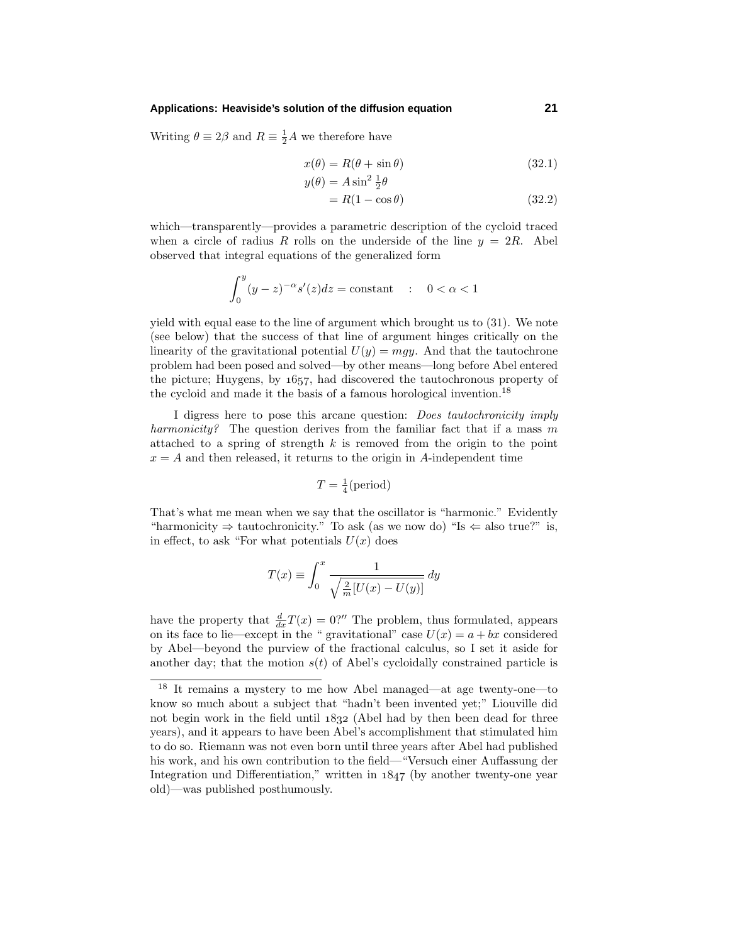#### **Applications: Heaviside's solution of the diffusion equation 21**

Writing  $\theta \equiv 2\beta$  and  $R \equiv \frac{1}{2}A$  we therefore have

$$
x(\theta) = R(\theta + \sin \theta) \tag{32.1}
$$

$$
y(\theta) = A \sin^2 \frac{1}{2}\theta
$$

$$
= R(1 - \cos \theta) \tag{32.2}
$$

which—transparently—provides a parametric description of the cycloid traced when a circle of radius *R* rolls on the underside of the line  $y = 2R$ . Abel observed that integral equations of the generalized form

$$
\int_0^y (y-z)^{-\alpha} s'(z) dz = \text{constant} \quad : \quad 0 < \alpha < 1
$$

yield with equal ease to the line of argument which brought us to (31). We note (see below) that the success of that line of argument hinges critically on the linearity of the gravitational potential  $U(y) = mgy$ . And that the tautochrone problem had been posed and solved—by other means—long before Abel entered the picture; Huygens, by  $1657$ , had discovered the tautochronous property of the cycloid and made it the basis of a famous horological invention.<sup>18</sup>

I digress here to pose this arcane question: Does tautochronicity imply harmonicity? The question derives from the familiar fact that if a mass *m* attached to a spring of strength *k* is removed from the origin to the point  $x = A$  and then released, it returns to the origin in *A*-independent time

$$
T = \frac{1}{4}(\text{period})
$$

That's what me mean when we say that the oscillator is "harmonic." Evidently "harmonicity  $\Rightarrow$  tautochronicity." To ask (as we now do) "Is  $\Leftarrow$  also true?" is, in effect, to ask "For what potentials  $U(x)$  does

$$
T(x) \equiv \int_0^x \frac{1}{\sqrt{\frac{2}{m}[U(x) - U(y)]}} dy
$$

have the property that  $\frac{d}{dx}T(x) = 0$ ?" The problem, thus formulated, appears on its face to lie—except in the " gravitational" case  $U(x) = a + bx$  considered by Abel—beyond the purview of the fractional calculus, so I set it aside for another day; that the motion  $s(t)$  of Abel's cycloidally constrained particle is

<sup>18</sup> It remains a mystery to me how Abel managed—at age twenty-one—to know so much about a subject that "hadn't been invented yet;" Liouville did not begin work in the field until  $1832$  (Abel had by then been dead for three years), and it appears to have been Abel's accomplishment that stimulated him to do so. Riemann was not even born until three years after Abel had published his work, and his own contribution to the field—"Versuch einer Auffassung der Integration und Differentiation," written in  $1847$  (by another twenty-one year old)—was published posthumously.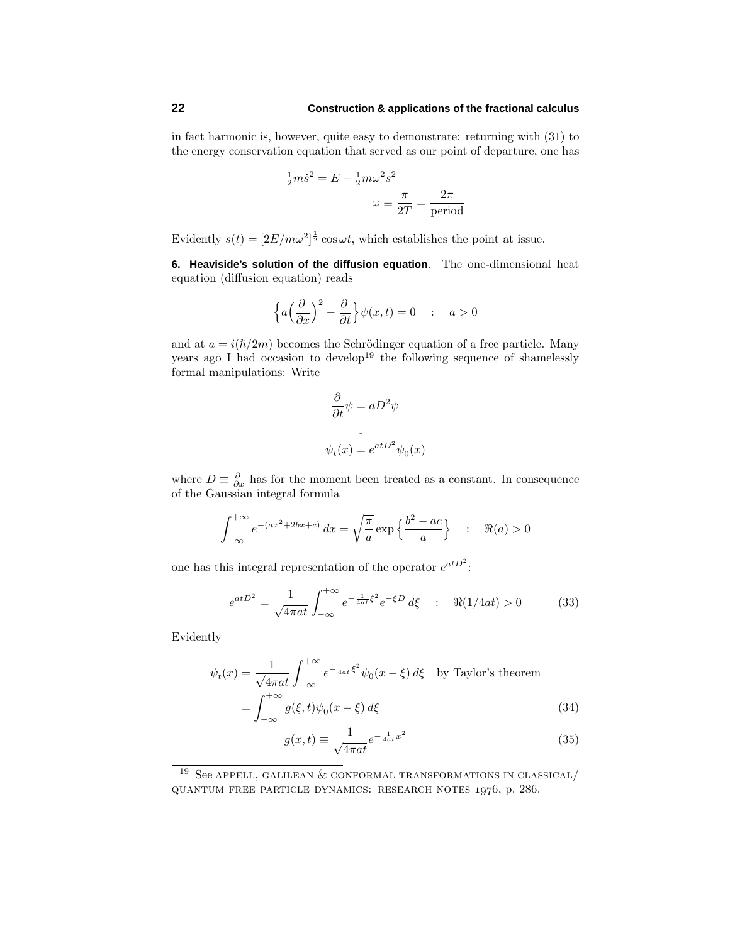in fact harmonic is, however, quite easy to demonstrate: returning with (31) to the energy conservation equation that served as our point of departure, one has

$$
\frac{1}{2}m\dot{s}^2 = E - \frac{1}{2}m\omega^2 s^2
$$

$$
\omega \equiv \frac{\pi}{2T} = \frac{2\pi}{\text{period}}
$$

Evidently  $s(t) = \left[2E/m\omega^2\right]^{\frac{1}{2}}\cos \omega t$ , which establishes the point at issue.

**6. Heaviside's solution of the diffusion equation**. The one-dimensional heat equation (diffusion equation) reads

$$
\left\{ a\left(\frac{\partial}{\partial x}\right)^2 - \frac{\partial}{\partial t} \right\} \psi(x,t) = 0 \quad : \quad a > 0
$$

and at  $a = i(\hbar/2m)$  becomes the Schrödinger equation of a free particle. Many years ago I had occasion to develop<sup>19</sup> the following sequence of shamelessly formal manipulations: Write

$$
\frac{\partial}{\partial t}\psi = aD^2\psi
$$

$$
\downarrow
$$

$$
\psi_t(x) = e^{atD^2}\psi_0(x)
$$

where  $D \equiv \frac{\partial}{\partial x}$  has for the moment been treated as a constant. In consequence of the Gaussian integral formula

$$
\int_{-\infty}^{+\infty} e^{-(ax^2+2bx+c)} dx = \sqrt{\frac{\pi}{a}} \exp\left\{\frac{b^2 - ac}{a}\right\} : \Re(a) > 0
$$

one has this integral representation of the operator  $e^{atD^2}$ :

$$
e^{atD^2} = \frac{1}{\sqrt{4\pi at}} \int_{-\infty}^{+\infty} e^{-\frac{1}{4at} \xi^2} e^{-\xi D} d\xi \quad : \quad \Re(1/4at) > 0 \tag{33}
$$

Evidently

$$
\psi_t(x) = \frac{1}{\sqrt{4\pi a t}} \int_{-\infty}^{+\infty} e^{-\frac{1}{4at} \xi^2} \psi_0(x - \xi) d\xi \quad \text{by Taylor's theorem}
$$

$$
= \int_{-\infty}^{+\infty} g(\xi, t) \psi_0(x - \xi) d\xi \tag{34}
$$

$$
g(x,t) \equiv \frac{1}{\sqrt{4\pi a t}} e^{-\frac{1}{4at}x^2}
$$
\n(35)

 $^{19}\,$  See appell, GALILEAN & CONFORMAL TRANSFORMATIONS IN CLASSICAL/ QUANTUM FREE PARTICLE DYNAMICS: RESEARCH NOTES  $1976$ , p. 286.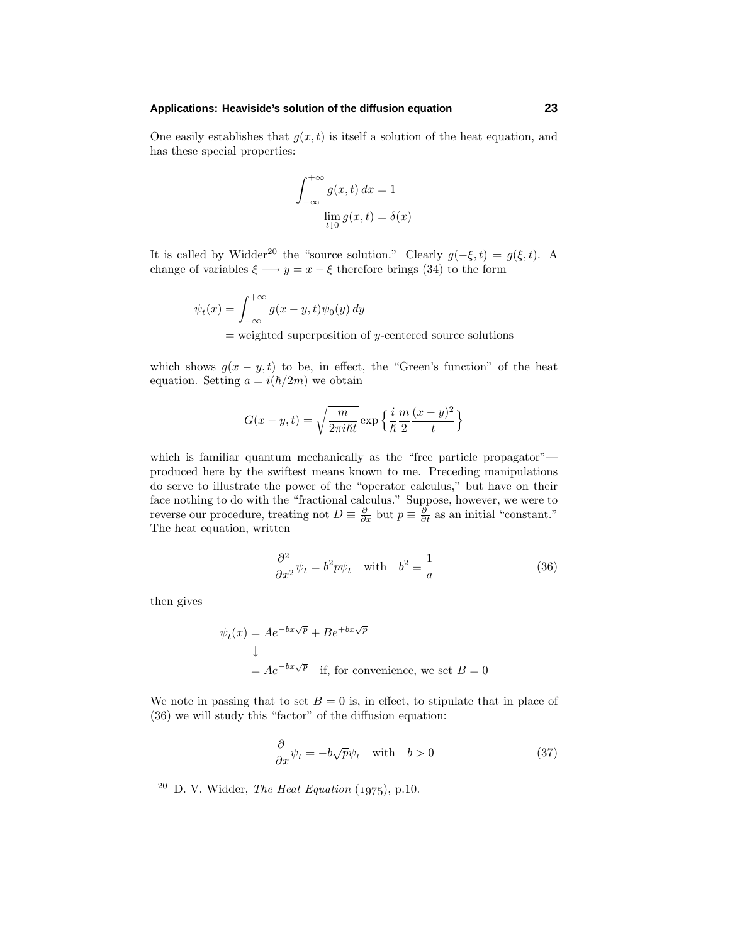## **Applications: Heaviside's solution of the diffusion equation 23**

One easily establishes that  $g(x, t)$  is itself a solution of the heat equation, and has these special properties:

$$
\int_{-\infty}^{+\infty} g(x, t) dx = 1
$$
  

$$
\lim_{t \downarrow 0} g(x, t) = \delta(x)
$$

It is called by Widder<sup>20</sup> the "source solution." Clearly  $g(-\xi, t) = g(\xi, t)$ . A change of variables  $\xi \longrightarrow y = x - \xi$  therefore brings (34) to the form

$$
\psi_t(x) = \int_{-\infty}^{+\infty} g(x - y, t)\psi_0(y) dy
$$
  
= weighted superposition of *y*-centered source solutions

which shows  $g(x - y, t)$  to be, in effect, the "Green's function" of the heat equation. Setting  $a = i(\hbar/2m)$  we obtain

$$
G(x - y, t) = \sqrt{\frac{m}{2\pi i\hbar t}} \exp\left\{\frac{i}{\hbar} \frac{m}{2} \frac{(x - y)^2}{t}\right\}
$$

which is familiar quantum mechanically as the "free particle propagator"produced here by the swiftest means known to me. Preceding manipulations do serve to illustrate the power of the "operator calculus," but have on their face nothing to do with the "fractional calculus." Suppose, however, we were to reverse our procedure, treating not  $D \equiv \frac{\partial}{\partial x}$  but  $p \equiv \frac{\partial}{\partial t}$  as an initial "constant." The heat equation, written

$$
\frac{\partial^2}{\partial x^2} \psi_t = b^2 p \psi_t \quad \text{with} \quad b^2 \equiv \frac{1}{a} \tag{36}
$$

then gives

$$
\psi_t(x) = Ae^{-bx\sqrt{p}} + Be^{+bx\sqrt{p}}
$$
  
\n
$$
\downarrow
$$
  
\n
$$
= Ae^{-bx\sqrt{p}} \text{ if, for convenience, we set } B = 0
$$

We note in passing that to set  $B = 0$  is, in effect, to stipulate that in place of (36) we will study this "factor" of the diffusion equation:

$$
\frac{\partial}{\partial x}\psi_t = -b\sqrt{p}\psi_t \quad \text{with} \quad b > 0 \tag{37}
$$

 $20$  D. V. Widder, *The Heat Equation* (1975), p.10.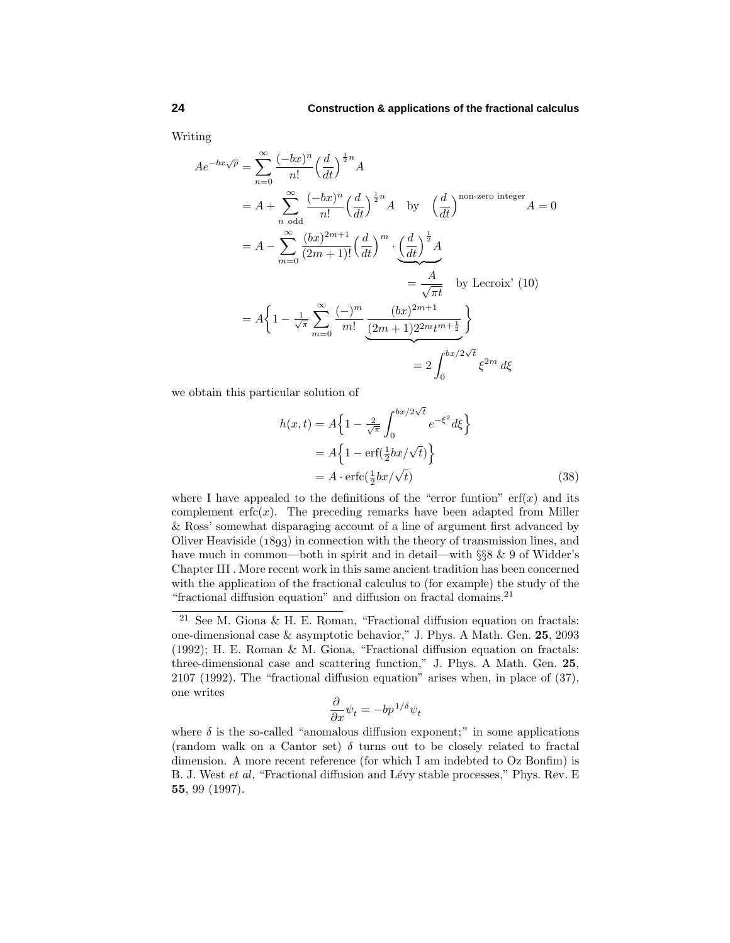Writing

$$
Ae^{-bx\sqrt{p}} = \sum_{n=0}^{\infty} \frac{(-bx)^n}{n!} \left(\frac{d}{dt}\right)^{\frac{1}{2}n} A
$$
  
=  $A + \sum_{n \text{ odd}}^{\infty} \frac{(-bx)^n}{n!} \left(\frac{d}{dt}\right)^{\frac{1}{2}n} A$  by  $\left(\frac{d}{dt}\right)^{\text{non-zero integer}} A = 0$   
=  $A - \sum_{m=0}^{\infty} \frac{(bx)^{2m+1}}{(2m+1)!} \left(\frac{d}{dt}\right)^m \cdot \left(\frac{d}{dt}\right)^{\frac{1}{2}} A$   
=  $\frac{A}{\sqrt{\pi t}}$  by Lercoix' (10)  
=  $A \left\{ 1 - \frac{1}{\sqrt{\pi}} \sum_{m=0}^{\infty} \frac{(-)^m}{m!} \frac{(bx)^{2m+1}}{(2m+1)2^{2m}t^{m+\frac{1}{2}}} \right\}$   
=  $2 \int_0^{bx/2\sqrt{t}} \xi^{2m} d\xi$ 

we obtain this particular solution of

$$
h(x,t) = A\left\{1 - \frac{2}{\sqrt{\pi}} \int_0^{bx/2\sqrt{t}} e^{-\xi^2} d\xi\right\}
$$
  
=  $A\left\{1 - \text{erf}(\frac{1}{2}bx/\sqrt{t})\right\}$   
=  $A \cdot \text{erfc}(\frac{1}{2}bx/\sqrt{t})$  (38)

where I have appealed to the definitions of the "error funtion"  $erf(x)$  and its complement  $erfc(x)$ . The preceding remarks have been adapted from Miller & Ross' somewhat disparaging account of a line of argument first advanced by Oliver Heaviside  $(1893)$  in connection with the theory of transmission lines, and have much in common—both in spirit and in detail—with §§8 & 9 of Widder's Chapter III . More recent work in this same ancient tradition has been concerned with the application of the fractional calculus to (for example) the study of the "fractional diffusion equation" and diffusion on fractal domains.<sup>21</sup>

$$
\frac{\partial}{\partial x}\psi_t = -bp^{1/\delta}\psi_t
$$

 $^{21}$  See M. Giona & H. E. Roman, "Fractional diffusion equation on fractals: one-dimensional case & asymptotic behavior," J. Phys. A Math. Gen. **25**, 2093 (1992); H. E. Roman & M. Giona, "Fractional diffusion equation on fractals: three-dimensional case and scattering function," J. Phys. A Math. Gen. **25**, 2107 (1992). The "fractional diffusion equation" arises when, in place of (37), one writes

where  $\delta$  is the so-called "anomalous diffusion exponent;" in some applications (random walk on a Cantor set) *δ* turns out to be closely related to fractal dimension. A more recent reference (for which I am indebted to Oz Bonfim) is B. J. West et al, "Fractional diffusion and Lévy stable processes," Phys. Rev. E **55**, 99 (1997).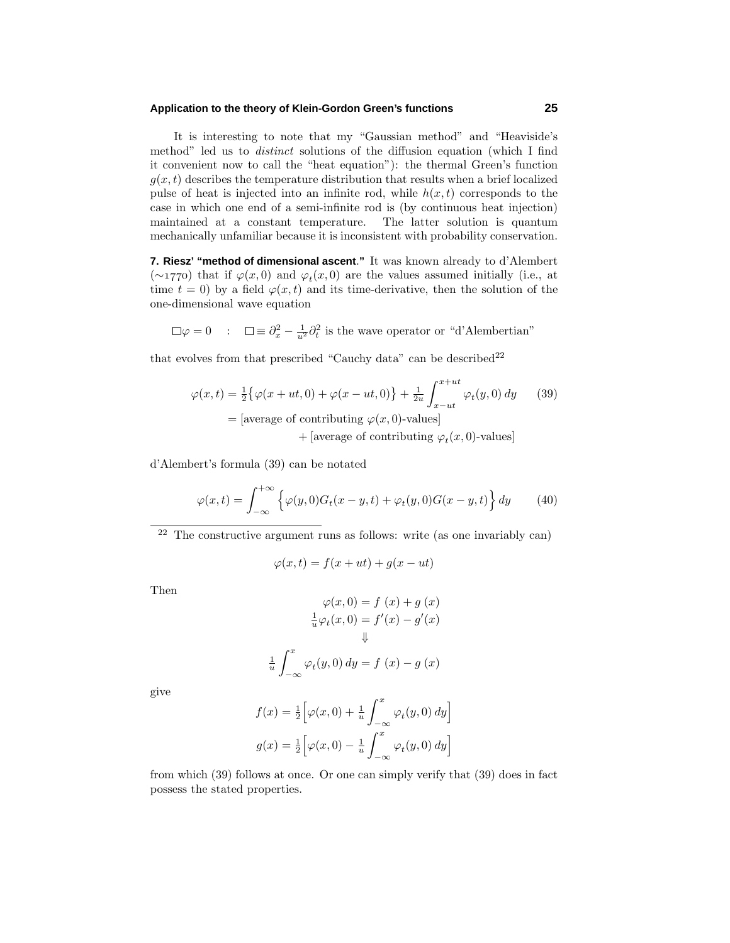## **Application to the theory of Klein-Gordon Green's functions 25**

It is interesting to note that my "Gaussian method" and "Heaviside's method" led us to *distinct* solutions of the diffusion equation (which I find it convenient now to call the "heat equation"): the thermal Green's function  $q(x,t)$  describes the temperature distribution that results when a brief localized pulse of heat is injected into an infinite rod, while  $h(x, t)$  corresponds to the case in which one end of a semi-infinite rod is (by continuous heat injection) maintained at a constant temperature. The latter solution is quantum mechanically unfamiliar because it is inconsistent with probability conservation.

**7. Riesz' "method of dimensional ascent**.**"** It was known already to d'Alembert (∼) that if *ϕ*(*x,* 0) and *ϕt*(*x,* 0) are the values assumed initially (i.e., at time  $t = 0$ ) by a field  $\varphi(x, t)$  and its time-derivative, then the solution of the one-dimensional wave equation

 $\varphi = 0$  :  $\square \equiv \partial_x^2 - \frac{1}{u^2} \partial_t^2$  is the wave operator or "d'Alembertian"

that evolves from that prescribed "Cauchy data" can be described  $2^2$ 

$$
\varphi(x,t) = \frac{1}{2} \{ \varphi(x+ut,0) + \varphi(x-ut,0) \} + \frac{1}{2u} \int_{x-ut}^{x+ut} \varphi_t(y,0) dy \qquad (39)
$$
  
= [average of contributing  $\varphi(x,0)$ -values]  
+ [average of contributing  $\varphi_t(x,0)$ -values]

d'Alembert's formula (39) can be notated

1 *u*

$$
\varphi(x,t) = \int_{-\infty}^{+\infty} \left\{ \varphi(y,0)G_t(x-y,t) + \varphi_t(y,0)G(x-y,t) \right\} dy \tag{40}
$$

 $22$  The constructive argument runs as follows: write (as one invariably can)

$$
\varphi(x,t) = f(x+ut) + g(x-ut)
$$

Then

$$
\varphi(x,0) = f(x) + g(x)
$$

$$
\frac{1}{u}\varphi_t(x,0) = f'(x) - g'(x)
$$

$$
\Downarrow
$$

$$
\int_{-\infty}^x \varphi_t(y,0) dy = f(x) - g(x)
$$

give

$$
f(x) = \frac{1}{2} \Big[ \varphi(x, 0) + \frac{1}{u} \int_{-\infty}^{x} \varphi_t(y, 0) dy \Big]
$$

$$
g(x) = \frac{1}{2} \Big[ \varphi(x, 0) - \frac{1}{u} \int_{-\infty}^{x} \varphi_t(y, 0) dy \Big]
$$

from which (39) follows at once. Or one can simply verify that (39) does in fact possess the stated properties.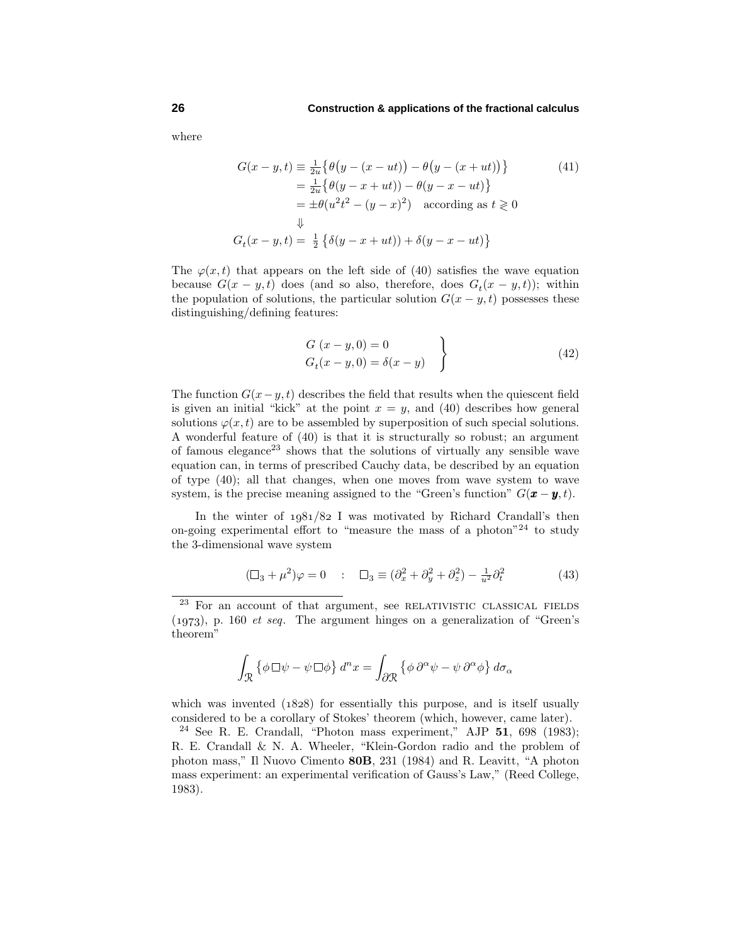where

$$
G(x - y, t) \equiv \frac{1}{2u} \{ \theta \left( y - (x - ut) \right) - \theta \left( y - (x + ut) \right) \}
$$
(41)  

$$
= \frac{1}{2u} \{ \theta \left( y - x + ut \right) \} - \theta \left( y - x - ut \right) \}
$$
  

$$
= \pm \theta \left( u^2 t^2 - (y - x)^2 \right) \text{ according as } t \ge 0
$$
  

$$
\downarrow
$$
  

$$
G_t(x - y, t) = \frac{1}{2} \{ \delta \left( y - x + ut \right) \} + \delta \left( y - x - ut \right) \}
$$

The  $\varphi(x,t)$  that appears on the left side of (40) satisfies the wave equation because  $G(x - y, t)$  does (and so also, therefore, does  $G_t(x - y, t)$ ); within the population of solutions, the particular solution  $G(x - y, t)$  possesses these distinguishing/defining features:

$$
G(x-y,0) = 0
$$
  
\n
$$
G_t(x-y,0) = \delta(x-y)
$$
\n(42)

The function  $G(x-y,t)$  describes the field that results when the quiescent field is given an initial "kick" at the point  $x = y$ , and (40) describes how general solutions  $\varphi(x, t)$  are to be assembled by superposition of such special solutions. A wonderful feature of (40) is that it is structurally so robust; an argument of famous elegance<sup>23</sup> shows that the solutions of virtually any sensible wave equation can, in terms of prescribed Cauchy data, be described by an equation of type (40); all that changes, when one moves from wave system to wave system, is the precise meaning assigned to the "Green's function"  $G(\mathbf{x} - \mathbf{y}, t)$ .

In the winter of  $1.081/82$  I was motivated by Richard Crandall's then on-going experimental effort to "measure the mass of a photon"<sup>24</sup> to study the 3-dimensional wave system

$$
(\Box_3 + \mu^2)\varphi = 0 \quad : \quad \Box_3 \equiv (\partial_x^2 + \partial_y^2 + \partial_z^2) - \frac{1}{u^2}\partial_t^2 \tag{43}
$$

$$
\int_{\mathcal{R}} \left\{ \phi \,\Box \psi - \psi \,\Box \phi \right\} d^nx = \int_{\partial \mathcal{R}} \left\{ \phi \,\partial^\alpha \psi - \psi \,\partial^\alpha \phi \right\} d\sigma_\alpha
$$

which was invented  $(1828)$  for essentially this purpose, and is itself usually considered to be a corollary of Stokes' theorem (which, however, came later).

<sup>24</sup> See R. E. Crandall, "Photon mass experiment," AJP **51**, 698 (1983); R. E. Crandall & N. A. Wheeler, "Klein-Gordon radio and the problem of photon mass," Il Nuovo Cimento **80B**, 231 (1984) and R. Leavitt, "A photon mass experiment: an experimental verification of Gauss's Law," (Reed College, 1983).

 $23$  For an account of that argument, see RELATIVISTIC CLASSICAL FIELDS  $(1973)$ , p. 160 *et seq.* The argument hinges on a generalization of "Green's" theorem"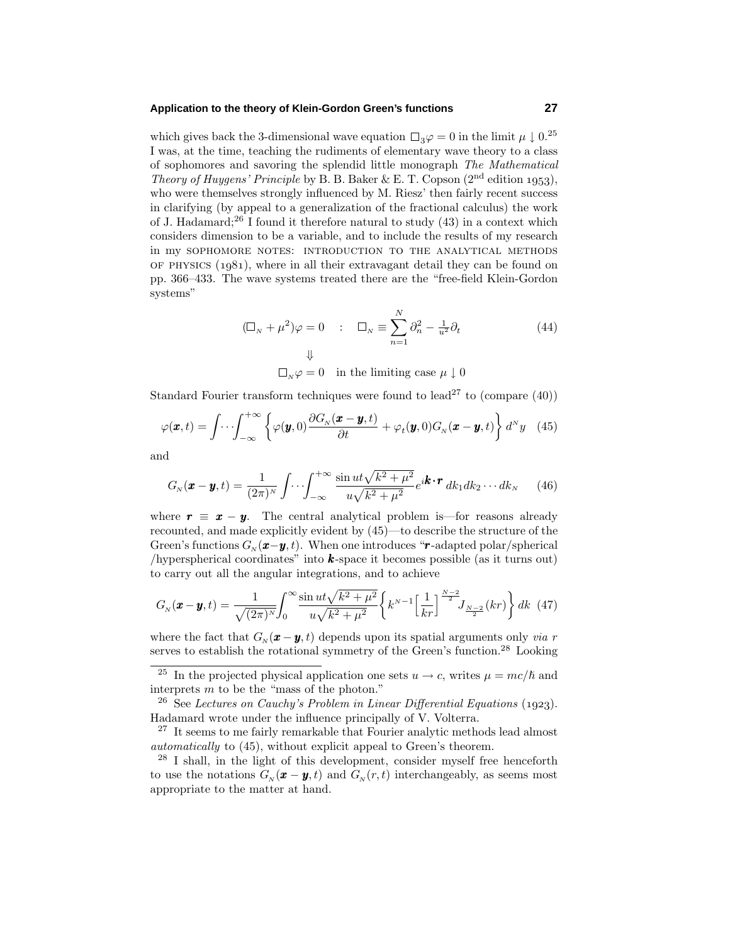#### **Application to the theory of Klein-Gordon Green's functions 27**

which gives back the 3-dimensional wave equation  $\Box_3 \varphi = 0$  in the limit  $\mu \downarrow 0^{25}$ I was, at the time, teaching the rudiments of elementary wave theory to a class of sophomores and savoring the splendid little monograph The Mathematical Theory of Huygens' Principle by B. B. Baker & E. T. Copson  $(2<sup>nd</sup>$  edition 1953), who were themselves strongly influenced by M. Riesz' then fairly recent success in clarifying (by appeal to a generalization of the fractional calculus) the work of J. Hadamard;<sup>26</sup> I found it therefore natural to study  $(43)$  in a context which considers dimension to be a variable, and to include the results of my research in my sophomore notes: introduction to the analytical methods OF PHYSICS  $(1981)$ , where in all their extravagant detail they can be found on pp. 366–433. The wave systems treated there are the "free-field Klein-Gordon systems"

$$
(\Box_{N} + \mu^{2})\varphi = 0 \qquad : \quad \Box_{N} \equiv \sum_{n=1}^{N} \partial_{n}^{2} - \frac{1}{u^{2}}\partial_{t}
$$
\n
$$
\downarrow \qquad (44)
$$

 $\Box_{N}\varphi = 0$  in the limiting case  $\mu \downarrow 0$ 

Standard Fourier transform techniques were found to lead<sup>27</sup> to (compare  $(40)$ )

$$
\varphi(\boldsymbol{x},t) = \int \cdots \int_{-\infty}^{+\infty} \left\{ \varphi(\boldsymbol{y},0) \frac{\partial G_N(\boldsymbol{x}-\boldsymbol{y},t)}{\partial t} + \varphi_t(\boldsymbol{y},0) G_N(\boldsymbol{x}-\boldsymbol{y},t) \right\} d^N y \quad (45)
$$

and

$$
G_N(\boldsymbol{x} - \boldsymbol{y}, t) = \frac{1}{(2\pi)^N} \int \cdots \int_{-\infty}^{+\infty} \frac{\sin ut \sqrt{k^2 + \mu^2}}{u \sqrt{k^2 + \mu^2}} e^{i\boldsymbol{k} \cdot \boldsymbol{r}} d\boldsymbol{k}_1 d\boldsymbol{k}_2 \cdots d\boldsymbol{k}_N \qquad (46)
$$

where  $\mathbf{r} \equiv \mathbf{x} - \mathbf{y}$ . The central analytical problem is—for reasons already recounted, and made explicitly evident by (45)—to describe the structure of the Green's functions  $G_N(\mathbf{x}-\mathbf{y},t)$ . When one introduces " $\mathbf{r}$ -adapted polar/spherical /hyperspherical coordinates" into *k*-space it becomes possible (as it turns out) to carry out all the angular integrations, and to achieve

$$
G_N(\mathbf{x} - \mathbf{y}, t) = \frac{1}{\sqrt{(2\pi)^N}} \int_0^\infty \frac{\sin ut \sqrt{k^2 + \mu^2}}{u \sqrt{k^2 + \mu^2}} \left\{ k^{N-1} \left[ \frac{1}{kr} \right] \frac{N-2}{2} J_{\frac{N-2}{2}}(kr) \right\} dk \tag{47}
$$

where the fact that  $G_N(\mathbf{x} - \mathbf{y}, t)$  depends upon its spatial arguments only *via r* serves to establish the rotational symmetry of the Green's function.<sup>28</sup> Looking

 $28$  I shall, in the light of this development, consider myself free henceforth to use the notations  $G_N(\mathbf{x} - \mathbf{y}, t)$  and  $G_N(r, t)$  interchangeably, as seems most appropriate to the matter at hand.

<sup>&</sup>lt;sup>25</sup> In the projected physical application one sets  $u \rightarrow c$ , writes  $\mu = mc/\hbar$  and interprets *m* to be the "mass of the photon."

<sup>&</sup>lt;sup>26</sup> See Lectures on Cauchy's Problem in Linear Differential Equations (1923). Hadamard wrote under the influence principally of V. Volterra.

 $27$  It seems to me fairly remarkable that Fourier analytic methods lead almost automatically to (45), without explicit appeal to Green's theorem.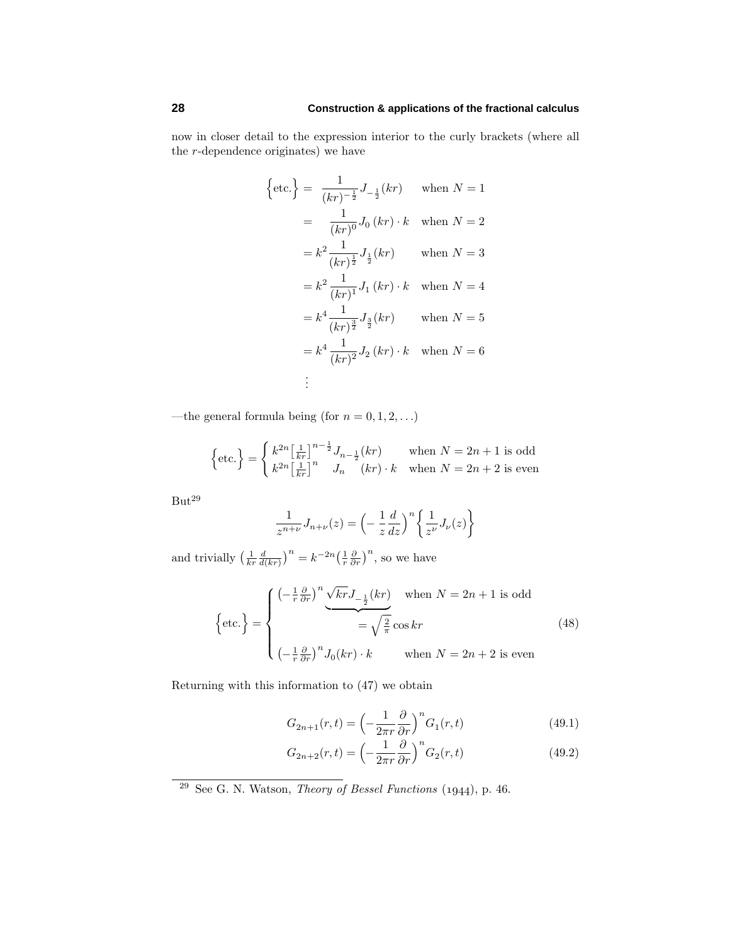now in closer detail to the expression interior to the curly brackets (where all the *r*-dependence originates) we have

$$
\left\{\text{etc.}\right\} = \frac{1}{(kr)^{-\frac{1}{2}}} J_{-\frac{1}{2}}(kr) \quad \text{when } N = 1
$$

$$
= \frac{1}{(kr)^{0}} J_{0}(kr) \cdot k \quad \text{when } N = 2
$$

$$
= k^{2} \frac{1}{(kr)^{\frac{1}{2}}} J_{\frac{1}{2}}(kr) \quad \text{when } N = 3
$$

$$
= k^{2} \frac{1}{(kr)^{1}} J_{1}(kr) \cdot k \quad \text{when } N = 4
$$

$$
= k^{4} \frac{1}{(kr)^{\frac{3}{2}}} J_{\frac{3}{2}}(kr) \quad \text{when } N = 5
$$

$$
= k^{4} \frac{1}{(kr)^{2}} J_{2}(kr) \cdot k \quad \text{when } N = 6
$$

$$
\vdots
$$

—the general formula being (for  $n = 0, 1, 2, \ldots$ )

$$
\left\{\text{etc.}\right\} = \begin{cases} k^{2n} \left[\frac{1}{kr}\right]^{n-\frac{1}{2}} J_{n-\frac{1}{2}}(kr) & \text{when } N = 2n + 1 \text{ is odd} \\ k^{2n} \left[\frac{1}{kr}\right]^{n} & J_{n} \quad (kr) \cdot k & \text{when } N = 2n + 2 \text{ is even} \end{cases}
$$

 $But<sup>29</sup>$ 

$$
\frac{1}{z^{n+\nu}}J_{n+\nu}(z) = \left(-\frac{1}{z}\frac{d}{dz}\right)^n \left\{\frac{1}{z^{\nu}}J_{\nu}(z)\right\}
$$

and trivially  $\left(\frac{1}{kr}\frac{d}{d(kr)}\right)^n = k^{-2n}\left(\frac{1}{r}\frac{\partial}{\partial r}\right)^n$ , so we have

$$
\left\{\text{etc.}\right\} = \begin{cases}\n\left(-\frac{1}{r}\frac{\partial}{\partial r}\right)^n \underbrace{\sqrt{kr}J_{-\frac{1}{2}}(kr)}_{\text{= } \sqrt{\frac{2}{\pi}}\cos kr} & \text{when } N = 2n + 1 \text{ is odd} \\
\text{etc.}\n\end{cases}\n\tag{48}
$$
\n
$$
\left(-\frac{1}{r}\frac{\partial}{\partial r}\right)^n J_0(kr) \cdot k & \text{when } N = 2n + 2 \text{ is even}\n\end{cases}
$$

Returning with this information to (47) we obtain

$$
G_{2n+1}(r,t) = \left(-\frac{1}{2\pi r}\frac{\partial}{\partial r}\right)^n G_1(r,t)
$$
\n(49.1)

$$
G_{2n+2}(r,t) = \left(-\frac{1}{2\pi r}\frac{\partial}{\partial r}\right)^n G_2(r,t)
$$
\n(49.2)

 $29$  See G. N. Watson, *Theory of Bessel Functions* (1944), p. 46.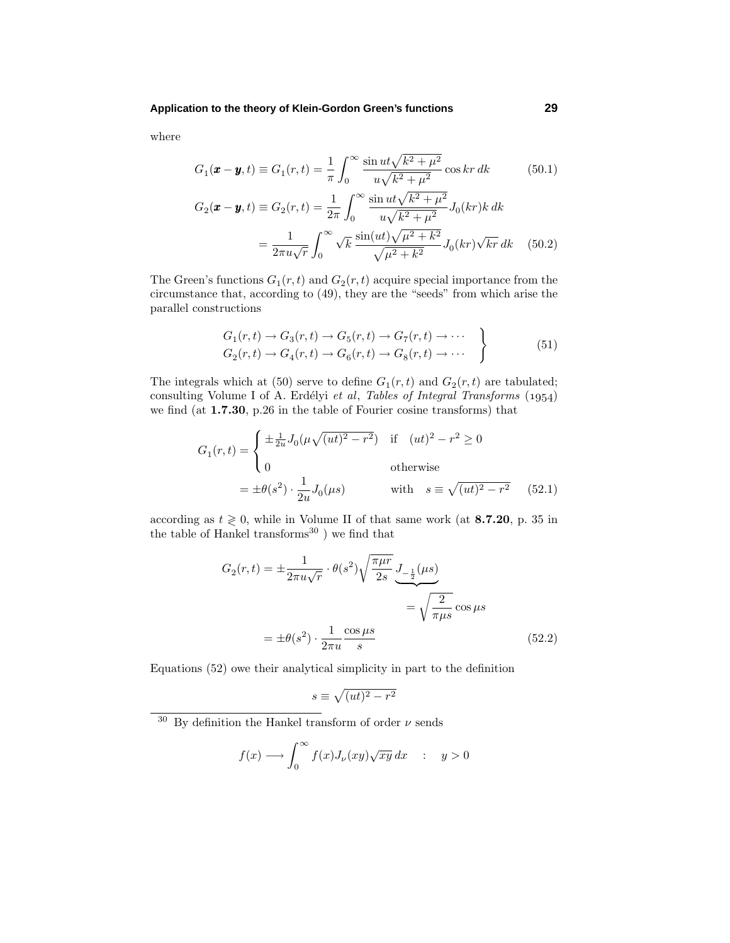where

$$
G_1(\mathbf{x} - \mathbf{y}, t) \equiv G_1(r, t) = \frac{1}{\pi} \int_0^\infty \frac{\sin ut \sqrt{k^2 + \mu^2}}{u \sqrt{k^2 + \mu^2}} \cos kr \, dk \tag{50.1}
$$

$$
G_2(\mathbf{x} - \mathbf{y}, t) \equiv G_2(r, t) = \frac{1}{2\pi} \int_0^\infty \frac{\sin ut \sqrt{k^2 + \mu^2}}{u \sqrt{k^2 + \mu^2}} J_0(kr) k dk
$$
  
= 
$$
\frac{1}{2\pi u \sqrt{r}} \int_0^\infty \sqrt{k} \frac{\sin (ut) \sqrt{\mu^2 + k^2}}{\sqrt{\mu^2 + k^2}} J_0(kr) \sqrt{kr} dk \quad (50.2)
$$

The Green's functions  $G_1(r, t)$  and  $G_2(r, t)$  acquire special importance from the circumstance that, according to (49), they are the "seeds" from which arise the parallel constructions

$$
G_1(r,t) \to G_3(r,t) \to G_5(r,t) \to G_7(r,t) \to \cdots
$$
  
\n
$$
G_2(r,t) \to G_4(r,t) \to G_6(r,t) \to G_8(r,t) \to \cdots
$$
\n(51)

The integrals which at (50) serve to define  $G_1(r,t)$  and  $G_2(r,t)$  are tabulated; consulting Volume I of A. Erdélyi et al, Tables of Integral Transforms  $(1954)$ we find (at **1.7.30**, p.26 in the table of Fourier cosine transforms) that

$$
G_1(r,t) = \begin{cases} \pm \frac{1}{2u} J_0(\mu \sqrt{(ut)^2 - r^2}) & \text{if } (ut)^2 - r^2 \ge 0\\ 0 & \text{otherwise} \end{cases}
$$
  
=  $\pm \theta(s^2) \cdot \frac{1}{2u} J_0(\mu s)$  with  $s \equiv \sqrt{(ut)^2 - r^2}$  (52.1)

according as  $t \geq 0$ , while in Volume II of that same work (at **8.7.20**, p. 35 in the table of Hankel transforms $^{30}$ ) we find that

$$
G_2(r,t) = \pm \frac{1}{2\pi u\sqrt{r}} \cdot \theta(s^2) \sqrt{\frac{\pi\mu r}{2s}} \underbrace{J_{-\frac{1}{2}}(\mu s)}_{=\sqrt{\frac{2}{\pi\mu s}} \cos \mu s}
$$

$$
= \pm \theta(s^2) \cdot \frac{1}{2\pi u} \frac{\cos \mu s}{s}
$$
(52.2)

Equations (52) owe their analytical simplicity in part to the definition

$$
s\equiv\sqrt{(ut)^2-r^2}
$$

$$
f(x) \longrightarrow \int_0^\infty f(x) J_\nu(xy) \sqrt{xy} \, dx \quad : \quad y > 0
$$

<sup>&</sup>lt;sup>30</sup> By definition the Hankel transform of order  $\nu$  sends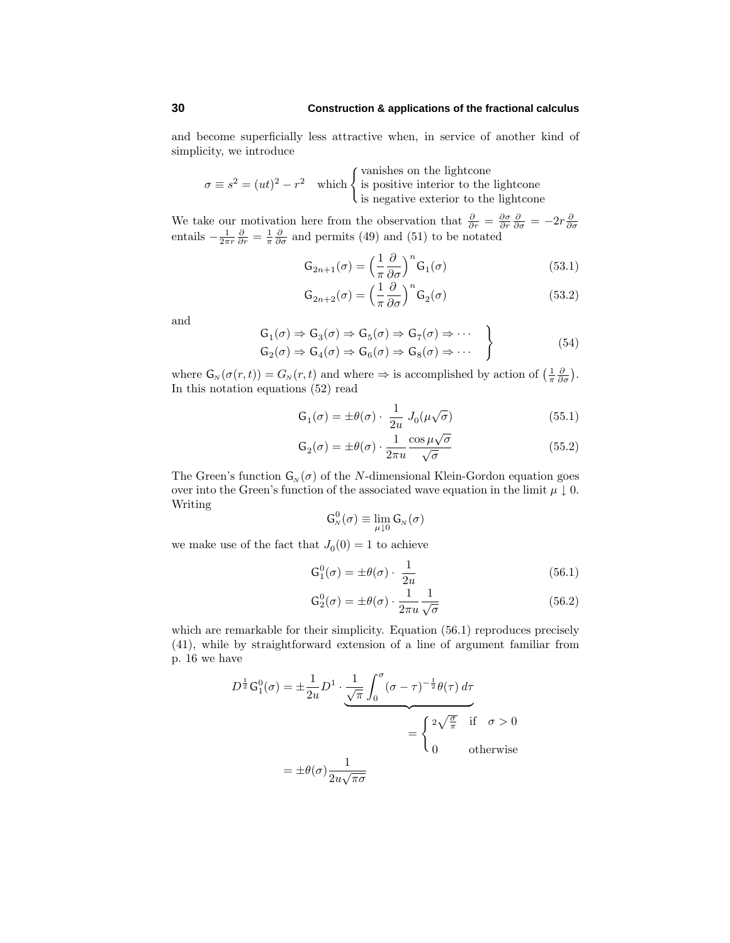and become superficially less attractive when, in service of another kind of simplicity, we introduce

$$
\sigma \equiv s^2 = (ut)^2 - r^2
$$
 which  
 
$$
\begin{cases}\n\text{vanishes on the lightcone} \\
\text{is positive interior to the lightcone} \\
\text{is negative exterior to the lightcone}\n\end{cases}
$$

We take our motivation here from the observation that  $\frac{\partial}{\partial r} = \frac{\partial \sigma}{\partial r} \frac{\partial}{\partial \sigma} = -2r \frac{\partial}{\partial \sigma}$ <br>entails  $-\frac{1}{2\pi r} \frac{\partial}{\partial r} = \frac{1}{\pi} \frac{\partial}{\partial \sigma}$  and permits (49) and (51) to be notated

$$
G_{2n+1}(\sigma) = \left(\frac{1}{\pi} \frac{\partial}{\partial \sigma}\right)^n G_1(\sigma)
$$
\n(53.1)

$$
G_{2n+2}(\sigma) = \left(\frac{1}{\pi} \frac{\partial}{\partial \sigma}\right)^n G_2(\sigma)
$$
\n(53.2)

and

$$
G_1(\sigma) \Rightarrow G_3(\sigma) \Rightarrow G_5(\sigma) \Rightarrow G_7(\sigma) \Rightarrow \cdots
$$
  
\n
$$
G_2(\sigma) \Rightarrow G_4(\sigma) \Rightarrow G_6(\sigma) \Rightarrow G_8(\sigma) \Rightarrow \cdots
$$
\n(54)

where  $G_N(\sigma(r,t)) = G_N(r,t)$  and where  $\Rightarrow$  is accomplished by action of  $\left(\frac{1}{\pi} \frac{\partial}{\partial \sigma}\right)$ . In this notation equations (52) read

$$
G_1(\sigma) = \pm \theta(\sigma) \cdot \frac{1}{2u} J_0(\mu\sqrt{\sigma})
$$
\n(55.1)

$$
G_2(\sigma) = \pm \theta(\sigma) \cdot \frac{1}{2\pi u} \frac{\cos \mu \sqrt{\sigma}}{\sqrt{\sigma}}
$$
(55.2)

The Green's function  $G_N(\sigma)$  of the *N*-dimensional Klein-Gordon equation goes over into the Green's function of the associated wave equation in the limit  $\mu \downarrow 0$ . Writing

$$
\mathsf{G}_{N}^{0}(\sigma) \equiv \lim_{\mu \downarrow 0} \mathsf{G}_{N}(\sigma)
$$

we make use of the fact that  $J_0(0) = 1$  to achieve

$$
G_1^0(\sigma) = \pm \theta(\sigma) \cdot \frac{1}{2u} \tag{56.1}
$$

$$
G_2^0(\sigma) = \pm \theta(\sigma) \cdot \frac{1}{2\pi u} \frac{1}{\sqrt{\sigma}}
$$
\n(56.2)

which are remarkable for their simplicity. Equation  $(56.1)$  reproduces precisely (41), while by straightforward extension of a line of argument familiar from p. 16 we have

$$
D^{\frac{1}{2}}G_1^0(\sigma) = \pm \frac{1}{2u}D^1 \cdot \underbrace{\frac{1}{\sqrt{\pi}} \int_0^\sigma (\sigma - \tau)^{-\frac{1}{2}} \theta(\tau) d\tau}_{= \begin{cases} 2\sqrt{\frac{\sigma}{\pi}} & \text{if } \sigma > 0 \\ 0 & \text{otherwise} \end{cases}}
$$

$$
= \pm \theta(\sigma) \frac{1}{2u\sqrt{\pi\sigma}}
$$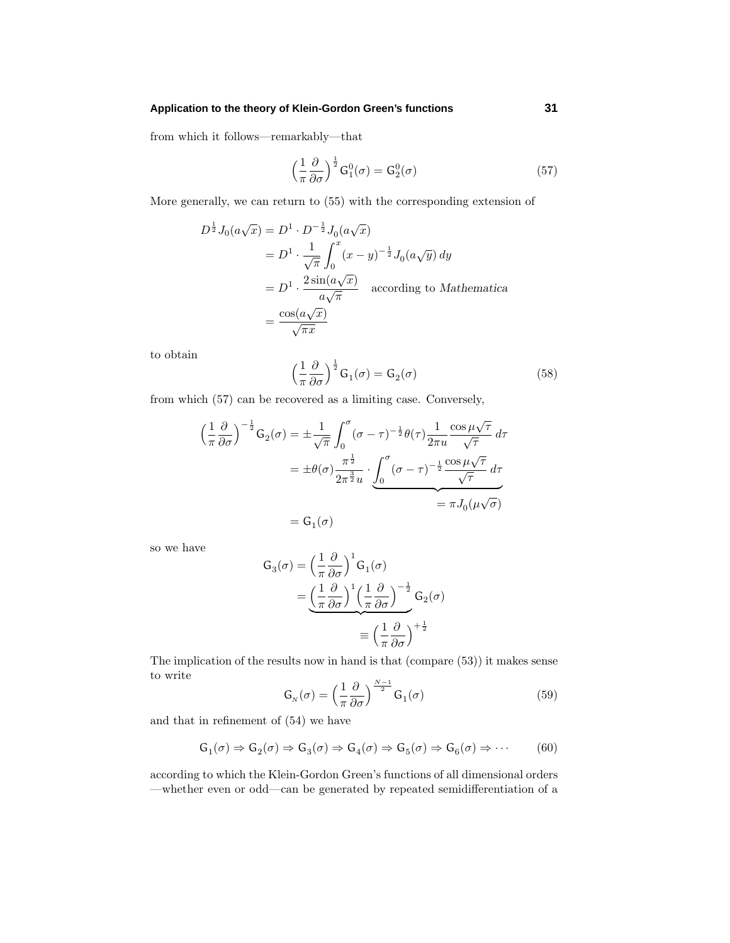## **Application to the theory of Klein-Gordon Green's functions 31**

from which it follows—remarkably—that

$$
\left(\frac{1}{\pi}\frac{\partial}{\partial\sigma}\right)^{\frac{1}{2}}G_1^0(\sigma) = G_2^0(\sigma)
$$
\n(57)

More generally, we can return to (55) with the corresponding extension of

$$
D^{\frac{1}{2}}J_0(a\sqrt{x}) = D^1 \cdot D^{-\frac{1}{2}}J_0(a\sqrt{x})
$$
  
=  $D^1 \cdot \frac{1}{\sqrt{\pi}} \int_0^x (x-y)^{-\frac{1}{2}}J_0(a\sqrt{y}) dy$   
=  $D^1 \cdot \frac{2 \sin(a\sqrt{x})}{a\sqrt{\pi}}$  according to Mathematica  
=  $\frac{\cos(a\sqrt{x})}{\sqrt{\pi x}}$ 

to obtain

$$
\left(\frac{1}{\pi}\frac{\partial}{\partial\sigma}\right)^{\frac{1}{2}}\mathsf{G}_{1}(\sigma) = \mathsf{G}_{2}(\sigma)
$$
\n(58)

from which (57) can be recovered as a limiting case. Conversely,

$$
\left(\frac{1}{\pi}\frac{\partial}{\partial\sigma}\right)^{-\frac{1}{2}}\mathsf{G}_{2}(\sigma) = \pm\frac{1}{\sqrt{\pi}}\int_{0}^{\sigma}(\sigma-\tau)^{-\frac{1}{2}}\theta(\tau)\frac{1}{2\pi u}\frac{\cos\mu\sqrt{\tau}}{\sqrt{\tau}}d\tau
$$

$$
= \pm\theta(\sigma)\frac{\pi^{\frac{1}{2}}}{2\pi^{\frac{3}{2}}u}\cdot\underbrace{\int_{0}^{\sigma}(\sigma-\tau)^{-\frac{1}{2}}\frac{\cos\mu\sqrt{\tau}}{\sqrt{\tau}}d\tau}_{\sigma} = \pi J_{0}(\mu\sqrt{\sigma})
$$

$$
= \mathsf{G}_{1}(\sigma)
$$

so we have

$$
G_3(\sigma) = \left(\frac{1}{\pi} \frac{\partial}{\partial \sigma}\right)^1 G_1(\sigma)
$$
  
= 
$$
\underbrace{\left(\frac{1}{\pi} \frac{\partial}{\partial \sigma}\right)^1 \left(\frac{1}{\pi} \frac{\partial}{\partial \sigma}\right)^{-\frac{1}{2}}}_{\equiv \left(\frac{1}{\pi} \frac{\partial}{\partial \sigma}\right)^{+\frac{1}{2}}}
$$

The implication of the results now in hand is that (compare (53)) it makes sense to write

$$
\mathsf{G}_{N}(\sigma) = \left(\frac{1}{\pi} \frac{\partial}{\partial \sigma}\right)^{\frac{N-1}{2}} \mathsf{G}_{1}(\sigma) \tag{59}
$$

and that in refinement of (54) we have

$$
G_1(\sigma) \Rightarrow G_2(\sigma) \Rightarrow G_3(\sigma) \Rightarrow G_4(\sigma) \Rightarrow G_5(\sigma) \Rightarrow G_6(\sigma) \Rightarrow \cdots
$$
 (60)

according to which the Klein-Gordon Green's functions of all dimensional orders —whether even or odd—can be generated by repeated semidifferentiation of a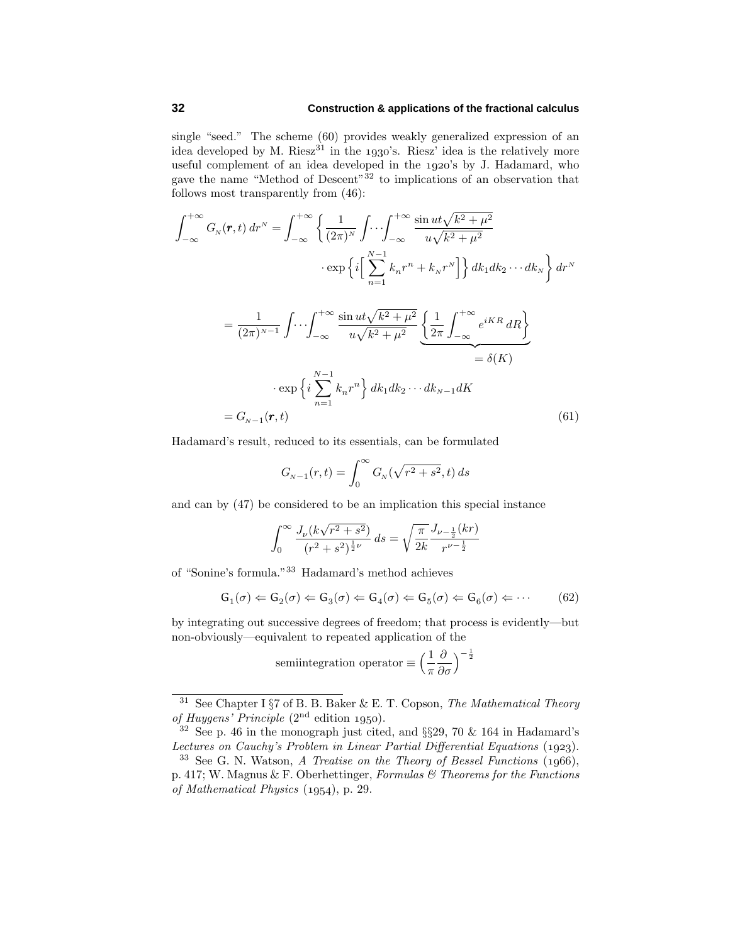single "seed." The scheme (60) provides weakly generalized expression of an idea developed by M. Riesz<sup>31</sup> in the 1930's. Riesz' idea is the relatively more useful complement of an idea developed in the 1920's by J. Hadamard, who gave the name "Method of Descent" $32$  to implications of an observation that follows most transparently from (46):

$$
\int_{-\infty}^{+\infty} G_N(\mathbf{r}, t) \, dr^N = \int_{-\infty}^{+\infty} \left\{ \frac{1}{(2\pi)^N} \int \cdots \int_{-\infty}^{+\infty} \frac{\sin ut \sqrt{k^2 + \mu^2}}{u \sqrt{k^2 + \mu^2}} \right. \\
\left. + \exp \left\{ i \left[ \sum_{n=1}^{N-1} k_n r^n + k_N r^N \right] \right\} dk_1 dk_2 \cdots dk_N \right\} dr^N \\
= \frac{1}{(2\pi)^{N-1}} \int \cdots \int_{-\infty}^{+\infty} \frac{\sin ut \sqrt{k^2 + \mu^2}}{u \sqrt{k^2 + \mu^2}} \underbrace{\left\{ \frac{1}{2\pi} \int_{-\infty}^{+\infty} e^{iKR} dR \right\}}_{= \delta(K)} \\
= \delta(K) \\
\cdot \exp \left\{ i \sum_{n=1}^{N-1} k_n r^n \right\} dk_1 dk_2 \cdots dk_{N-1} dK \\
= G_{N-1}(\mathbf{r}, t)
$$
\n(61)

Hadamard's result, reduced to its essentials, can be formulated

$$
G_{N-1}(r,t) = \int_0^\infty G_N(\sqrt{r^2 + s^2}, t) \, ds
$$

and can by (47) be considered to be an implication this special instance

$$
\int_0^\infty \frac{J_\nu (k\sqrt{r^2+s^2})}{(r^2+s^2)^{\frac{1}{2}\nu}} ds = \sqrt{\frac{\pi}{2k}} \frac{J_{\nu-\frac{1}{2}}(kr)}{r^{\nu-\frac{1}{2}}}
$$

of "Sonine's formula."<sup>33</sup> Hadamard's method achieves

$$
G_1(\sigma) \leftarrow G_2(\sigma) \leftarrow G_3(\sigma) \leftarrow G_4(\sigma) \leftarrow G_5(\sigma) \leftarrow G_6(\sigma) \leftarrow \cdots \tag{62}
$$

by integrating out successive degrees of freedom; that process is evidently—but non-obviously—equivalent to repeated application of the

semi  
integration operator 
$$
\equiv \Big(\frac{1}{\pi}\frac{\partial}{\partial\sigma}\Big)^{-\frac{1}{2}}
$$

<sup>&</sup>lt;sup>31</sup> See Chapter I  $\S7$  of B. B. Baker & E. T. Copson, The Mathematical Theory of Huygens' Principle  $(2<sup>nd</sup>$  edition 1950).

 $32$  See p. 46 in the monograph just cited, and §§29, 70 & 164 in Hadamard's Lectures on Cauchy's Problem in Linear Partial Differential Equations (1923).

 $33$  See G. N. Watson, A Treatise on the Theory of Bessel Functions  $(1966)$ , p. 417; W. Magnus & F. Oberhettinger, Formulas  $\mathcal C$  Theorems for the Functions of Mathematical Physics  $(1954)$ , p. 29.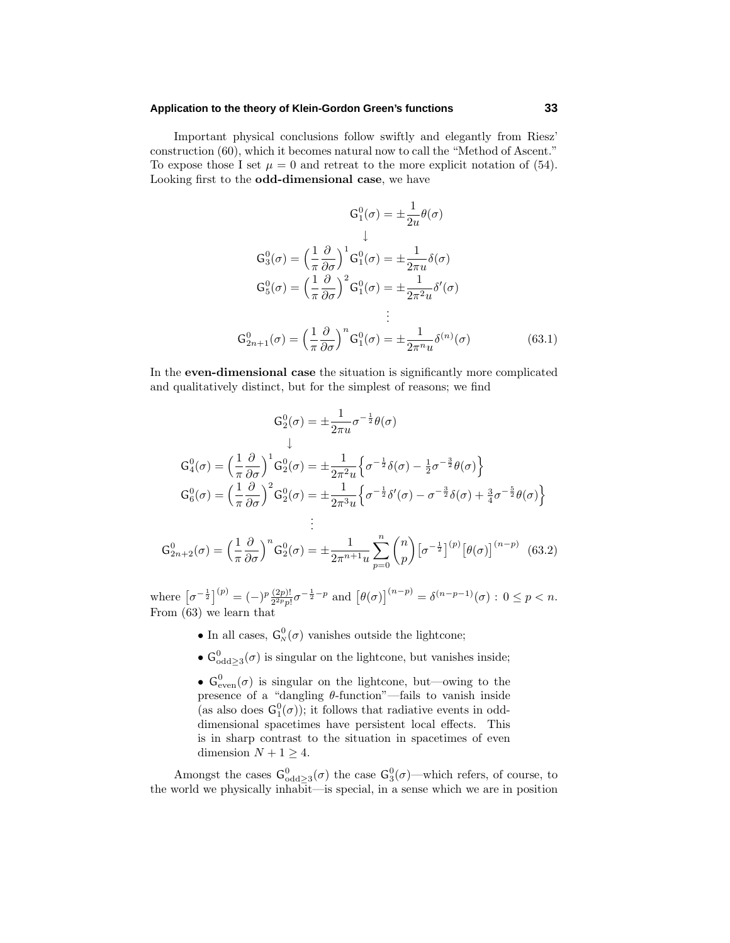## **Application to the theory of Klein-Gordon Green's functions 33**

Important physical conclusions follow swiftly and elegantly from Riesz' construction (60), which it becomes natural now to call the "Method of Ascent." To expose those I set  $\mu = 0$  and retreat to the more explicit notation of (54). Looking first to the **odd-dimensional case**, we have

$$
G_1^0(\sigma) = \pm \frac{1}{2u} \theta(\sigma)
$$
  

$$
\downarrow
$$
  

$$
G_3^0(\sigma) = \left(\frac{1}{\pi} \frac{\partial}{\partial \sigma}\right)^1 G_1^0(\sigma) = \pm \frac{1}{2\pi u} \delta(\sigma)
$$
  

$$
G_5^0(\sigma) = \left(\frac{1}{\pi} \frac{\partial}{\partial \sigma}\right)^2 G_1^0(\sigma) = \pm \frac{1}{2\pi^2 u} \delta'(\sigma)
$$
  

$$
\vdots
$$
  

$$
G_{2n+1}^0(\sigma) = \left(\frac{1}{\pi} \frac{\partial}{\partial \sigma}\right)^n G_1^0(\sigma) = \pm \frac{1}{2\pi^n u} \delta^{(n)}(\sigma)
$$
(63.1)

In the **even-dimensional case** the situation is significantly more complicated and qualitatively distinct, but for the simplest of reasons; we find

$$
G_2^0(\sigma) = \pm \frac{1}{2\pi u} \sigma^{-\frac{1}{2}} \theta(\sigma)
$$
  

$$
\downarrow
$$
  

$$
G_4^0(\sigma) = \left(\frac{1}{\pi} \frac{\partial}{\partial \sigma}\right)^1 G_2^0(\sigma) = \pm \frac{1}{2\pi^2 u} \left\{ \sigma^{-\frac{1}{2}} \delta(\sigma) - \frac{1}{2} \sigma^{-\frac{3}{2}} \theta(\sigma) \right\}
$$
  

$$
G_6^0(\sigma) = \left(\frac{1}{\pi} \frac{\partial}{\partial \sigma}\right)^2 G_2^0(\sigma) = \pm \frac{1}{2\pi^3 u} \left\{ \sigma^{-\frac{1}{2}} \delta'(\sigma) - \sigma^{-\frac{3}{2}} \delta(\sigma) + \frac{3}{4} \sigma^{-\frac{5}{2}} \theta(\sigma) \right\}
$$
  

$$
\vdots
$$

$$
\mathcal{G}_{2n+2}^0(\sigma) = \left(\frac{1}{\pi} \frac{\partial}{\partial \sigma}\right)^n \mathcal{G}_2^0(\sigma) = \pm \frac{1}{2\pi^{n+1} u} \sum_{p=0}^n {n \choose p} \left[\sigma^{-\frac{1}{2}}\right]^{(p)} \left[\theta(\sigma)\right]^{(n-p)} \tag{63.2}
$$

where  $[\sigma^{-\frac{1}{2}}]^{(p)} = (-)^p \frac{(2p)!}{2^{2p}p!} \sigma^{-\frac{1}{2}-p}$  and  $[\theta(\sigma)]^{(n-p)} = \delta^{(n-p-1)}(\sigma) : 0 \le p < n$ . From (63) we learn that

- In all cases,  $G_N^0(\sigma)$  vanishes outside the lightcone;
- $G_{\text{odd}\geq3}^{0}(\sigma)$  is singular on the lightcone, but vanishes inside;

•  $G_{even}^0(\sigma)$  is singular on the lightcone, but—owing to the presence of a "dangling *θ*-function"—fails to vanish inside (as also does  $G_1^0(\sigma)$ ); it follows that radiative events in odddimensional spacetimes have persistent local effects. This is in sharp contrast to the situation in spacetimes of even dimension  $N + 1 \geq 4$ .

Amongst the cases  $G_{\text{odd}\geq 3}^{0}(\sigma)$  the case  $G_{3}^{0}(\sigma)$ —which refers, of course, to the world we physically inhabit—is special, in a sense which we are in position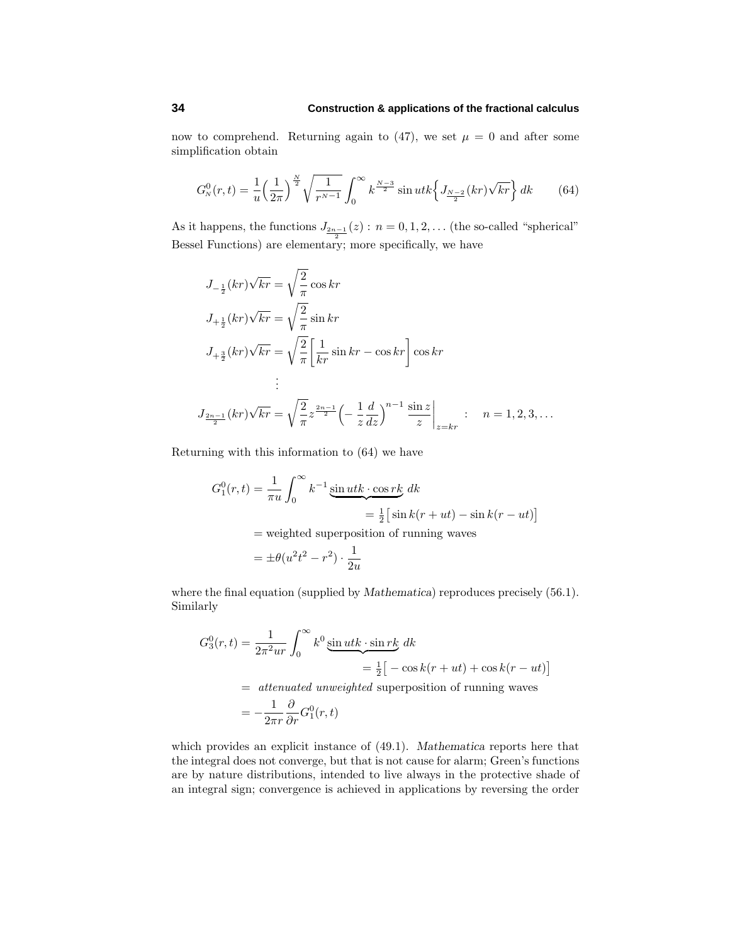now to comprehend. Returning again to  $(47)$ , we set  $\mu = 0$  and after some simplification obtain

$$
G_N^0(r,t) = \frac{1}{u} \left(\frac{1}{2\pi}\right)^{\frac{N}{2}} \sqrt{\frac{1}{r^{N-1}}} \int_0^\infty k^{\frac{N-3}{2}} \sin utk \left\{ J_{\frac{N-2}{2}}(kr) \sqrt{kr} \right\} dk \qquad (64)
$$

As it happens, the functions  $J_{\frac{2n-1}{2}}(z)$ :  $n = 0, 1, 2, \ldots$  (the so-called "spherical" Bessel Functions) are elementary; more specifically, we have

$$
J_{-\frac{1}{2}}(kr)\sqrt{kr} = \sqrt{\frac{2}{\pi}}\cos kr
$$
  
\n
$$
J_{+\frac{1}{2}}(kr)\sqrt{kr} = \sqrt{\frac{2}{\pi}}\sin kr
$$
  
\n
$$
J_{+\frac{3}{2}}(kr)\sqrt{kr} = \sqrt{\frac{2}{\pi}}\left[\frac{1}{kr}\sin kr - \cos kr\right]\cos kr
$$
  
\n
$$
\vdots
$$
  
\n
$$
J_{\frac{2n-1}{2}}(kr)\sqrt{kr} = \sqrt{\frac{2}{\pi}}z^{\frac{2n-1}{2}}\left(-\frac{1}{z}\frac{d}{dz}\right)^{n-1}\frac{\sin z}{z}\Big|_{z=kr} : n = 1, 2, 3, ...
$$

Returning with this information to (64) we have

$$
G_1^0(r,t) = \frac{1}{\pi u} \int_0^\infty k^{-1} \underbrace{\sin utk \cdot \cos rk}_{= \frac{1}{2} [\sin k(r+ut) - \sin k(r-ut)]}
$$
  
= weighted superposition of running waves  

$$
= \pm \theta (u^2 t^2 - r^2) \cdot \frac{1}{2u}
$$

where the final equation (supplied by *Mathematica*) reproduces precisely (56.1). Similarly

$$
G_3^0(r,t) = \frac{1}{2\pi^2 u r} \int_0^\infty k^0 \underbrace{\sin utk \cdot \sin rk}_{= \frac{1}{2} \left[ -\cos k(r+ut) + \cos k(r-ut) \right]}
$$
  
= *attenuated unweighted* superposition of running waves  
= 
$$
-\frac{1}{2\pi r} \frac{\partial}{\partial r} G_1^0(r,t)
$$

which provides an explicit instance of (49.1). *Mathematica* reports here that the integral does not converge, but that is not cause for alarm; Green's functions are by nature distributions, intended to live always in the protective shade of an integral sign; convergence is achieved in applications by reversing the order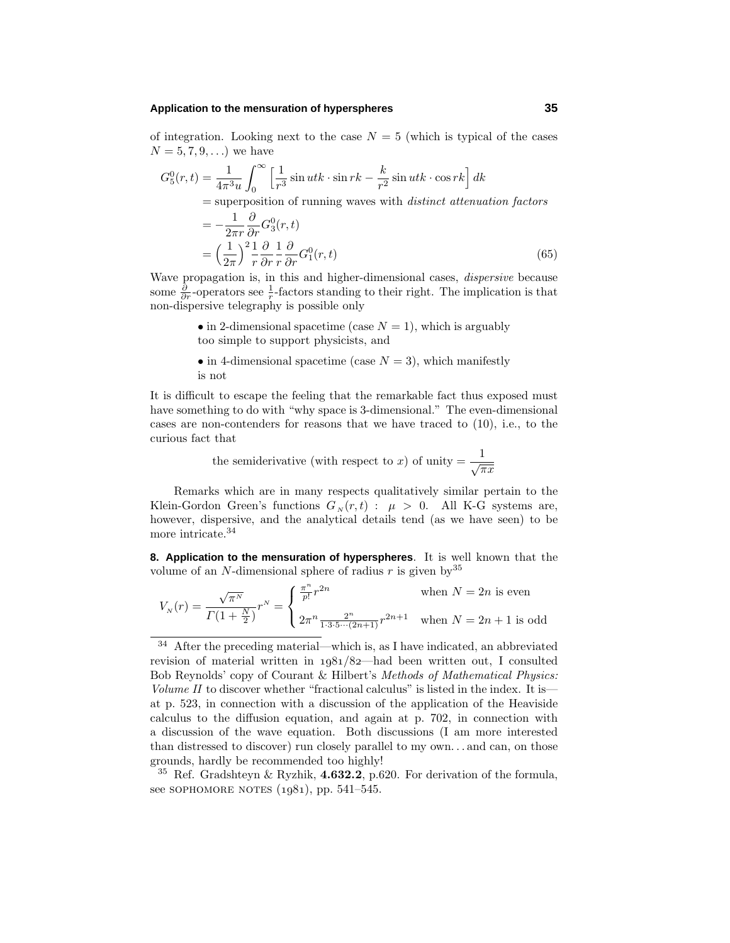#### **Application to the mensuration of hyperspheres 35**

of integration. Looking next to the case  $N = 5$  (which is typical of the cases  $N = 5, 7, 9, \ldots$  we have

$$
G_5^0(r,t) = \frac{1}{4\pi^3 u} \int_0^\infty \left[ \frac{1}{r^3} \sin utk \cdot \sin rk - \frac{k}{r^2} \sin utk \cdot \cos rk \right] dk
$$
  
= superposition of running waves with *distinct attenuation factors*  
= 
$$
-\frac{1}{2\pi r} \frac{\partial}{\partial r} G_3^0(r,t)
$$
  
= 
$$
\left(\frac{1}{2\pi}\right)^2 \frac{1}{r} \frac{\partial}{\partial r} \frac{1}{r} \frac{\partial}{\partial r} G_1^0(r,t)
$$
(65)

Wave propagation is, in this and higher-dimensional cases, dispersive because some  $\frac{\partial}{\partial r}$ -operators see  $\frac{1}{r}$ -factors standing to their right. The implication is that non-dispersive telegraphy is possible only

> • in 2-dimensional spacetime (case  $N = 1$ ), which is arguably too simple to support physicists, and

> • in 4-dimensional spacetime (case  $N = 3$ ), which manifestly is not

It is difficult to escape the feeling that the remarkable fact thus exposed must have something to do with "why space is 3-dimensional." The even-dimensional cases are non-contenders for reasons that we have traced to (10), i.e., to the curious fact that

the semiderivative (with respect to *x*) of unity  $=$   $\frac{1}{\sqrt{\pi x}}$ 

Remarks which are in many respects qualitatively similar pertain to the Klein-Gordon Green's functions  $G_N(r,t)$ :  $\mu > 0$ . All K-G systems are, however, dispersive, and the analytical details tend (as we have seen) to be more intricate.<sup>34</sup>

**8. Application to the mensuration of hyperspheres**. It is well known that the volume of an *N*-dimensional sphere of radius  $r$  is given by  $35$ 

$$
V_N(r) = \frac{\sqrt{\pi^N}}{\Gamma(1 + \frac{N}{2})} r^N = \begin{cases} \frac{\pi^n}{p!} r^{2n} & \text{when } N = 2n \text{ is even} \\ 2\pi^n \frac{2^n}{1 \cdot 3 \cdot 5 \cdots (2n+1)} r^{2n+1} & \text{when } N = 2n+1 \text{ is odd} \end{cases}
$$

<sup>35</sup> Ref. Gradshteyn & Ryzhik, **4.632.2**, p.620. For derivation of the formula, see SOPHOMORE NOTES  $(1981)$ , pp. 541–545.

<sup>34</sup> After the preceding material—which is, as I have indicated, an abbreviated revision of material written in  $1981/82$ —had been written out, I consulted Bob Reynolds' copy of Courant & Hilbert's Methods of Mathematical Physics: Volume II to discover whether "fractional calculus" is listed in the index. It isat p. 523, in connection with a discussion of the application of the Heaviside calculus to the diffusion equation, and again at p. 702, in connection with a discussion of the wave equation. Both discussions (I am more interested than distressed to discover) run closely parallel to my own*...* and can, on those grounds, hardly be recommended too highly!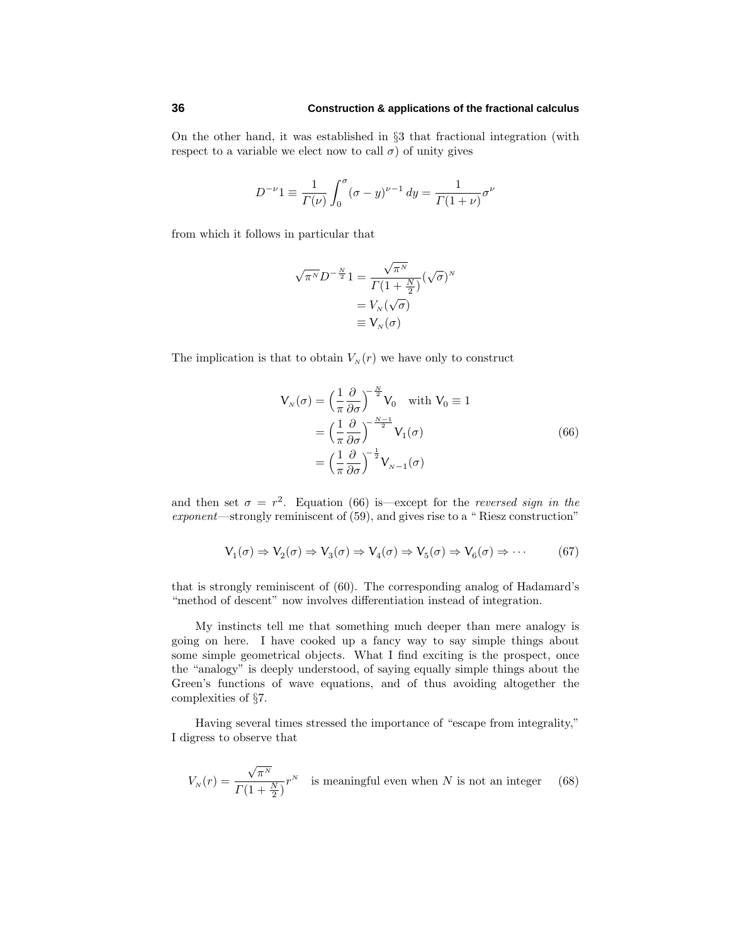On the other hand, it was established in §3 that fractional integration (with respect to a variable we elect now to call  $\sigma$ ) of unity gives

$$
D^{-\nu}1 \equiv \frac{1}{\Gamma(\nu)} \int_0^{\sigma} (\sigma - y)^{\nu - 1} dy = \frac{1}{\Gamma(1 + \nu)} \sigma^{\nu}
$$

from which it follows in particular that

$$
\sqrt{\pi^N} D^{-\frac{N}{2}} 1 = \frac{\sqrt{\pi^N}}{\Gamma(1 + \frac{N}{2})} (\sqrt{\sigma})^N
$$

$$
= V_N(\sqrt{\sigma})
$$

$$
\equiv V_N(\sigma)
$$

The implication is that to obtain  $V_N(r)$  we have only to construct

$$
V_N(\sigma) = \left(\frac{1}{\pi} \frac{\partial}{\partial \sigma}\right)^{-\frac{N}{2}} V_0 \quad \text{with } V_0 \equiv 1
$$

$$
= \left(\frac{1}{\pi} \frac{\partial}{\partial \sigma}\right)^{-\frac{N-1}{2}} V_1(\sigma)
$$

$$
= \left(\frac{1}{\pi} \frac{\partial}{\partial \sigma}\right)^{-\frac{1}{2}} V_{N-1}(\sigma)
$$
(66)

and then set  $\sigma = r^2$ . Equation (66) is except for the *reversed sign in the* exponent—strongly reminiscent of (59), and gives rise to a " Riesz construction"

$$
V_1(\sigma) \Rightarrow V_2(\sigma) \Rightarrow V_3(\sigma) \Rightarrow V_4(\sigma) \Rightarrow V_5(\sigma) \Rightarrow V_6(\sigma) \Rightarrow \cdots
$$
 (67)

that is strongly reminiscent of (60). The corresponding analog of Hadamard's "method of descent" now involves differentiation instead of integration.

My instincts tell me that something much deeper than mere analogy is going on here. I have cooked up a fancy way to say simple things about some simple geometrical objects. What I find exciting is the prospect, once the "analogy" is deeply understood, of saying equally simple things about the Green's functions of wave equations, and of thus avoiding altogether the complexities of §7.

Having several times stressed the importance of "escape from integrality," I digress to observe that

$$
V_N(r) = \frac{\sqrt{\pi^N}}{\Gamma(1 + \frac{N}{2})} r^N
$$
 is meaningful even when N is not an integer (68)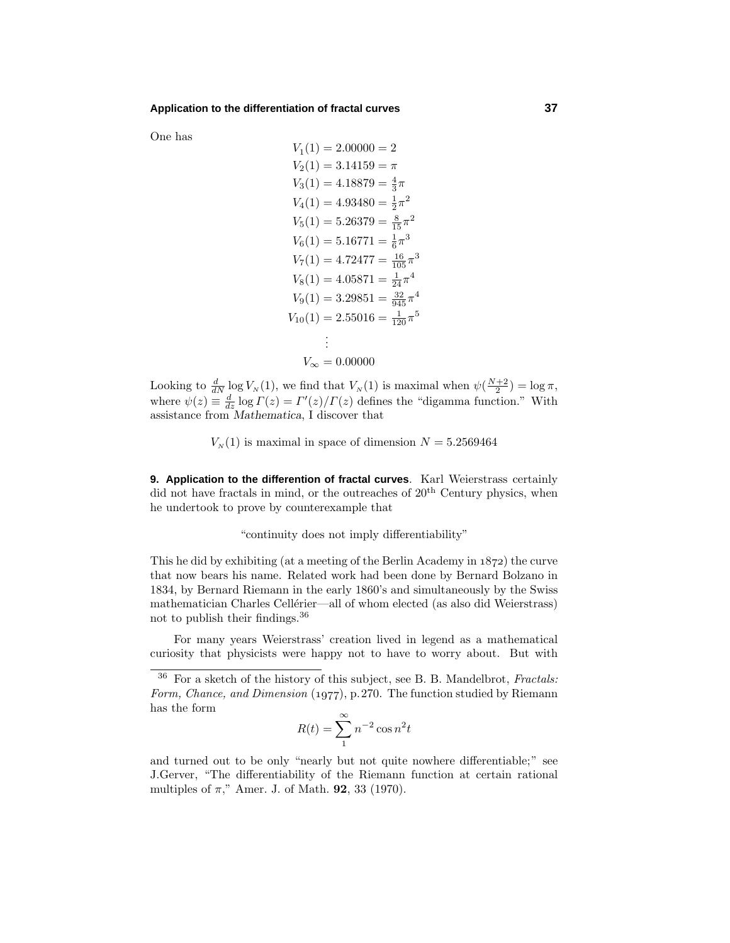#### **Application to the differentiation of fractal curves 37**

One has

$$
V_1(1) = 2.00000 = 2
$$
  
\n
$$
V_2(1) = 3.14159 = \pi
$$
  
\n
$$
V_3(1) = 4.18879 = \frac{4}{3}\pi
$$
  
\n
$$
V_4(1) = 4.93480 = \frac{1}{2}\pi^2
$$
  
\n
$$
V_5(1) = 5.26379 = \frac{8}{15}\pi^2
$$
  
\n
$$
V_6(1) = 5.16771 = \frac{1}{6}\pi^3
$$
  
\n
$$
V_7(1) = 4.72477 = \frac{16}{105}\pi^3
$$
  
\n
$$
V_8(1) = 4.05871 = \frac{1}{24}\pi^4
$$
  
\n
$$
V_9(1) = 3.29851 = \frac{32}{945}\pi^4
$$
  
\n
$$
V_{10}(1) = 2.55016 = \frac{1}{120}\pi^5
$$
  
\n:  
\n
$$
V_{\infty} = 0.00000
$$

Looking to  $\frac{d}{dN} \log V_N(1)$ , we find that  $V_N(1)$  is maximal when  $\psi\left(\frac{N+2}{2}\right) = \log \pi$ , where  $\psi(z) \equiv \frac{d}{dz} \log \Gamma(z) = \Gamma'(z)/\Gamma(z)$  defines the "digamma function." With assistance from *Mathematica*, I discover that

 $V<sub>N</sub>(1)$  is maximal in space of dimension  $N = 5.2569464$ 

**9. Application to the differention of fractal curves**. Karl Weierstrass certainly did not have fractals in mind, or the outreaches of  $20<sup>th</sup>$  Century physics, when he undertook to prove by counterexample that

"continuity does not imply differentiability"

This he did by exhibiting (at a meeting of the Berlin Academy in  $1872$ ) the curve that now bears his name. Related work had been done by Bernard Bolzano in 1834, by Bernard Riemann in the early 1860's and simultaneously by the Swiss mathematician Charles Cellérier—all of whom elected (as also did Weierstrass) not to publish their findings.<sup>36</sup>

For many years Weierstrass' creation lived in legend as a mathematical curiosity that physicists were happy not to have to worry about. But with

$$
R(t) = \sum_{1}^{\infty} n^{-2} \cos n^2 t
$$

and turned out to be only "nearly but not quite nowhere differentiable;" see J.Gerver, "The differentiability of the Riemann function at certain rational multiples of *π*," Amer. J. of Math. **92**, 33 (1970).

 $36$  For a sketch of the history of this subject, see B. B. Mandelbrot, Fractals: Form, Chance, and Dimension  $(1977)$ , p.270. The function studied by Riemann has the form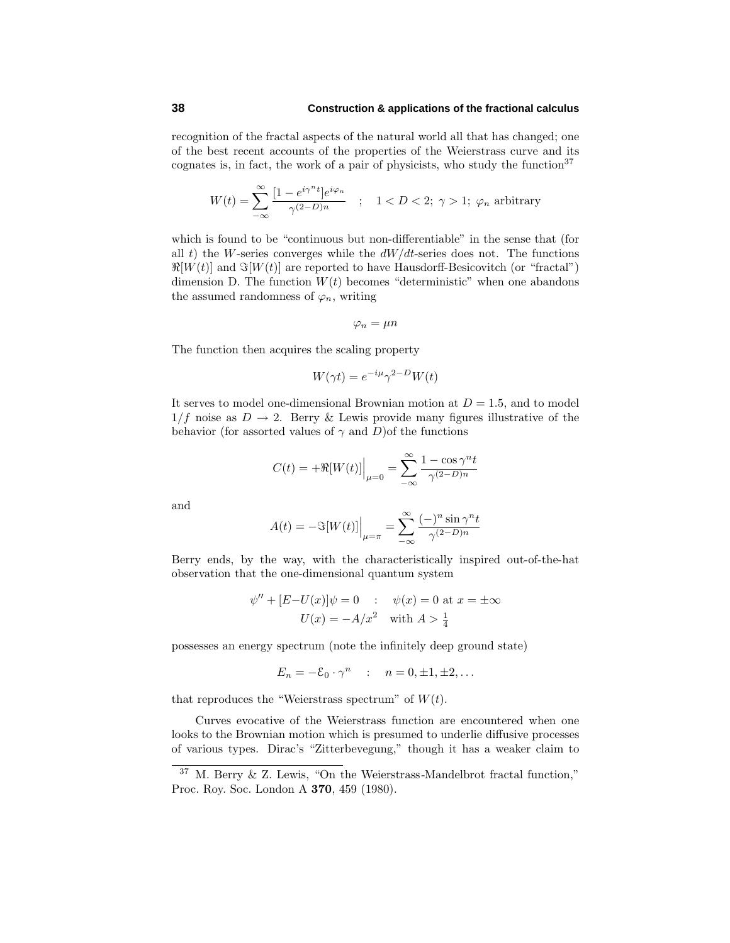recognition of the fractal aspects of the natural world all that has changed; one of the best recent accounts of the properties of the Weierstrass curve and its cognates is, in fact, the work of a pair of physicists, who study the function<sup>37</sup>

$$
W(t) = \sum_{-\infty}^{\infty} \frac{[1 - e^{i\gamma^{n}t}]e^{i\varphi_n}}{\gamma^{(2-D)n}} \quad ; \quad 1 < D < 2; \ \gamma > 1; \ \varphi_n \text{ arbitrary}
$$

which is found to be "continuous but non-differentiable" in the sense that (for all  $t$ ) the *W*-series converges while the  $dW/dt$ -series does not. The functions  $\Re[W(t)]$  and  $\Im[W(t)]$  are reported to have Hausdorff-Besicovitch (or "fractal") dimension D. The function  $W(t)$  becomes "deterministic" when one abandons the assumed randomness of  $\varphi_n$ , writing

$$
\varphi_n=\mu n
$$

The function then acquires the scaling property

$$
W(\gamma t) = e^{-i\mu} \gamma^{2-D} W(t)
$$

It serves to model one-dimensional Brownian motion at  $D = 1.5$ , and to model  $1/f$  noise as  $D \to 2$ . Berry & Lewis provide many figures illustrative of the behavior (for assorted values of  $\gamma$  and *D*)of the functions

$$
C(t) = +\Re[W(t)]\Big|_{\mu=0} = \sum_{-\infty}^{\infty} \frac{1-\cos\gamma^n t}{\gamma^{(2-D)n}}
$$

and

$$
A(t) = -\Im[W(t)]\Big|_{\mu = \pi} = \sum_{-\infty}^{\infty} \frac{(-)^n \sin \gamma^n t}{\gamma^{(2-D)n}}
$$

Berry ends, by the way, with the characteristically inspired out-of-the-hat observation that the one-dimensional quantum system

$$
\psi'' + [E-U(x)]\psi = 0
$$
 :  $\psi(x) = 0$  at  $x = \pm \infty$   
 $U(x) = -A/x^2$  with  $A > \frac{1}{4}$ 

possesses an energy spectrum (note the infinitely deep ground state)

$$
E_n = -\mathcal{E}_0 \cdot \gamma^n \quad : \quad n = 0, \pm 1, \pm 2, \dots
$$

that reproduces the "Weierstrass spectrum" of  $W(t)$ .

Curves evocative of the Weierstrass function are encountered when one looks to the Brownian motion which is presumed to underlie diffusive processes of various types. Dirac's "Zitterbevegung," though it has a weaker claim to

<sup>37</sup> M. Berry & Z. Lewis, "On the Weierstrass-Mandelbrot fractal function," Proc. Roy. Soc. London A **370**, 459 (1980).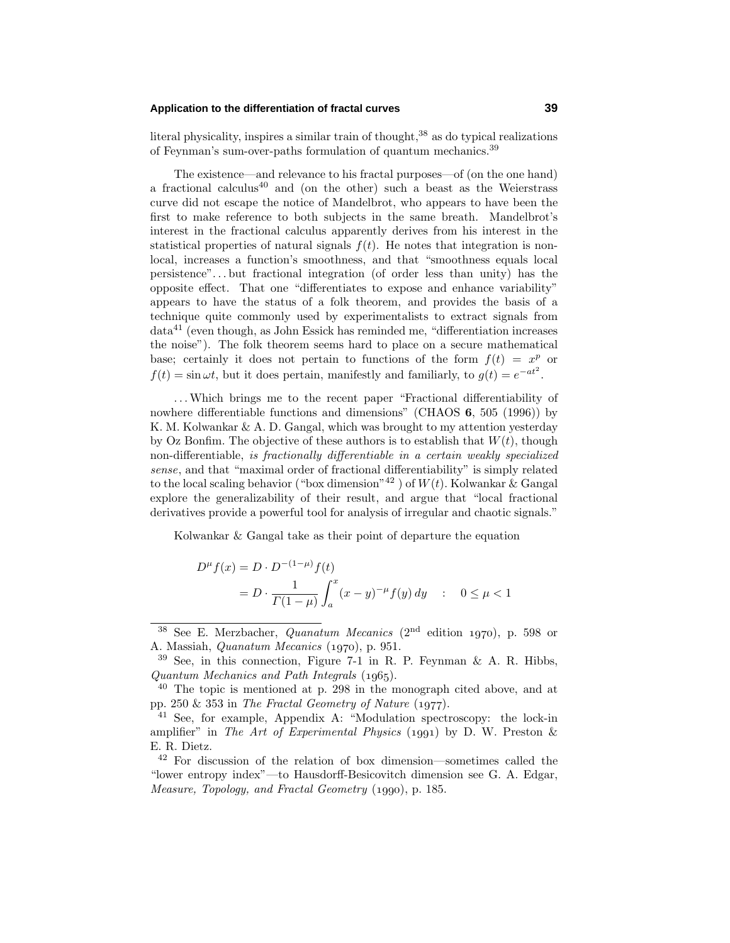## **Application to the differentiation of fractal curves 39**

literal physicality, inspires a similar train of thought, $38$  as do typical realizations of Feynman's sum-over-paths formulation of quantum mechanics.<sup>39</sup>

The existence—and relevance to his fractal purposes—of (on the one hand) a fractional calculus<sup>40</sup> and (on the other) such a beast as the Weierstrass curve did not escape the notice of Mandelbrot, who appears to have been the first to make reference to both subjects in the same breath. Mandelbrot's interest in the fractional calculus apparently derives from his interest in the statistical properties of natural signals  $f(t)$ . He notes that integration is nonlocal, increases a function's smoothness, and that "smoothness equals local persistence"*...* but fractional integration (of order less than unity) has the opposite effect. That one "differentiates to expose and enhance variability" appears to have the status of a folk theorem, and provides the basis of a technique quite commonly used by experimentalists to extract signals from  $data<sup>41</sup>$  (even though, as John Essick has reminded me, "differentiation increases the noise"). The folk theorem seems hard to place on a secure mathematical base; certainly it does not pertain to functions of the form  $f(t) = x^p$  or  $f(t) = \sin \omega t$ , but it does pertain, manifestly and familiarly, to  $g(t) = e^{-at^2}$ .

*...*Which brings me to the recent paper "Fractional differentiability of nowhere differentiable functions and dimensions" (CHAOS **6**, 505 (1996)) by K. M. Kolwankar & A. D. Gangal, which was brought to my attention yesterday by Oz Bonfim. The objective of these authors is to establish that  $W(t)$ , though non-differentiable, is fractionally differentiable in a certain weakly specialized sense, and that "maximal order of fractional differentiability" is simply related to the local scaling behavior ("box dimension"<sup>42</sup> ) of *W*(*t*). Kolwankar & Gangal explore the generalizability of their result, and argue that "local fractional derivatives provide a powerful tool for analysis of irregular and chaotic signals."

Kolwankar & Gangal take as their point of departure the equation

$$
D^{\mu} f(x) = D \cdot D^{-(1-\mu)} f(t)
$$
  
= 
$$
D \cdot \frac{1}{\Gamma(1-\mu)} \int_{a}^{x} (x-y)^{-\mu} f(y) dy \quad : \quad 0 \le \mu < 1
$$

<sup>&</sup>lt;sup>38</sup> See E. Merzbacher, *Quanatum Mecanics* (2<sup>nd</sup> edition 1970), p. 598 or A. Massiah, *Quanatum Mecanics* (1970), p. 951.

 $39$  See, in this connection, Figure 7-1 in R. P. Feynman & A. R. Hibbs,  $Quantum \ Mechanics \ and \ Path \ Integrals (1965).$ 

 $40$  The topic is mentioned at p. 298 in the monograph cited above, and at pp. 250  $\&$  353 in The Fractal Geometry of Nature (1977).

<sup>41</sup> See, for example, Appendix A: "Modulation spectroscopy: the lock-in amplifier" in The Art of Experimental Physics (1991) by D. W. Preston  $\&$ E. R. Dietz.

<sup>42</sup> For discussion of the relation of box dimension—sometimes called the "lower entropy index"—to Hausdorff-Besicovitch dimension see G. A. Edgar, Measure, Topology, and Fractal Geometry (1990), p. 185.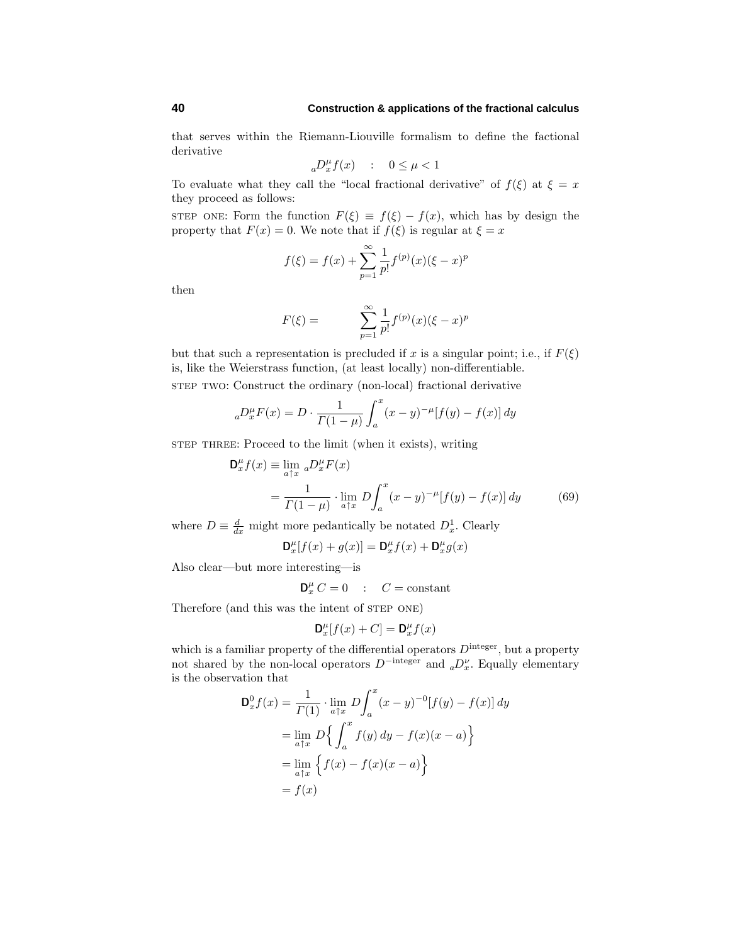that serves within the Riemann-Liouville formalism to define the factional derivative

$$
_{a}D^{\mu}_{x}f(x) \quad : \quad 0 \leq \mu < 1
$$

To evaluate what they call the "local fractional derivative" of  $f(\xi)$  at  $\xi = x$ they proceed as follows:

STEP ONE: Form the function  $F(\xi) \equiv f(\xi) - f(x)$ , which has by design the property that  $F(x) = 0$ . We note that if  $f(\xi)$  is regular at  $\xi = x$ 

$$
f(\xi) = f(x) + \sum_{p=1}^{\infty} \frac{1}{p!} f^{(p)}(x) (\xi - x)^p
$$

then

$$
F(\xi) = \sum_{p=1}^{\infty} \frac{1}{p!} f^{(p)}(x) (\xi - x)^p
$$

but that such a representation is precluded if  $x$  is a singular point; i.e., if  $F(\xi)$ is, like the Weierstrass function, (at least locally) non-differentiable. step two: Construct the ordinary (non-local) fractional derivative

$$
{}_{a}D_{x}^{\mu}F(x) = D \cdot \frac{1}{\Gamma(1-\mu)} \int_{a}^{x} (x-y)^{-\mu} [f(y) - f(x)] dy
$$

step three: Proceed to the limit (when it exists), writing

$$
\mathbf{D}_{x}^{\mu} f(x) \equiv \lim_{a \uparrow x} a D_{x}^{\mu} F(x)
$$
  
= 
$$
\frac{1}{\Gamma(1-\mu)} \cdot \lim_{a \uparrow x} D \int_{a}^{x} (x-y)^{-\mu} [f(y) - f(x)] dy
$$
 (69)

where  $D \equiv \frac{d}{dx}$  might more pedantically be notated  $D_x^1$ . Clearly

$$
\mathbf{D}_x^{\mu}[f(x) + g(x)] = \mathbf{D}_x^{\mu}f(x) + \mathbf{D}_x^{\mu}g(x)
$$

Also clear—but more interesting—is

 $\mathbf{D}_{x}^{\mu} C = 0$  :  $C = \text{constant}$ 

Therefore (and this was the intent of STEP ONE)

$$
\mathbf{D}^\mu_x[f(x)+C]=\mathbf{D}^\mu_x f(x)
$$

which is a familiar property of the differential operators  $D^{\text{integer}}$ , but a property not shared by the non-local operators  $D^{-\text{integer}}$  and  ${_aD_x^{\nu}}$ . Equally elementary is the observation that

$$
\mathbf{D}_x^0 f(x) = \frac{1}{\Gamma(1)} \cdot \lim_{a \uparrow x} D \int_a^x (x - y)^{-0} [f(y) - f(x)] dy
$$
  
= 
$$
\lim_{a \uparrow x} D \Big\{ \int_a^x f(y) dy - f(x)(x - a) \Big\}
$$
  
= 
$$
\lim_{a \uparrow x} \Big\{ f(x) - f(x)(x - a) \Big\}
$$
  
= 
$$
f(x)
$$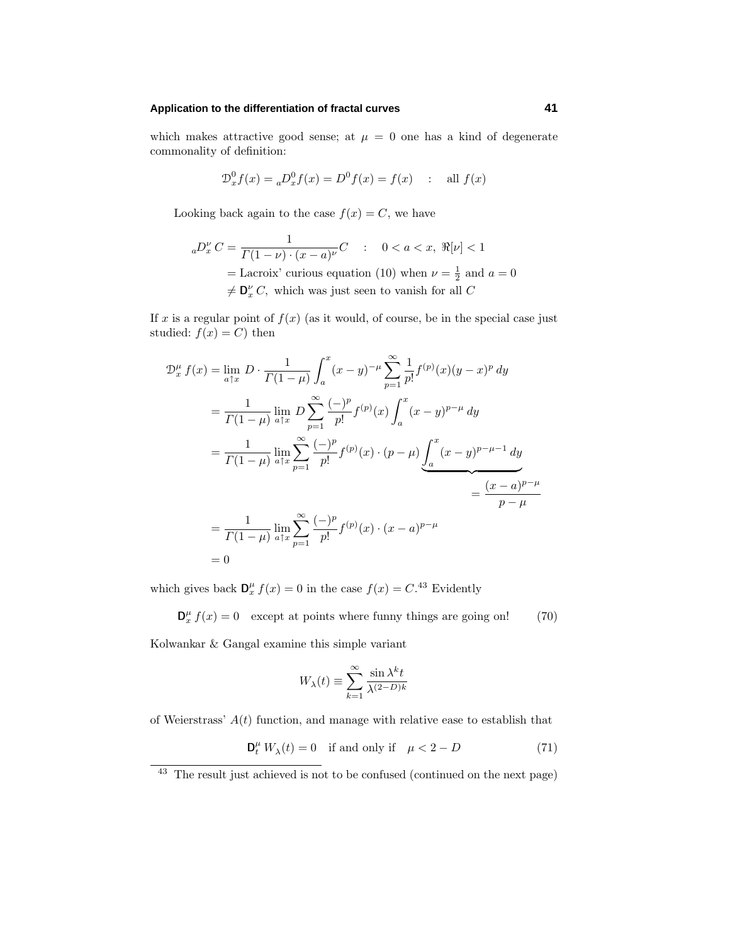## **Application to the differentiation of fractal curves 41**

which makes attractive good sense; at  $\mu = 0$  one has a kind of degenerate commonality of definition:

$$
\mathcal{D}_x^0 f(x) = {}_a \mathcal{D}_x^0 f(x) = \mathcal{D}^0 f(x) = f(x) \quad : \quad \text{all } f(x)
$$

Looking back again to the case  $f(x) = C$ , we have

$$
{}_{a}D_{x}^{\nu}C = \frac{1}{\Gamma(1-\nu)\cdot(x-a)^{\nu}}C \quad : \quad 0 < a < x, \ \Re[\nu] < 1
$$
  
= Lacroix' curious equation (10) when  $\nu = \frac{1}{2}$  and  $a = 0$   
 $\neq \mathbf{D}_{x}^{\nu}C$ , which was just seen to vanish for all C

If  $x$  is a regular point of  $f(x)$  (as it would, of course, be in the special case just studied:  $f(x) = C$  then

$$
\mathcal{D}_x^{\mu} f(x) = \lim_{a \uparrow x} D \cdot \frac{1}{\Gamma(1-\mu)} \int_a^x (x-y)^{-\mu} \sum_{p=1}^{\infty} \frac{1}{p!} f^{(p)}(x) (y-x)^p \, dy
$$
  
\n
$$
= \frac{1}{\Gamma(1-\mu)} \lim_{a \uparrow x} D \sum_{p=1}^{\infty} \frac{(-)^p}{p!} f^{(p)}(x) \int_a^x (x-y)^{p-\mu} \, dy
$$
  
\n
$$
= \frac{1}{\Gamma(1-\mu)} \lim_{a \uparrow x} \sum_{p=1}^{\infty} \frac{(-)^p}{p!} f^{(p)}(x) \cdot (p-\mu) \underbrace{\int_a^x (x-y)^{p-\mu-1} \, dy}_{= \frac{(x-a)^{p-\mu}}{p-\mu}}
$$
  
\n
$$
= \frac{1}{\Gamma(1-\mu)} \lim_{a \uparrow x} \sum_{p=1}^{\infty} \frac{(-)^p}{p!} f^{(p)}(x) \cdot (x-a)^{p-\mu}
$$
  
\n
$$
= 0
$$

which gives back  $\mathbf{D}_x^{\mu} f(x) = 0$  in the case  $f(x) = C^{.43}$  Evidently

 $\mathbf{D}_{x}^{\mu} f(x) = 0$  except at points where funny things are going on! (70)

Kolwankar & Gangal examine this simple variant

$$
W_{\lambda}(t)\equiv\sum_{k=1}^{\infty}\frac{\sin\lambda^{k}t}{\lambda^{(2-D)k}}
$$

of Weierstrass' *A*(*t*) function, and manage with relative ease to establish that

$$
\mathbf{D}_t^{\mu} W_{\lambda}(t) = 0 \quad \text{if and only if} \quad \mu < 2 - D \tag{71}
$$

<sup>43</sup> The result just achieved is not to be confused (continued on the next page)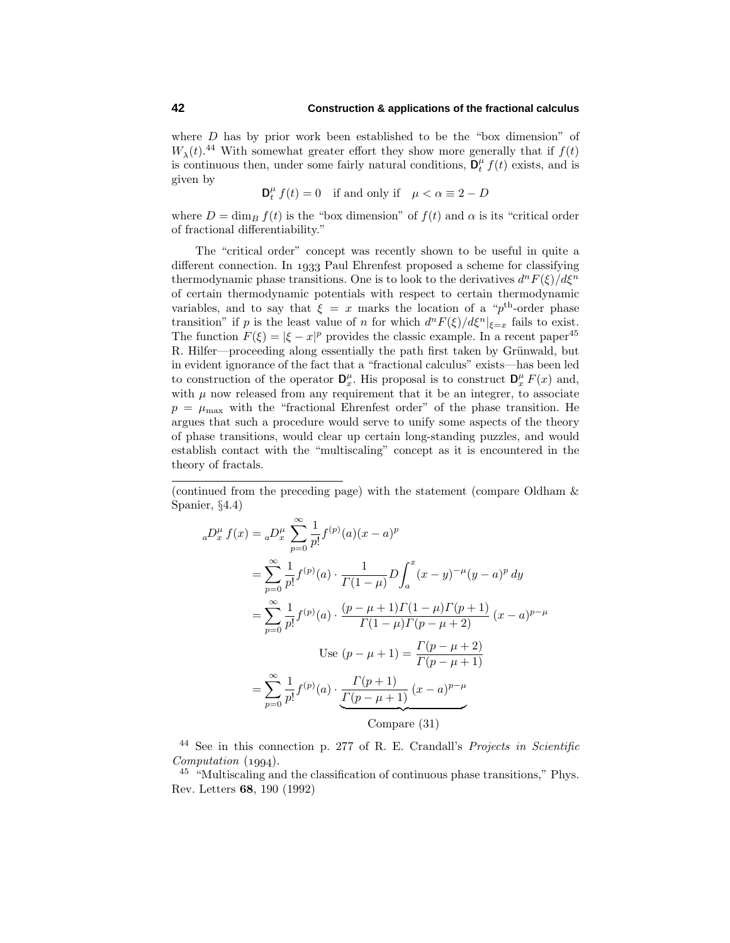where *D* has by prior work been established to be the "box dimension" of  $W_{\lambda}(t)$ .<sup>44</sup> With somewhat greater effort they show more generally that if  $f(t)$ is continuous then, under some fairly natural conditions,  $\mathbf{D}_t^{\mu} f(t)$  exists, and is given by

 $\mathbf{D}_t^{\mu} f(t) = 0$  if and only if  $\mu < \alpha \equiv 2 - D$ 

where  $D = \dim_B f(t)$  is the "box dimension" of  $f(t)$  and  $\alpha$  is its "critical order of fractional differentiability."

The "critical order" concept was recently shown to be useful in quite a different connection. In 1933 Paul Ehrenfest proposed a scheme for classifying thermodynamic phase transitions. One is to look to the derivatives  $d^n F(\xi)/d\xi^n$ of certain thermodynamic potentials with respect to certain thermodynamic variables, and to say that  $\xi = x$  marks the location of a " $p<sup>th</sup>$ -order phase transition" if *p* is the least value of *n* for which  $d^n F(\xi)/d\xi^n|_{\xi=x}$  fails to exist. The function  $F(\xi) = |\xi - x|^p$  provides the classic example. In a recent paper<sup>45</sup> R. Hilfer—proceeding along essentially the path first taken by Grünwald, but in evident ignorance of the fact that a "fractional calculus" exists—has been led to construction of the operator  $\mathbf{D}^{\mu}_{x}$ . His proposal is to construct  $\mathbf{D}^{\mu}_{x} F(x)$  and, with  $\mu$  now released from any requirement that it be an integrer, to associate  $p = \mu_{\text{max}}$  with the "fractional Ehrenfest order" of the phase transition. He argues that such a procedure would serve to unify some aspects of the theory of phase transitions, would clear up certain long-standing puzzles, and would establish contact with the "multiscaling" concept as it is encountered in the theory of fractals.

(continued from the preceding page) with the statement (compare Oldham & Spanier, §4.4)

$$
{}_{a}D_{x}^{\mu} f(x) = {}_{a}D_{x}^{\mu} \sum_{p=0}^{\infty} \frac{1}{p!} f^{(p)}(a)(x-a)^{p}
$$
  
\n
$$
= \sum_{p=0}^{\infty} \frac{1}{p!} f^{(p)}(a) \cdot \frac{1}{\Gamma(1-\mu)} D \int_{a}^{x} (x-y)^{-\mu} (y-a)^{p} dy
$$
  
\n
$$
= \sum_{p=0}^{\infty} \frac{1}{p!} f^{(p)}(a) \cdot \frac{(p-\mu+1)\Gamma(1-\mu)\Gamma(p+1)}{\Gamma(1-\mu)\Gamma(p-\mu+2)} (x-a)^{p-\mu}
$$
  
\nUse  $(p-\mu+1) = \frac{\Gamma(p-\mu+2)}{\Gamma(p-\mu+1)}$   
\n
$$
= \sum_{p=0}^{\infty} \frac{1}{p!} f^{(p)}(a) \cdot \frac{\Gamma(p+1)}{\Gamma(p-\mu+1)} (x-a)^{p-\mu}
$$
  
\nCompare (31)

<sup>44</sup> See in this connection p. 277 of R. E. Crandall's *Projects in Scientific*  $Computation (1994).$ 

<sup>45</sup> "Multiscaling and the classification of continuous phase transitions," Phys. Rev. Letters **68**, 190 (1992)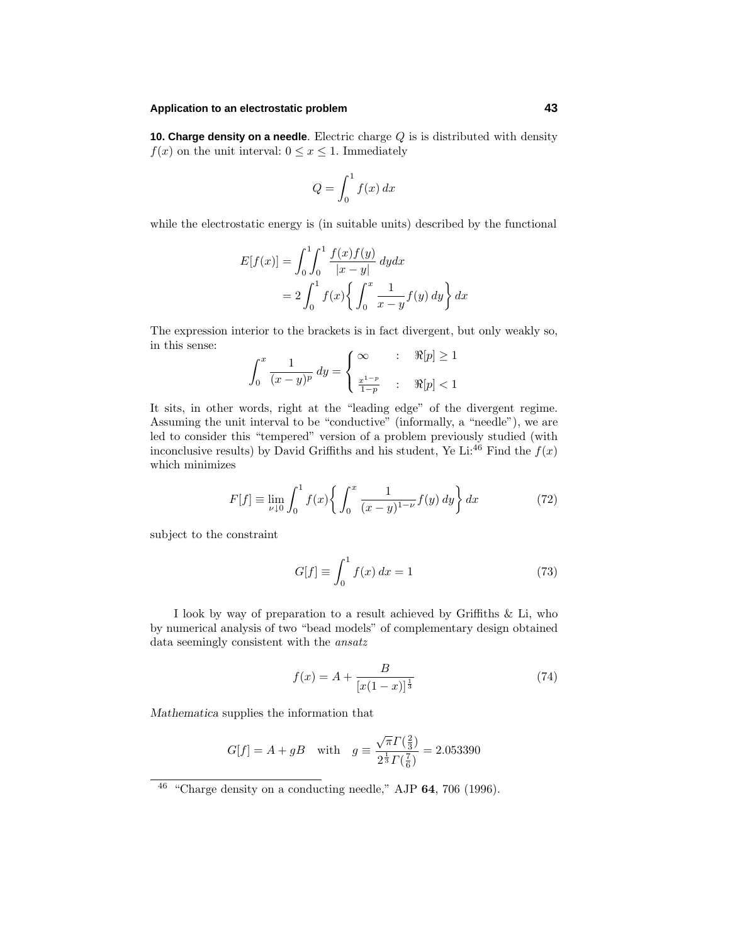## **Application to an electrostatic problem 43**

**10. Charge density on a needle**. Electric charge *Q* is is distributed with density  $f(x)$  on the unit interval:  $0 \le x \le 1$ . Immediately

$$
Q = \int_0^1 f(x) \, dx
$$

while the electrostatic energy is (in suitable units) described by the functional

$$
E[f(x)] = \int_0^1 \int_0^1 \frac{f(x)f(y)}{|x - y|} dy dx
$$
  
=  $2 \int_0^1 f(x) \left\{ \int_0^x \frac{1}{x - y} f(y) dy \right\} dx$ 

The expression interior to the brackets is in fact divergent, but only weakly so, in this sense:

$$
\int_0^x \frac{1}{(x-y)^p} dy = \begin{cases} \infty & : & \Re[p] \ge 1 \\ \frac{x^{1-p}}{1-p} & : & \Re[p] < 1 \end{cases}
$$

It sits, in other words, right at the "leading edge" of the divergent regime. Assuming the unit interval to be "conductive" (informally, a "needle"), we are led to consider this "tempered" version of a problem previously studied (with inconclusive results) by David Griffiths and his student, Ye Li:<sup>46</sup> Find the  $f(x)$ which minimizes

$$
F[f] \equiv \lim_{\nu \downarrow 0} \int_0^1 f(x) \left\{ \int_0^x \frac{1}{(x-y)^{1-\nu}} f(y) \, dy \right\} dx \tag{72}
$$

subject to the constraint

$$
G[f] \equiv \int_0^1 f(x) dx = 1 \tag{73}
$$

I look by way of preparation to a result achieved by Griffiths & Li, who by numerical analysis of two "bead models" of complementary design obtained data seemingly consistent with the ansatz

$$
f(x) = A + \frac{B}{[x(1-x)]^{\frac{1}{3}}}
$$
\n(74)

*Mathematica* supplies the information that

$$
G[f] = A + gB
$$
 with  $g = \frac{\sqrt{\pi} \Gamma(\frac{2}{3})}{2^{\frac{1}{3}} \Gamma(\frac{7}{6})} = 2.053390$ 

<sup>46</sup> "Charge density on a conducting needle," AJP **64**, 706 (1996).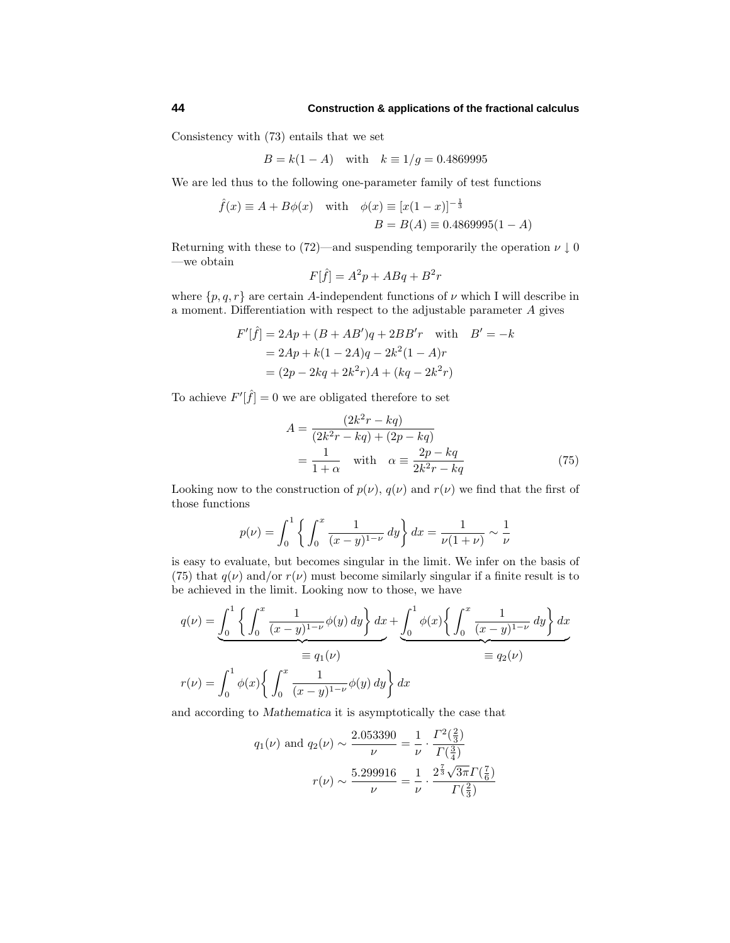Consistency with (73) entails that we set

$$
B = k(1 - A)
$$
 with  $k \equiv 1/g = 0.4869995$ 

We are led thus to the following one-parameter family of test functions

$$
\hat{f}(x) \equiv A + B\phi(x)
$$
 with  $\phi(x) \equiv [x(1-x)]^{-\frac{1}{3}}$   
\n $B = B(A) \equiv 0.4869995(1-A)$ 

Returning with these to (72)—and suspending temporarily the operation  $\nu \downarrow 0$ —we obtain

$$
F[\hat{f}] = A^2 p + ABq + B^2 r
$$

where  $\{p, q, r\}$  are certain *A*-independent functions of  $\nu$  which I will describe in a moment. Differentiation with respect to the adjustable parameter *A* gives

$$
F'[\hat{f}] = 2Ap + (B + AB')q + 2BB'r \text{ with } B' = -k
$$
  
= 2Ap + k(1 - 2A)q - 2k<sup>2</sup>(1 - A)r  
= (2p - 2kq + 2k<sup>2</sup>r)A + (kq - 2k<sup>2</sup>r)

To achieve  $F'[\hat{f}] = 0$  we are obligated therefore to set

$$
A = \frac{(2k^2r - kq)}{(2k^2r - kq) + (2p - kq)}
$$
  
= 
$$
\frac{1}{1+\alpha} \quad \text{with} \quad \alpha \equiv \frac{2p - kq}{2k^2r - kq}
$$
(75)

Looking now to the construction of  $p(\nu)$ ,  $q(\nu)$  and  $r(\nu)$  we find that the first of those functions

$$
p(\nu) = \int_0^1 \left\{ \int_0^x \frac{1}{(x-y)^{1-\nu}} dy \right\} dx = \frac{1}{\nu(1+\nu)} \sim \frac{1}{\nu}
$$

is easy to evaluate, but becomes singular in the limit. We infer on the basis of (75) that  $q(\nu)$  and/or  $r(\nu)$  must become similarly singular if a finite result is to be achieved in the limit. Looking now to those, we have

$$
q(\nu) = \int_0^1 \left\{ \int_0^x \frac{1}{(x-y)^{1-\nu}} \phi(y) \, dy \right\} dx + \int_0^1 \phi(x) \left\{ \int_0^x \frac{1}{(x-y)^{1-\nu}} \, dy \right\} dx
$$
  
\n
$$
= q_1(\nu)
$$
  
\n
$$
r(\nu) = \int_0^1 \phi(x) \left\{ \int_0^x \frac{1}{(x-y)^{1-\nu}} \phi(y) \, dy \right\} dx
$$

and according to *Mathematica* it is asymptotically the case that

$$
q_1(\nu)
$$
 and  $q_2(\nu) \sim \frac{2.053390}{\nu} = \frac{1}{\nu} \cdot \frac{\Gamma^2(\frac{2}{3})}{\Gamma(\frac{3}{4})}$   
 $r(\nu) \sim \frac{5.299916}{\nu} = \frac{1}{\nu} \cdot \frac{2^{\frac{7}{3}}\sqrt{3\pi}\Gamma(\frac{7}{6})}{\Gamma(\frac{2}{3})}$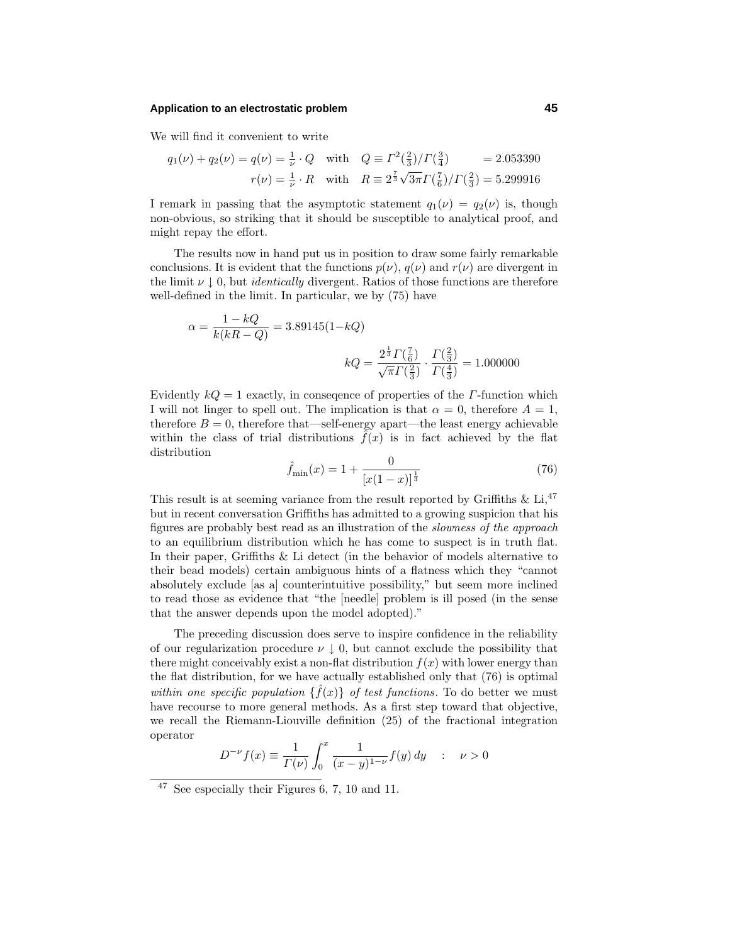## **Application to an electrostatic problem 45**

We will find it convenient to write

$$
q_1(\nu) + q_2(\nu) = q(\nu) = \frac{1}{\nu} \cdot Q \quad \text{with} \quad Q \equiv \Gamma^2(\frac{2}{3})/\Gamma(\frac{3}{4}) = 2.053390
$$

$$
r(\nu) = \frac{1}{\nu} \cdot R \quad \text{with} \quad R \equiv 2^{\frac{7}{3}}\sqrt{3\pi}\Gamma(\frac{7}{6})/\Gamma(\frac{2}{3}) = 5.299916
$$

I remark in passing that the asymptotic statement  $q_1(\nu) = q_2(\nu)$  is, though non-obvious, so striking that it should be susceptible to analytical proof, and might repay the effort.

The results now in hand put us in position to draw some fairly remarkable conclusions. It is evident that the functions  $p(\nu)$ ,  $q(\nu)$  and  $r(\nu)$  are divergent in the limit  $\nu \downarrow 0$ , but *identically* divergent. Ratios of those functions are therefore well-defined in the limit. In particular, we by (75) have

$$
\alpha = \frac{1 - kQ}{k(kR - Q)} = 3.89145(1 - kQ)
$$

$$
kQ = \frac{2^{\frac{1}{3}}\Gamma(\frac{7}{6})}{\sqrt{\pi}\Gamma(\frac{2}{3})} \cdot \frac{\Gamma(\frac{2}{3})}{\Gamma(\frac{4}{3})} = 1.000000
$$

Evidently *kQ* = 1 exactly, in conseqence of properties of the *Γ*-function which I will not linger to spell out. The implication is that  $\alpha = 0$ , therefore  $A = 1$ , therefore  $B = 0$ , therefore that—self-energy apart—the least energy achievable within the class of trial distributions  $\hat{f}(x)$  is in fact achieved by the flat distribution

$$
\hat{f}_{\min}(x) = 1 + \frac{0}{[x(1-x)]^{\frac{1}{3}}}
$$
\n(76)

This result is at seeming variance from the result reported by Griffiths  $\&$  Li,<sup>47</sup> but in recent conversation Griffiths has admitted to a growing suspicion that his figures are probably best read as an illustration of the slowness of the approach to an equilibrium distribution which he has come to suspect is in truth flat. In their paper, Griffiths & Li detect (in the behavior of models alternative to their bead models) certain ambiguous hints of a flatness which they "cannot absolutely exclude [as a] counterintuitive possibility," but seem more inclined to read those as evidence that "the [needle] problem is ill posed (in the sense that the answer depends upon the model adopted)."

The preceding discussion does serve to inspire confidence in the reliability of our regularization procedure  $\nu \downarrow 0$ , but cannot exclude the possibility that there might conceivably exist a non-flat distribution  $f(x)$  with lower energy than the flat distribution, for we have actually established only that (76) is optimal within one specific population  $\{f(x)\}\$  of test functions. To do better we must have recourse to more general methods. As a first step toward that objective, we recall the Riemann-Liouville definition (25) of the fractional integration operator

$$
D^{-\nu} f(x) \equiv \frac{1}{\Gamma(\nu)} \int_0^x \frac{1}{(x-y)^{1-\nu}} f(y) \, dy \quad : \quad \nu > 0
$$

<sup>47</sup> See especially their Figures 6, 7, 10 and 11.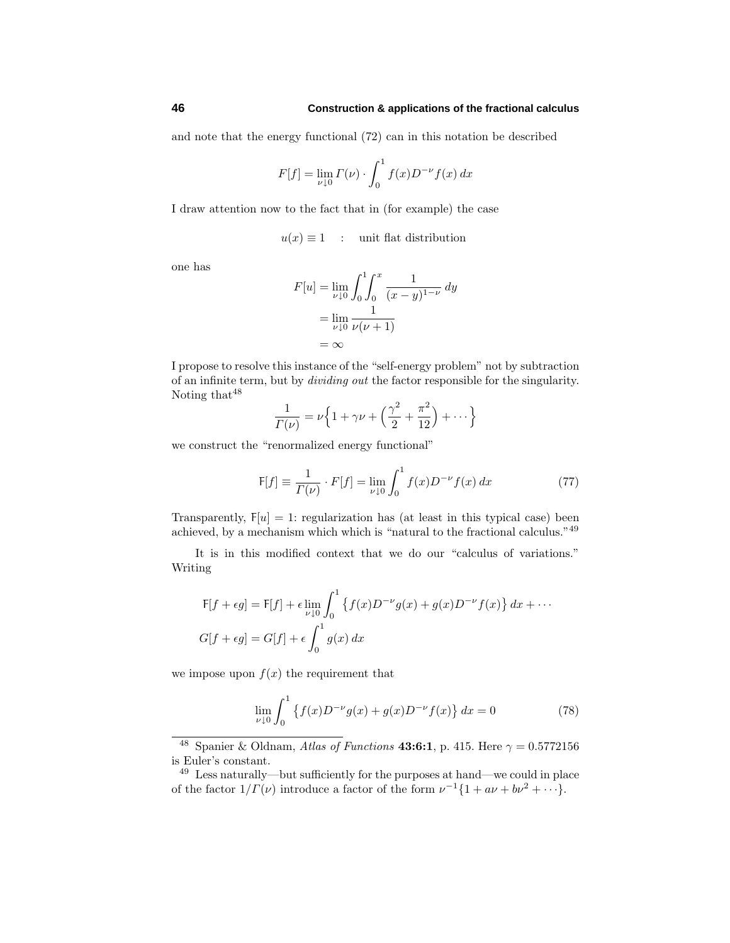and note that the energy functional (72) can in this notation be described

$$
F[f] = \lim_{\nu \downarrow 0} \Gamma(\nu) \cdot \int_0^1 f(x) D^{-\nu} f(x) \, dx
$$

I draw attention now to the fact that in (for example) the case

$$
u(x) \equiv 1
$$
 : unit flat distribution

one has

$$
F[u] = \lim_{\nu \downarrow 0} \int_0^1 \int_0^x \frac{1}{(x - y)^{1 - \nu}} \, dy
$$
  
= 
$$
\lim_{\nu \downarrow 0} \frac{1}{\nu(\nu + 1)}
$$
  
= 
$$
\infty
$$

I propose to resolve this instance of the "self-energy problem" not by subtraction of an infinite term, but by dividing out the factor responsible for the singularity. Noting that  $48$ 

$$
\frac{1}{\Gamma(\nu)} = \nu \left\{ 1 + \gamma \nu + \left( \frac{\gamma^2}{2} + \frac{\pi^2}{12} \right) + \dots \right\}
$$

we construct the "renormalized energy functional"

$$
F[f] \equiv \frac{1}{\Gamma(\nu)} \cdot F[f] = \lim_{\nu \downarrow 0} \int_0^1 f(x) D^{-\nu} f(x) \, dx \tag{77}
$$

Transparently,  $F[u] = 1$ : regularization has (at least in this typical case) been achieved, by a mechanism which which is "natural to the fractional calculus."<sup>49</sup>

It is in this modified context that we do our "calculus of variations." Writing

$$
F[f + \epsilon g] = F[f] + \epsilon \lim_{\nu \downarrow 0} \int_0^1 \left\{ f(x) D^{-\nu} g(x) + g(x) D^{-\nu} f(x) \right\} dx + \cdots
$$
  

$$
G[f + \epsilon g] = G[f] + \epsilon \int_0^1 g(x) dx
$$

we impose upon  $f(x)$  the requirement that

$$
\lim_{\nu \downarrow 0} \int_0^1 \left\{ f(x) D^{-\nu} g(x) + g(x) D^{-\nu} f(x) \right\} dx = 0 \tag{78}
$$

<sup>&</sup>lt;sup>48</sup> Spanier & Oldnam, Atlas of Functions **43:6:1**, p. 415. Here  $\gamma = 0.5772156$ is Euler's constant.

<sup>49</sup> Less naturally—but sufficiently for the purposes at hand—we could in place of the factor  $1/\Gamma(\nu)$  introduce a factor of the form  $\nu^{-1}{1 + a\nu + b\nu^2 + \cdots}$ .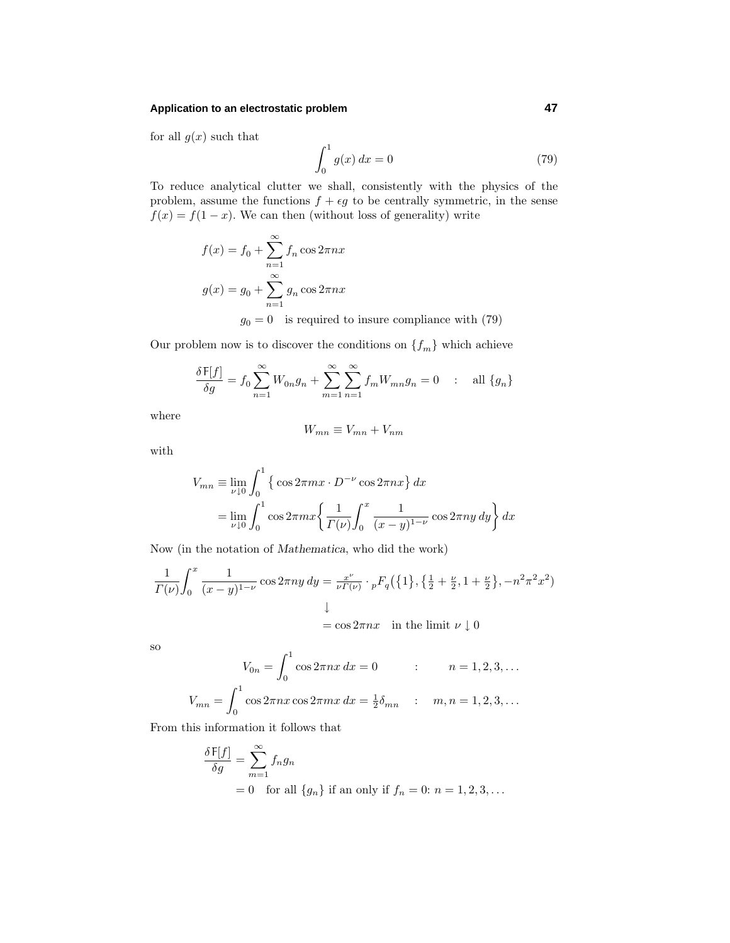## **Application to an electrostatic problem 47**

for all  $g(x)$  such that

$$
\int_{0}^{1} g(x) dx = 0
$$
 (79)

To reduce analytical clutter we shall, consistently with the physics of the problem, assume the functions  $f + \epsilon g$  to be centrally symmetric, in the sense  $f(x) = f(1-x)$ . We can then (without loss of generality) write

$$
f(x) = f_0 + \sum_{n=1}^{\infty} f_n \cos 2\pi nx
$$
  
 
$$
g(x) = g_0 + \sum_{n=1}^{\infty} g_n \cos 2\pi nx
$$
  
 
$$
g_0 = 0
$$
 is required to insure compliance with (79)

Our problem now is to discover the conditions on  ${f_m}$  which achieve

$$
\frac{\delta \mathsf{F}[f]}{\delta g} = f_0 \sum_{n=1}^{\infty} W_{0n} g_n + \sum_{m=1}^{\infty} \sum_{n=1}^{\infty} f_m W_{mn} g_n = 0 \quad : \quad \text{all } \{g_n\}
$$

where

$$
W_{mn} \equiv V_{mn} + V_{nm}
$$

with

$$
V_{mn} \equiv \lim_{\nu \downarrow 0} \int_0^1 \left\{ \cos 2\pi m x \cdot D^{-\nu} \cos 2\pi n x \right\} dx
$$
  
= 
$$
\lim_{\nu \downarrow 0} \int_0^1 \cos 2\pi m x \left\{ \frac{1}{\Gamma(\nu)} \int_0^x \frac{1}{(x - y)^{1 - \nu}} \cos 2\pi n y \, dy \right\} dx
$$

Now (in the notation of *Mathematica*, who did the work)

$$
\frac{1}{\Gamma(\nu)} \int_0^x \frac{1}{(x-y)^{1-\nu}} \cos 2\pi ny \, dy = \frac{x^{\nu}}{\nu \Gamma(\nu)} \cdot {}_pF_q(\{1\}, \{\frac{1}{2} + \frac{\nu}{2}, 1 + \frac{\nu}{2}\}, -n^2\pi^2 x^2)
$$
\n
$$
\downarrow
$$
\n
$$
= \cos 2\pi nx \quad \text{in the limit } \nu \downarrow 0
$$

so

$$
V_{0n} = \int_0^1 \cos 2\pi nx \, dx = 0 \qquad : \qquad n = 1, 2, 3, \dots
$$

$$
V_{mn} = \int_0^1 \cos 2\pi nx \cos 2\pi mx \, dx = \frac{1}{2} \delta_{mn} \qquad : \quad m, n = 1, 2, 3, \dots
$$

From this information it follows that

$$
\frac{\delta F[f]}{\delta g} = \sum_{m=1}^{\infty} f_n g_n
$$
  
= 0 for all  $\{g_n\}$  if an only if  $f_n = 0$ :  $n = 1, 2, 3, ...$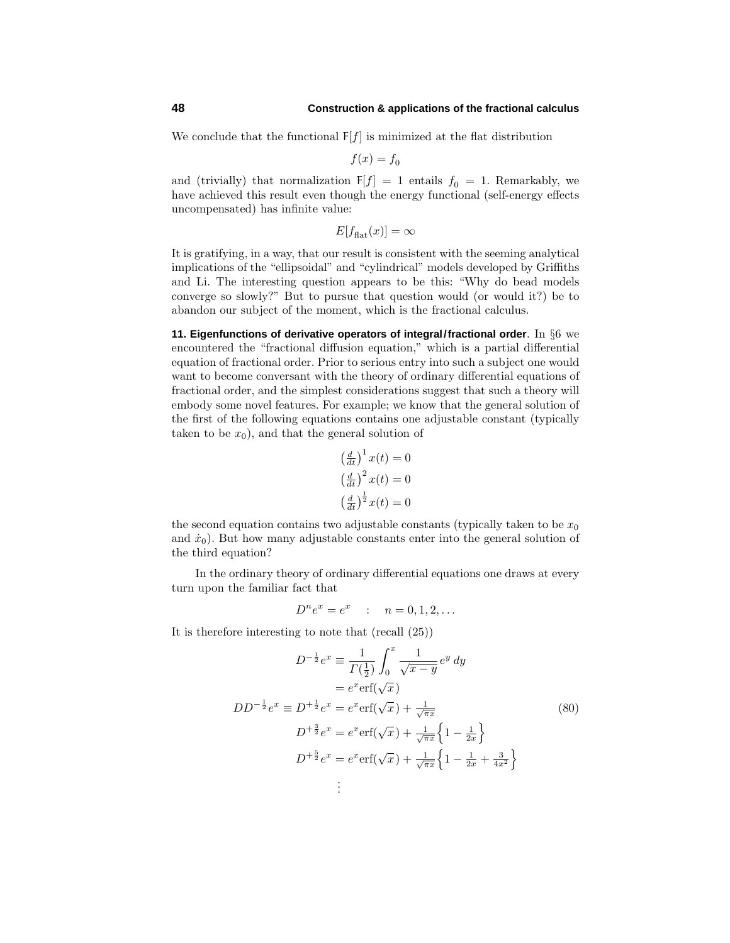We conclude that the functional  $F[f]$  is minimized at the flat distribution

$$
f(x) = f_0
$$

and (trivially) that normalization  $F[f] = 1$  entails  $f_0 = 1$ . Remarkably, we have achieved this result even though the energy functional (self-energy effects uncompensated) has infinite value:

$$
E[f_{\text{flat}}(x)] = \infty
$$

It is gratifying, in a way, that our result is consistent with the seeming analytical implications of the "ellipsoidal" and "cylindrical" models developed by Griffiths and Li. The interesting question appears to be this: "Why do bead models converge so slowly?" But to pursue that question would (or would it?) be to abandon our subject of the moment, which is the fractional calculus.

**11. Eigenfunctions of derivative operators of integral/fractional order**. In §6 we encountered the "fractional diffusion equation," which is a partial differential equation of fractional order. Prior to serious entry into such a subject one would want to become conversant with the theory of ordinary differential equations of fractional order, and the simplest considerations suggest that such a theory will embody some novel features. For example; we know that the general solution of the first of the following equations contains one adjustable constant (typically taken to be  $x_0$ ), and that the general solution of

$$
\left(\frac{d}{dt}\right)^{1}x(t) = 0
$$

$$
\left(\frac{d}{dt}\right)^{2}x(t) = 0
$$

$$
\left(\frac{d}{dt}\right)^{\frac{1}{2}}x(t) = 0
$$

the second equation contains two adjustable constants (typically taken to be  $x_0$ ) and  $\dot{x}_0$ ). But how many adjustable constants enter into the general solution of the third equation?

In the ordinary theory of ordinary differential equations one draws at every turn upon the familiar fact that

$$
D^n e^x = e^x : n = 0, 1, 2, ...
$$

It is therefore interesting to note that (recall (25))

$$
D^{-\frac{1}{2}}e^{x} \equiv \frac{1}{\Gamma(\frac{1}{2})} \int_{0}^{x} \frac{1}{\sqrt{x-y}} e^{y} dy
$$
  
\n
$$
= e^{x} \text{erf}(\sqrt{x})
$$
  
\n
$$
DD^{-\frac{1}{2}}e^{x} \equiv D^{+\frac{1}{2}}e^{x} = e^{x} \text{erf}(\sqrt{x}) + \frac{1}{\sqrt{\pi x}} \left\{ 1 - \frac{1}{2x} \right\}
$$
  
\n
$$
D^{+\frac{5}{2}}e^{x} = e^{x} \text{erf}(\sqrt{x}) + \frac{1}{\sqrt{\pi x}} \left\{ 1 - \frac{1}{2x} + \frac{3}{4x^{2}} \right\}
$$
  
\n
$$
\vdots
$$
  
\n(80)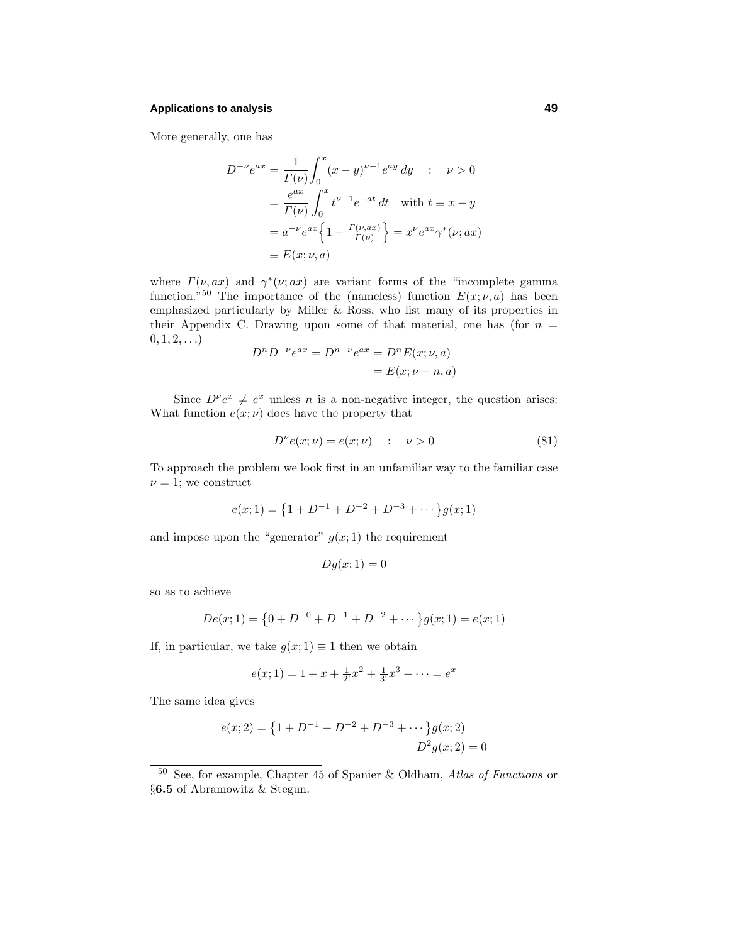## **Applications to analysis 49**

More generally, one has

$$
D^{-\nu}e^{ax} = \frac{1}{\Gamma(\nu)} \int_0^x (x - y)^{\nu - 1} e^{ay} dy \quad : \quad \nu > 0
$$
  

$$
= \frac{e^{ax}}{\Gamma(\nu)} \int_0^x t^{\nu - 1} e^{-at} dt \quad \text{with } t \equiv x - y
$$
  

$$
= a^{-\nu} e^{ax} \left\{ 1 - \frac{\Gamma(\nu, ax)}{\Gamma(\nu)} \right\} = x^{\nu} e^{ax} \gamma^*(\nu; ax)
$$
  

$$
\equiv E(x; \nu, a)
$$

where  $\Gamma(\nu, ax)$  and  $\gamma^*(\nu; ax)$  are variant forms of the "incomplete gamma" function.<sup>"50</sup> The importance of the (nameless) function  $E(x; \nu, a)$  has been emphasized particularly by Miller & Ross, who list many of its properties in their Appendix C. Drawing upon some of that material, one has (for  $n =$  $0, 1, 2, \ldots$ 

$$
D^{n}D^{-\nu}e^{ax} = D^{n-\nu}e^{ax} = D^{n}E(x;\nu,a)
$$

$$
= E(x;\nu - n,a)
$$

Since  $D^{\nu}e^{x} \neq e^{x}$  unless *n* is a non-negative integer, the question arises: What function  $e(x; \nu)$  does have the property that

$$
D^{\nu}e(x;\nu) = e(x;\nu) \qquad \qquad \nu > 0 \tag{81}
$$

To approach the problem we look first in an unfamiliar way to the familiar case  $\nu = 1$ ; we construct

$$
e(x; 1) = \{1 + D^{-1} + D^{-2} + D^{-3} + \dots \} g(x; 1)
$$

and impose upon the "generator"  $g(x; 1)$  the requirement

$$
Dg(x;1) = 0
$$

so as to achieve

$$
De(x; 1) = \{0 + D^{-0} + D^{-1} + D^{-2} + \dots \} g(x; 1) = e(x; 1)
$$

If, in particular, we take  $g(x; 1) \equiv 1$  then we obtain

$$
e(x; 1) = 1 + x + \frac{1}{2!}x^2 + \frac{1}{3!}x^3 + \dots = e^x
$$

The same idea gives

$$
e(x; 2) = \{1 + D^{-1} + D^{-2} + D^{-3} + \dots \} g(x; 2)
$$
  

$$
D^{2}g(x; 2) = 0
$$

<sup>50</sup> See, for example, Chapter 45 of Spanier & Oldham, Atlas of Functions or §**6.5** of Abramowitz & Stegun.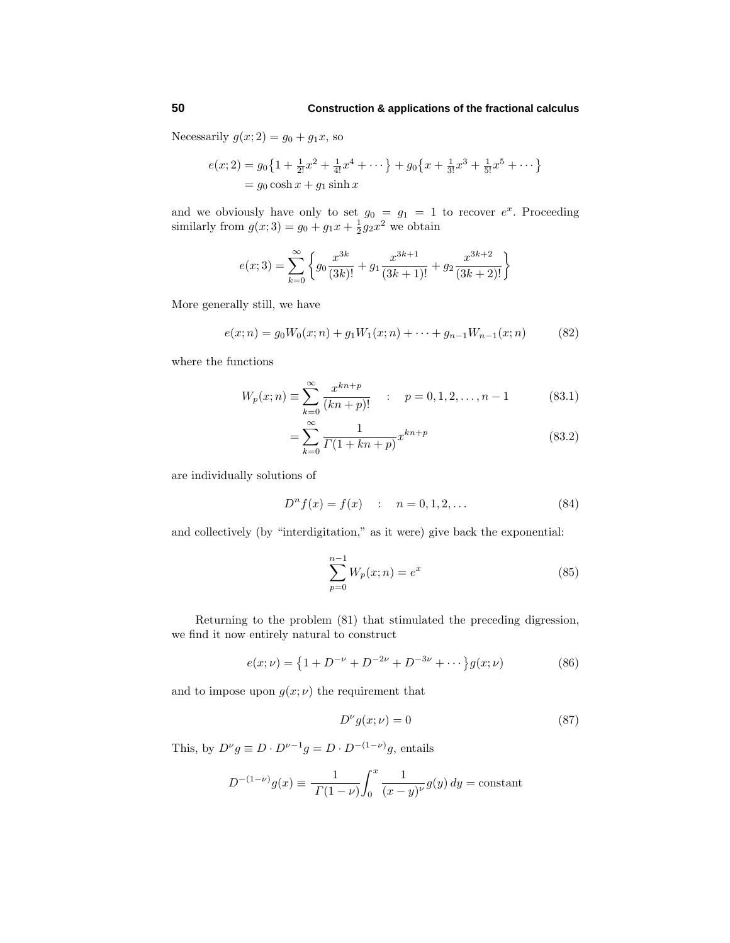Necessarily  $g(x; 2) = g_0 + g_1x$ , so

$$
e(x; 2) = g_0 \left\{ 1 + \frac{1}{2!} x^2 + \frac{1}{4!} x^4 + \dots \right\} + g_0 \left\{ x + \frac{1}{3!} x^3 + \frac{1}{5!} x^5 + \dots \right\}
$$
  
=  $g_0 \cosh x + g_1 \sinh x$ 

and we obviously have only to set  $g_0 = g_1 = 1$  to recover  $e^x$ . Proceeding similarly from  $g(x; 3) = g_0 + g_1 x + \frac{1}{2} g_2 x^2$  we obtain

$$
e(x;3) = \sum_{k=0}^{\infty} \left\{ g_0 \frac{x^{3k}}{(3k)!} + g_1 \frac{x^{3k+1}}{(3k+1)!} + g_2 \frac{x^{3k+2}}{(3k+2)!} \right\}
$$

More generally still, we have

$$
e(x; n) = g_0 W_0(x; n) + g_1 W_1(x; n) + \dots + g_{n-1} W_{n-1}(x; n)
$$
 (82)

where the functions

$$
W_p(x;n) \equiv \sum_{k=0}^{\infty} \frac{x^{kn+p}}{(kn+p)!} \quad : \quad p = 0, 1, 2, \dots, n-1 \tag{83.1}
$$

$$
=\sum_{k=0}^{\infty} \frac{1}{\Gamma(1+kn+p)} x^{kn+p}
$$
(83.2)

are individually solutions of

$$
D^{n} f(x) = f(x) : n = 0, 1, 2, ... \t(84)
$$

and collectively (by "interdigitation," as it were) give back the exponential:

$$
\sum_{p=0}^{n-1} W_p(x; n) = e^x \tag{85}
$$

Returning to the problem (81) that stimulated the preceding digression, we find it now entirely natural to construct

$$
e(x; \nu) = \left\{ 1 + D^{-\nu} + D^{-2\nu} + D^{-3\nu} + \cdots \right\} g(x; \nu) \tag{86}
$$

and to impose upon  $g(x; \nu)$  the requirement that

$$
D^{\nu}g(x;\nu) = 0\tag{87}
$$

This, by  $D^{\nu}g \equiv D \cdot D^{\nu-1}g = D \cdot D^{-(1-\nu)}g$ , entails

$$
D^{-(1-\nu)}g(x) \equiv \frac{1}{\Gamma(1-\nu)} \int_0^x \frac{1}{(x-y)^{\nu}} g(y) \, dy = \text{constant}
$$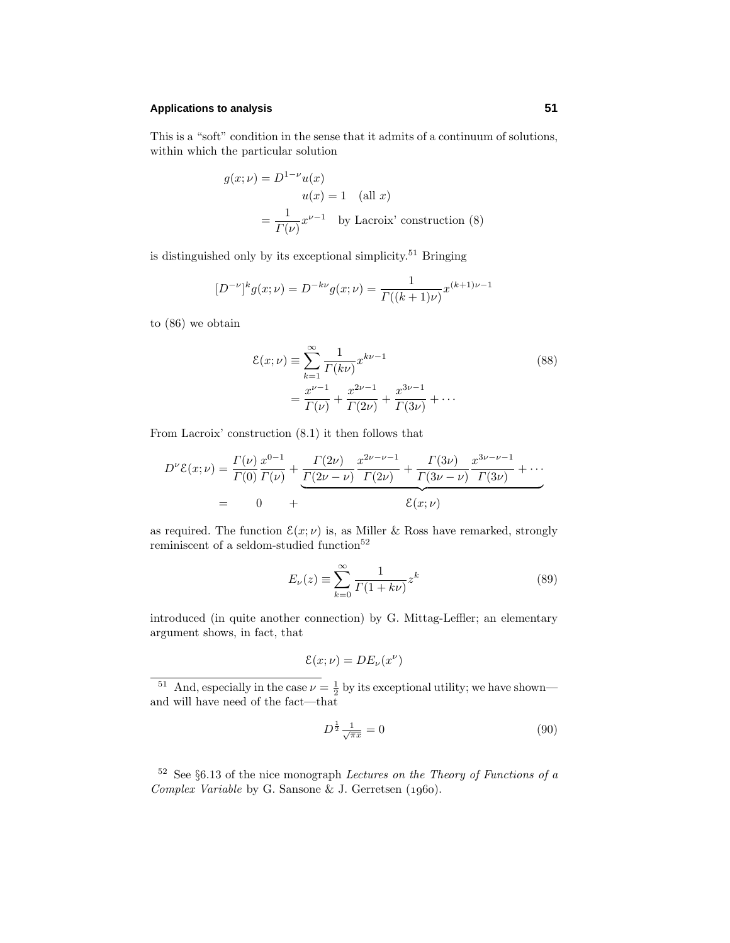## **Applications to analysis 51**

This is a "soft" condition in the sense that it admits of a continuum of solutions, within which the particular solution

$$
g(x; \nu) = D^{1-\nu}u(x)
$$
  
 
$$
u(x) = 1 \quad \text{(all } x)
$$
  
 
$$
= \frac{1}{\Gamma(\nu)} x^{\nu-1} \quad \text{by Laccrix' construction (8)}
$$

is distinguished only by its exceptional simplicity.<sup>51</sup> Bringing

$$
[D^{-\nu}]^{k} g(x; \nu) = D^{-k\nu} g(x; \nu) = \frac{1}{\Gamma((k+1)\nu)} x^{(k+1)\nu - 1}
$$

to (86) we obtain

$$
\mathcal{E}(x;\nu) \equiv \sum_{k=1}^{\infty} \frac{1}{\Gamma(k\nu)} x^{k\nu - 1}
$$
\n
$$
= \frac{x^{\nu - 1}}{\Gamma(\nu)} + \frac{x^{2\nu - 1}}{\Gamma(2\nu)} + \frac{x^{3\nu - 1}}{\Gamma(3\nu)} + \cdots
$$
\n(88)

From Lacroix' construction (8.1) it then follows that

$$
D^{\nu}\mathcal{E}(x;\nu) = \frac{\Gamma(\nu)}{\Gamma(0)} \frac{x^{0-1}}{\Gamma(\nu)} + \underbrace{\frac{\Gamma(2\nu)}{\Gamma(2\nu-\nu)} \frac{x^{2\nu-\nu-1}}{\Gamma(2\nu)} + \frac{\Gamma(3\nu)}{\Gamma(3\nu-\nu)} \frac{x^{3\nu-\nu-1}}{\Gamma(3\nu)} + \cdots}_{\mathcal{E}(x;\nu)}
$$
  
= 0 +

as required. The function  $\mathcal{E}(x; \nu)$  is, as Miller & Ross have remarked, strongly reminiscent of a seldom-studied function<sup>52</sup>

$$
E_{\nu}(z) \equiv \sum_{k=0}^{\infty} \frac{1}{\Gamma(1+k\nu)} z^{k}
$$
\n(89)

introduced (in quite another connection) by G. Mittag-Leffler; an elementary argument shows, in fact, that

$$
\mathcal{E}(x;\nu) = DE_{\nu}(x^{\nu})
$$

<sup>51</sup> And, especially in the case  $\nu = \frac{1}{2}$  by its exceptional utility; we have shown and will have need of the fact—that

$$
D^{\frac{1}{2}} \frac{1}{\sqrt{\pi x}} = 0 \tag{90}
$$

 $52$  See  $\S6.13$  of the nice monograph *Lectures on the Theory of Functions of a* Complex Variable by G. Sansone & J. Gerretsen  $(1960)$ .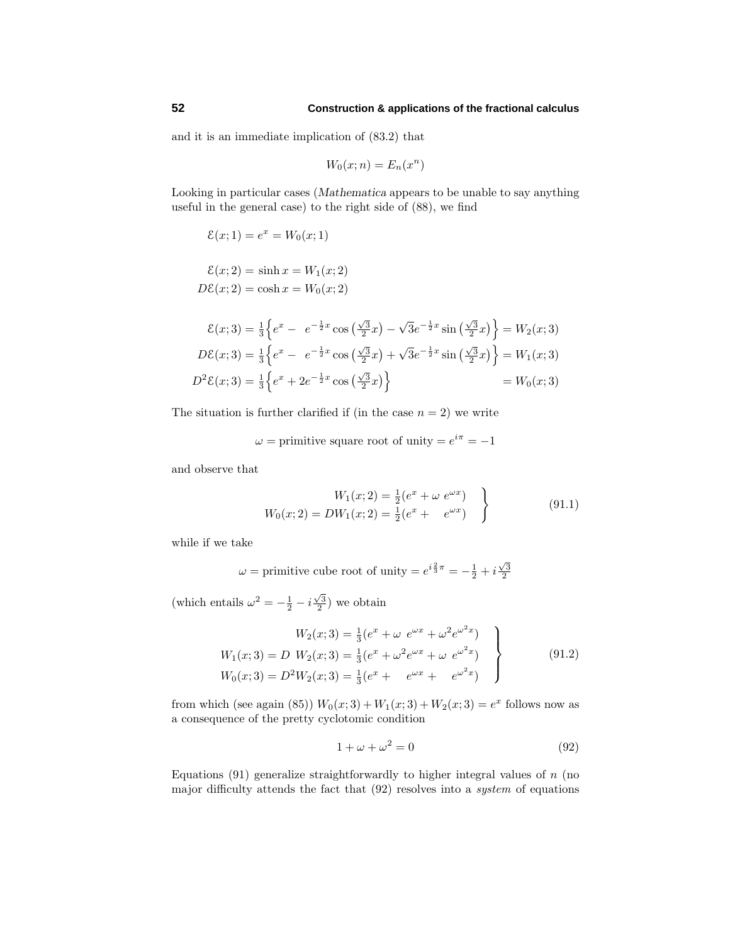and it is an immediate implication of (83.2) that

$$
W_0(x; n) = E_n(x^n)
$$

Looking in particular cases (*Mathematica* appears to be unable to say anything useful in the general case) to the right side of (88), we find

$$
\mathcal{E}(x; 1) = e^x = W_0(x; 1)
$$

$$
\mathcal{E}(x; 2) = \sinh x = W_1(x; 2)
$$

$$
D\mathcal{E}(x;2) = \cosh x = W_0(x;2)
$$

$$
\mathcal{E}(x;3) = \frac{1}{3} \left\{ e^x - e^{-\frac{1}{2}x} \cos\left(\frac{\sqrt{3}}{2}x\right) - \sqrt{3}e^{-\frac{1}{2}x} \sin\left(\frac{\sqrt{3}}{2}x\right) \right\} = W_2(x;3)
$$
  

$$
D\mathcal{E}(x;3) = \frac{1}{3} \left\{ e^x - e^{-\frac{1}{2}x} \cos\left(\frac{\sqrt{3}}{2}x\right) + \sqrt{3}e^{-\frac{1}{2}x} \sin\left(\frac{\sqrt{3}}{2}x\right) \right\} = W_1(x;3)
$$
  

$$
D^2\mathcal{E}(x;3) = \frac{1}{3} \left\{ e^x + 2e^{-\frac{1}{2}x} \cos\left(\frac{\sqrt{3}}{2}x\right) \right\} = W_0(x;3)
$$

The situation is further clarified if (in the case  $n = 2$ ) we write

 $\omega$  = primitive square root of unity =  $e^{i\pi}$  = -1

and observe that

$$
W_1(x; 2) = \frac{1}{2} (e^x + \omega e^{\omega x})
$$
  
\n
$$
W_0(x; 2) = DW_1(x; 2) = \frac{1}{2} (e^x + e^{\omega x})
$$
\n(91.1)

while if we take

$$
\omega
$$
 = primitive cube root of unity =  $e^{i\frac{2}{3}\pi} = -\frac{1}{2} + i\frac{\sqrt{3}}{2}$ 

(which entails  $\omega^2 = -\frac{1}{2} - i\frac{\sqrt{3}}{2}$ ) we obtain

$$
W_2(x; 3) = \frac{1}{3}(e^x + \omega e^{\omega x} + \omega^2 e^{\omega^2 x})
$$
  
\n
$$
W_1(x; 3) = D W_2(x; 3) = \frac{1}{3}(e^x + \omega^2 e^{\omega x} + \omega e^{\omega^2 x})
$$
  
\n
$$
W_0(x; 3) = D^2 W_2(x; 3) = \frac{1}{3}(e^x + e^{\omega x} + e^{\omega^2 x})
$$
\n(91.2)

from which (see again (85))  $W_0(x; 3) + W_1(x; 3) + W_2(x; 3) = e^x$  follows now as a consequence of the pretty cyclotomic condition

$$
1 + \omega + \omega^2 = 0 \tag{92}
$$

Equations (91) generalize straightforwardly to higher integral values of *n* (no major difficulty attends the fact that (92) resolves into a system of equations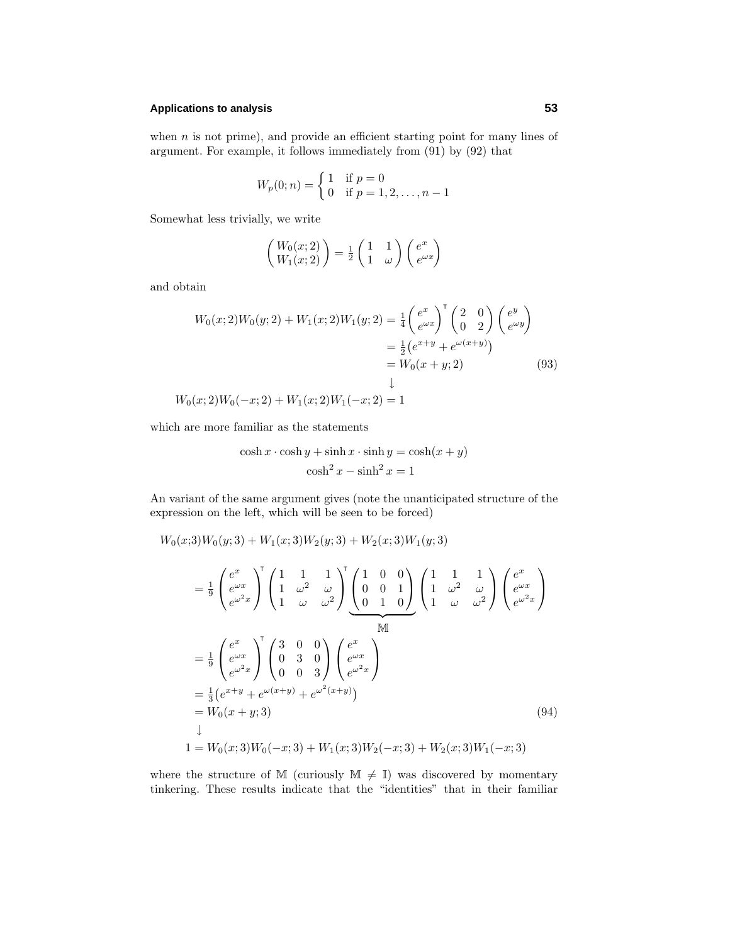## **Applications to analysis 53**

when *n* is not prime), and provide an efficient starting point for many lines of argument. For example, it follows immediately from (91) by (92) that

$$
W_p(0; n) = \begin{cases} 1 & \text{if } p = 0 \\ 0 & \text{if } p = 1, 2, \dots, n - 1 \end{cases}
$$

Somewhat less trivially, we write

$$
\begin{pmatrix} W_0(x;2) \\ W_1(x;2) \end{pmatrix} = \frac{1}{2} \begin{pmatrix} 1 & 1 \\ 1 & \omega \end{pmatrix} \begin{pmatrix} e^x \\ e^{\omega x} \end{pmatrix}
$$

and obtain

$$
W_0(x; 2)W_0(y; 2) + W_1(x; 2)W_1(y; 2) = \frac{1}{4} \begin{pmatrix} e^x \\ e^{\omega x} \end{pmatrix}^{\top} \begin{pmatrix} 2 & 0 \\ 0 & 2 \end{pmatrix} \begin{pmatrix} e^y \\ e^{\omega y} \end{pmatrix}
$$
  
\n
$$
= \frac{1}{2} \begin{pmatrix} e^{x+y} + e^{\omega(x+y)} \end{pmatrix}
$$
  
\n
$$
= W_0(x+y; 2)
$$
  
\n
$$
W_0(x; 2)W_0(-x; 2) + W_1(x; 2)W_1(-x; 2) = 1
$$
\n(93)

which are more familiar as the statements

$$
\cosh x \cdot \cosh y + \sinh x \cdot \sinh y = \cosh(x + y)
$$

$$
\cosh^2 x - \sinh^2 x = 1
$$

An variant of the same argument gives (note the unanticipated structure of the expression on the left, which will be seen to be forced)

$$
W_0(x;3)W_0(y;3) + W_1(x;3)W_2(y;3) + W_2(x;3)W_1(y;3)
$$
  
\n
$$
= \frac{1}{9} \begin{pmatrix} e^x \\ e^{\omega x} \\ e^{\omega^2 x} \end{pmatrix} \begin{pmatrix} 1 & 1 & 1 \\ 1 & \omega^2 & \omega \\ 1 & \omega & \omega^2 \end{pmatrix} \begin{pmatrix} 1 & 0 & 0 \\ 0 & 0 & 1 \\ 0 & 1 & 0 \end{pmatrix} \begin{pmatrix} 1 & 1 & 1 \\ 1 & \omega^2 & \omega \\ 1 & \omega & \omega^2 \end{pmatrix} \begin{pmatrix} e^x \\ e^{\omega x} \\ e^{\omega^2 x} \end{pmatrix}
$$
  
\n
$$
= \frac{1}{9} \begin{pmatrix} e^x \\ e^{\omega x} \\ e^{\omega^2 x} \end{pmatrix} \begin{pmatrix} 3 & 0 & 0 \\ 0 & 3 & 0 \\ 0 & 0 & 3 \end{pmatrix} \begin{pmatrix} e^x \\ e^{\omega x} \\ e^{\omega^2 x} \end{pmatrix}
$$
  
\n
$$
= \frac{1}{3} (e^{x+y} + e^{\omega(x+y)} + e^{\omega^2(x+y)})
$$
  
\n
$$
= W_0(x+y;3)
$$
  
\n
$$
\downarrow
$$
  
\n
$$
1 = W_0(x;3)W_0(-x;3) + W_1(x;3)W_2(-x;3) + W_2(x;3)W_1(-x;3)
$$
  
\n(94)

where the structure of M (curiously  $\mathbb{M} \neq \mathbb{I}$ ) was discovered by momentary tinkering. These results indicate that the "identities" that in their familiar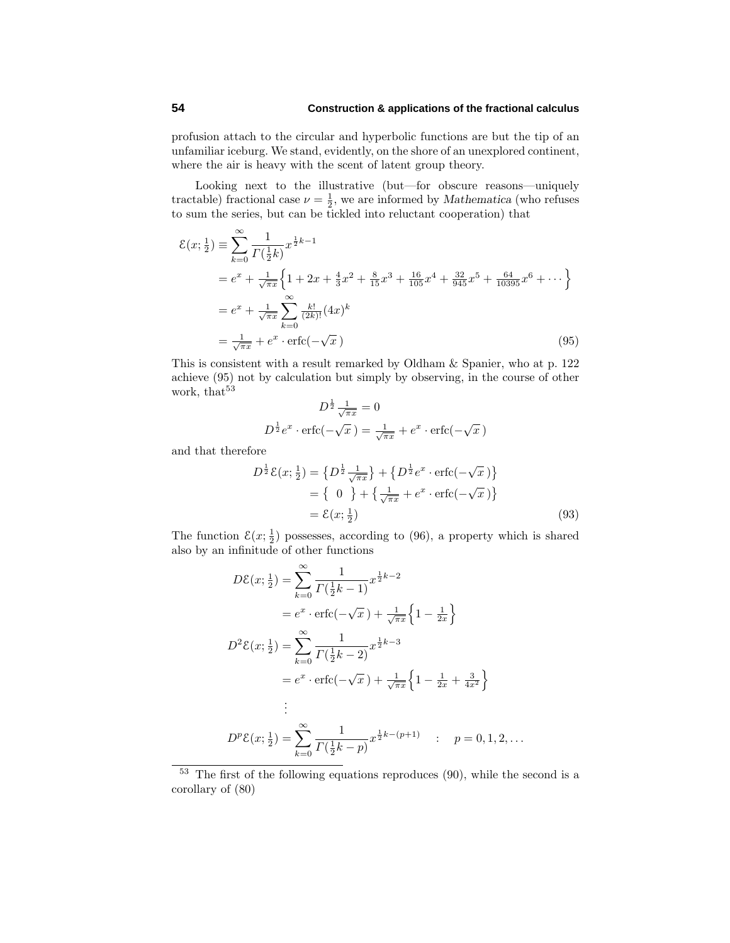profusion attach to the circular and hyperbolic functions are but the tip of an unfamiliar iceburg. We stand, evidently, on the shore of an unexplored continent, where the air is heavy with the scent of latent group theory.

Looking next to the illustrative (but—for obscure reasons—uniquely tractable) fractional case  $\nu = \frac{1}{2}$ , we are informed by *Mathematica* (who refuses to sum the series, but can be tickled into reluctant cooperation) that

$$
\mathcal{E}(x; \frac{1}{2}) \equiv \sum_{k=0}^{\infty} \frac{1}{\Gamma(\frac{1}{2}k)} x^{\frac{1}{2}k-1}
$$
  
\n
$$
= e^x + \frac{1}{\sqrt{\pi x}} \left\{ 1 + 2x + \frac{4}{3}x^2 + \frac{8}{15}x^3 + \frac{16}{105}x^4 + \frac{32}{945}x^5 + \frac{64}{10395}x^6 + \cdots \right\}
$$
  
\n
$$
= e^x + \frac{1}{\sqrt{\pi x}} \sum_{k=0}^{\infty} \frac{k!}{(2k)!} (4x)^k
$$
  
\n
$$
= \frac{1}{\sqrt{\pi x}} + e^x \cdot \text{erfc}(-\sqrt{x})
$$
\n(95)

This is consistent with a result remarked by Oldham & Spanier, who at p. 122 achieve (95) not by calculation but simply by observing, in the course of other work, that<sup>53</sup>

$$
D^{\frac{1}{2}}\frac{1}{\sqrt{\pi x}} = 0
$$
  

$$
D^{\frac{1}{2}}e^x \cdot \text{erfc}(-\sqrt{x}) = \frac{1}{\sqrt{\pi x}} + e^x \cdot \text{erfc}(-\sqrt{x})
$$

and that therefore

$$
D^{\frac{1}{2}}\mathcal{E}(x; \frac{1}{2}) = \{D^{\frac{1}{2}}\frac{1}{\sqrt{\pi x}}\} + \{D^{\frac{1}{2}}e^x \cdot \text{erfc}(-\sqrt{x})\}
$$
  
=  $\{0\} + \{\frac{1}{\sqrt{\pi x}} + e^x \cdot \text{erfc}(-\sqrt{x})\}$   
=  $\mathcal{E}(x; \frac{1}{2})$  (93)

The function  $\mathcal{E}(x; \frac{1}{2})$  possesses, according to (96), a property which is shared also by an infinitude of other functions

$$
D\mathcal{E}(x; \frac{1}{2}) = \sum_{k=0}^{\infty} \frac{1}{\Gamma(\frac{1}{2}k-1)} x^{\frac{1}{2}k-2}
$$
  
\n
$$
= e^x \cdot \text{erfc}(-\sqrt{x}) + \frac{1}{\sqrt{\pi x}} \left\{ 1 - \frac{1}{2x} \right\}
$$
  
\n
$$
D^2 \mathcal{E}(x; \frac{1}{2}) = \sum_{k=0}^{\infty} \frac{1}{\Gamma(\frac{1}{2}k-2)} x^{\frac{1}{2}k-3}
$$
  
\n
$$
= e^x \cdot \text{erfc}(-\sqrt{x}) + \frac{1}{\sqrt{\pi x}} \left\{ 1 - \frac{1}{2x} + \frac{3}{4x^2} \right\}
$$
  
\n
$$
\vdots
$$
  
\n
$$
D^p \mathcal{E}(x; \frac{1}{2}) = \sum_{k=0}^{\infty} \frac{1}{\Gamma(\frac{1}{2}k-p)} x^{\frac{1}{2}k-(p+1)} \qquad p = 0, 1, 2, \dots
$$

<sup>53</sup> The first of the following equations reproduces (90), while the second is a corollary of (80)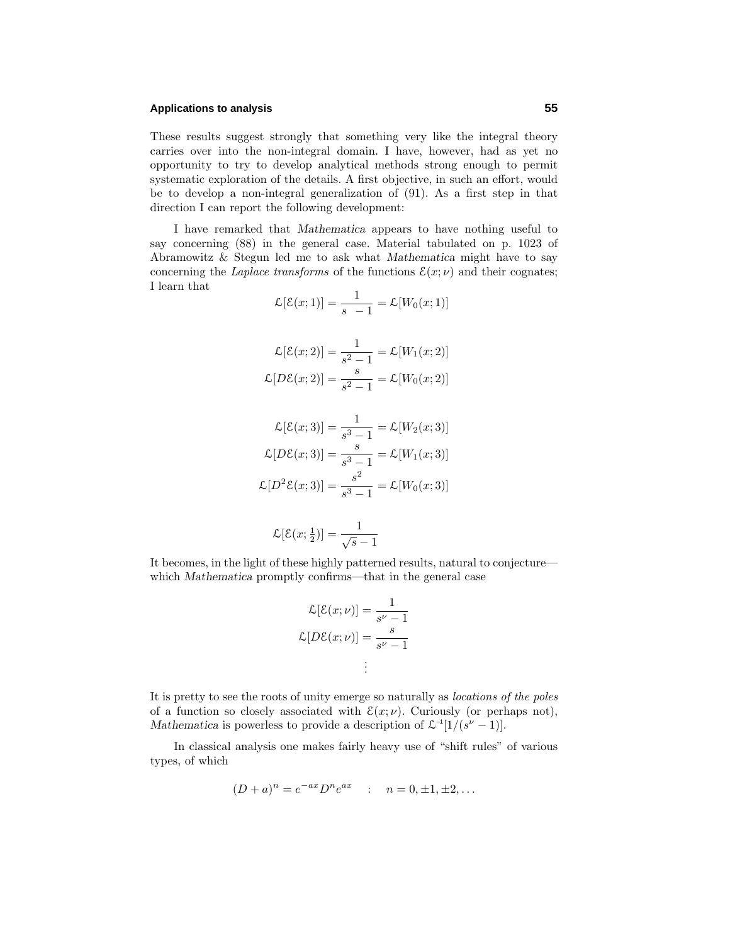## **Applications to analysis 55**

These results suggest strongly that something very like the integral theory carries over into the non-integral domain. I have, however, had as yet no opportunity to try to develop analytical methods strong enough to permit systematic exploration of the details. A first objective, in such an effort, would be to develop a non-integral generalization of (91). As a first step in that direction I can report the following development:

I have remarked that *Mathematica* appears to have nothing useful to say concerning (88) in the general case. Material tabulated on p. 1023 of Abramowitz & Stegun led me to ask what *Mathematica* might have to say concerning the *Laplace transforms* of the functions  $\mathcal{E}(x; \nu)$  and their cognates; I learn that

$$
\mathcal{L}[\mathcal{E}(x;1)] = \frac{1}{s-1} = \mathcal{L}[W_0(x;1)]
$$

$$
\mathcal{L}[\mathcal{E}(x;2)] = \frac{1}{s^2 - 1} = \mathcal{L}[W_1(x;2)]
$$

$$
\mathcal{L}[D\mathcal{E}(x;2)] = \frac{s}{s^2 - 1} = \mathcal{L}[W_0(x;2)]
$$

$$
\mathcal{L}[\mathcal{E}(x;3)] = \frac{1}{s^3 - 1} = \mathcal{L}[W_2(x;3)]
$$

$$
\mathcal{L}[D\mathcal{E}(x;3)] = \frac{s}{s^3 - 1} = \mathcal{L}[W_1(x;3)]
$$

$$
\mathcal{L}[D^2\mathcal{E}(x;3)] = \frac{s^2}{s^3 - 1} = \mathcal{L}[W_0(x;3)]
$$

$$
\mathcal{L}[\mathcal{E}(x; \frac{1}{2})] = \frac{1}{\sqrt{s} - 1}
$$

It becomes, in the light of these highly patterned results, natural to conjecture which *Mathematica* promptly confirms—that in the general case

$$
\mathcal{L}[\mathcal{E}(x; \nu)] = \frac{1}{s^{\nu} - 1}
$$

$$
\mathcal{L}[D\mathcal{E}(x; \nu)] = \frac{s}{s^{\nu} - 1}
$$

$$
\vdots
$$

It is pretty to see the roots of unity emerge so naturally as locations of the poles of a function so closely associated with  $\mathcal{E}(x; \nu)$ . Curiously (or perhaps not), *Mathematica* is powerless to provide a description of  $\mathcal{L}^{-1}[1/(s^{\nu}-1)]$ .

In classical analysis one makes fairly heavy use of "shift rules" of various types, of which

$$
(D+a)^n = e^{-ax}D^n e^{ax} \quad : \quad n = 0, \pm 1, \pm 2, \dots
$$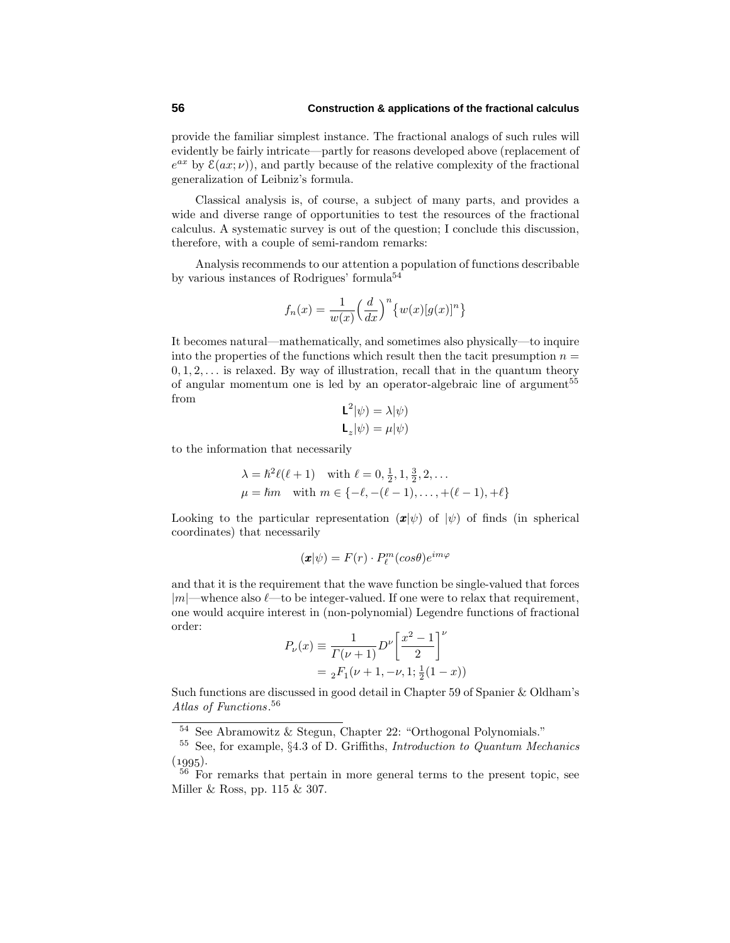provide the familiar simplest instance. The fractional analogs of such rules will evidently be fairly intricate—partly for reasons developed above (replacement of  $e^{ax}$  by  $\mathcal{E}(ax;\nu)$ , and partly because of the relative complexity of the fractional generalization of Leibniz's formula.

Classical analysis is, of course, a subject of many parts, and provides a wide and diverse range of opportunities to test the resources of the fractional calculus. A systematic survey is out of the question; I conclude this discussion, therefore, with a couple of semi-random remarks:

Analysis recommends to our attention a population of functions describable by various instances of Rodrigues' formula<sup>54</sup>

$$
f_n(x) = \frac{1}{w(x)} \left(\frac{d}{dx}\right)^n \left\{w(x)[g(x)]^n\right\}
$$

It becomes natural—mathematically, and sometimes also physically—to inquire into the properties of the functions which result then the tacit presumption  $n =$ 0*,* 1*,* 2*,...* is relaxed. By way of illustration, recall that in the quantum theory of angular momentum one is led by an operator-algebraic line of argument<sup>55</sup> from

$$
\mathsf{L}^2|\psi) = \lambda|\psi)
$$

$$
\mathsf{L}_z|\psi) = \mu|\psi)
$$

to the information that necessarily

$$
\lambda = \hbar^2 \ell(\ell + 1) \quad \text{with } \ell = 0, \frac{1}{2}, 1, \frac{3}{2}, 2, \dots
$$
  

$$
\mu = \hbar m \quad \text{with } m \in \{-\ell, -(\ell - 1), \dots, +(\ell - 1), +\ell\}
$$

Looking to the particular representation  $(\mathbf{x}|\psi)$  of  $|\psi|$  of finds (in spherical coordinates) that necessarily

$$
(\pmb{x}|\psi)=F(r)\cdot P_{\ell}^{m}(cos\theta)e^{im\varphi}
$$

and that it is the requirement that the wave function be single-valued that forces |*m*|—whence also *L*—to be integer-valued. If one were to relax that requirement, one would acquire interest in (non-polynomial) Legendre functions of fractional order:

$$
P_{\nu}(x) \equiv \frac{1}{\Gamma(\nu+1)} D^{\nu} \left[ \frac{x^2 - 1}{2} \right]^{\nu}
$$
  
=  ${}_2F_1(\nu+1, -\nu, 1; \frac{1}{2}(1-x))$ 

Such functions are discussed in good detail in Chapter 59 of Spanier & Oldham's Atlas of Functions. 56

<sup>54</sup> See Abramowitz & Stegun, Chapter 22: "Orthogonal Polynomials."

<sup>55</sup> See, for example, §4.3 of D. Griffiths, Introduction to Quantum Mechanics  $(1995).$ 

<sup>56</sup> For remarks that pertain in more general terms to the present topic, see Miller & Ross, pp. 115 & 307.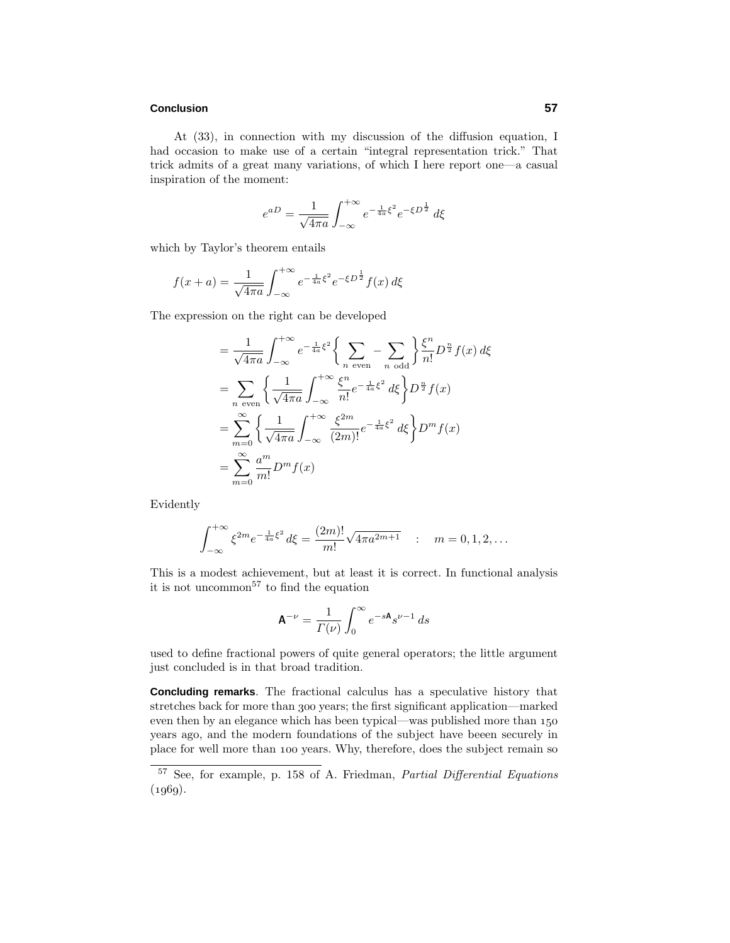#### **Conclusion 57**

At (33), in connection with my discussion of the diffusion equation, I had occasion to make use of a certain "integral representation trick." That trick admits of a great many variations, of which I here report one—a casual inspiration of the moment:

$$
e^{aD} = \frac{1}{\sqrt{4\pi a}} \int_{-\infty}^{+\infty} e^{-\frac{1}{4a}\xi^2} e^{-\xi D^{\frac{1}{2}}} d\xi
$$

which by Taylor's theorem entails

$$
f(x+a) = \frac{1}{\sqrt{4\pi a}} \int_{-\infty}^{+\infty} e^{-\frac{1}{4a}\xi^2} e^{-\xi D^{\frac{1}{2}}} f(x) d\xi
$$

The expression on the right can be developed

$$
= \frac{1}{\sqrt{4\pi a}} \int_{-\infty}^{+\infty} e^{-\frac{1}{4a}\xi^2} \left\{ \sum_{n \text{ even}} - \sum_{n \text{ odd}} \right\} \frac{\xi^n}{n!} D^{\frac{n}{2}} f(x) d\xi
$$
  
\n
$$
= \sum_{n \text{ even}} \left\{ \frac{1}{\sqrt{4\pi a}} \int_{-\infty}^{+\infty} \frac{\xi^n}{n!} e^{-\frac{1}{4a}\xi^2} d\xi \right\} D^{\frac{n}{2}} f(x)
$$
  
\n
$$
= \sum_{m=0}^{\infty} \left\{ \frac{1}{\sqrt{4\pi a}} \int_{-\infty}^{+\infty} \frac{\xi^{2m}}{(2m)!} e^{-\frac{1}{4a}\xi^2} d\xi \right\} D^m f(x)
$$
  
\n
$$
= \sum_{m=0}^{\infty} \frac{a^m}{m!} D^m f(x)
$$

Evidently

$$
\int_{-\infty}^{+\infty} \xi^{2m} e^{-\frac{1}{4a}\xi^2} d\xi = \frac{(2m)!}{m!} \sqrt{4\pi a^{2m+1}} \quad : \quad m = 0, 1, 2, \dots
$$

This is a modest achievement, but at least it is correct. In functional analysis it is not uncommon<sup>57</sup> to find the equation

$$
\mathbf{A}^{-\nu} = \frac{1}{\Gamma(\nu)} \int_0^\infty e^{-s\mathbf{A}} s^{\nu-1} ds
$$

used to define fractional powers of quite general operators; the little argument just concluded is in that broad tradition.

**Concluding remarks**. The fractional calculus has a speculative history that stretches back for more than 300 years; the first significant application—marked even then by an elegance which has been typical—was published more than years ago, and the modern foundations of the subject have beeen securely in place for well more than 100 years. Why, therefore, does the subject remain so

<sup>57</sup> See, for example, p. 158 of A. Friedman, Partial Differential Equations  $(1969).$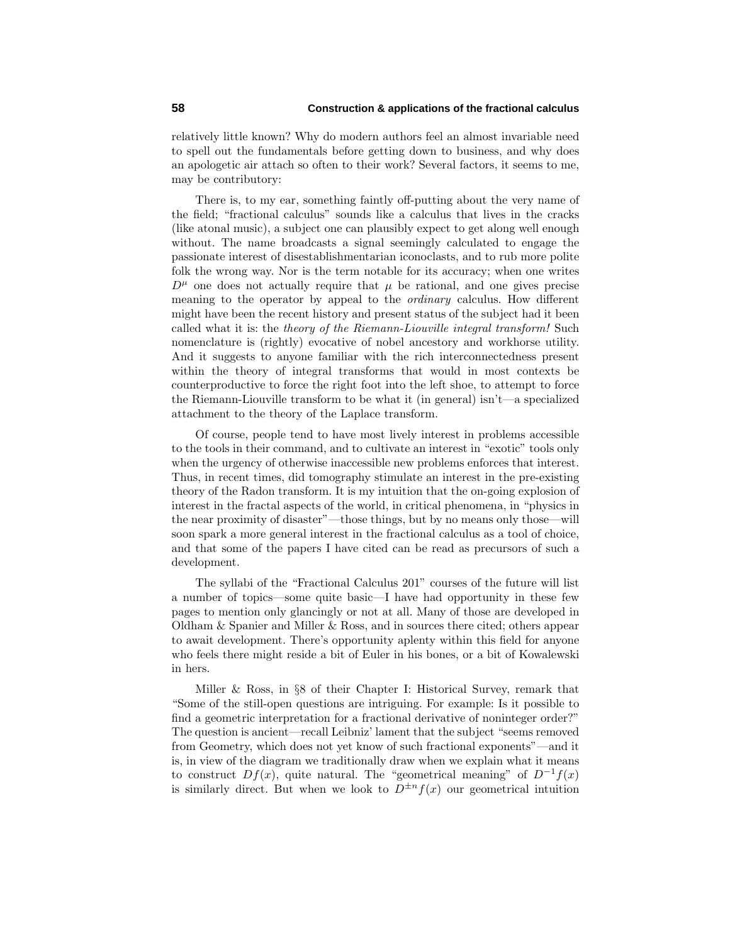relatively little known? Why do modern authors feel an almost invariable need to spell out the fundamentals before getting down to business, and why does an apologetic air attach so often to their work? Several factors, it seems to me, may be contributory:

There is, to my ear, something faintly off-putting about the very name of the field; "fractional calculus" sounds like a calculus that lives in the cracks (like atonal music), a subject one can plausibly expect to get along well enough without. The name broadcasts a signal seemingly calculated to engage the passionate interest of disestablishmentarian iconoclasts, and to rub more polite folk the wrong way. Nor is the term notable for its accuracy; when one writes  $D^{\mu}$  one does not actually require that  $\mu$  be rational, and one gives precise meaning to the operator by appeal to the ordinary calculus. How different might have been the recent history and present status of the subject had it been called what it is: the theory of the Riemann-Liouville integral transform! Such nomenclature is (rightly) evocative of nobel ancestory and workhorse utility. And it suggests to anyone familiar with the rich interconnectedness present within the theory of integral transforms that would in most contexts be counterproductive to force the right foot into the left shoe, to attempt to force the Riemann-Liouville transform to be what it (in general) isn't—a specialized attachment to the theory of the Laplace transform.

Of course, people tend to have most lively interest in problems accessible to the tools in their command, and to cultivate an interest in "exotic" tools only when the urgency of otherwise inaccessible new problems enforces that interest. Thus, in recent times, did tomography stimulate an interest in the pre-existing theory of the Radon transform. It is my intuition that the on-going explosion of interest in the fractal aspects of the world, in critical phenomena, in "physics in the near proximity of disaster"—those things, but by no means only those—will soon spark a more general interest in the fractional calculus as a tool of choice, and that some of the papers I have cited can be read as precursors of such a development.

The syllabi of the "Fractional Calculus 201" courses of the future will list a number of topics—some quite basic—I have had opportunity in these few pages to mention only glancingly or not at all. Many of those are developed in Oldham & Spanier and Miller & Ross, and in sources there cited; others appear to await development. There's opportunity aplenty within this field for anyone who feels there might reside a bit of Euler in his bones, or a bit of Kowalewski in hers.

Miller & Ross, in §8 of their Chapter I: Historical Survey, remark that "Some of the still-open questions are intriguing. For example: Is it possible to find a geometric interpretation for a fractional derivative of noninteger order?" The question is ancient—recall Leibniz' lament that the subject "seems removed from Geometry, which does not yet know of such fractional exponents"—and it is, in view of the diagram we traditionally draw when we explain what it means to construct  $Df(x)$ , quite natural. The "geometrical meaning" of  $D^{-1}f(x)$ is similarly direct. But when we look to  $D^{\pm n} f(x)$  our geometrical intuition